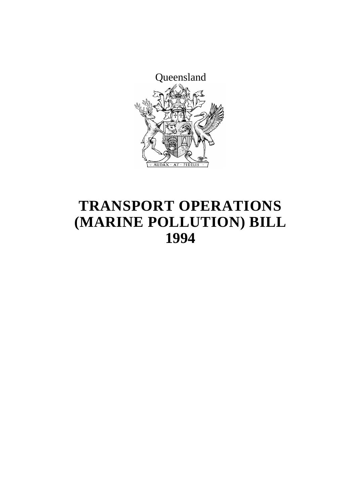

## **TRANSPORT OPERATIONS (MARINE POLLUTION) BILL 1994**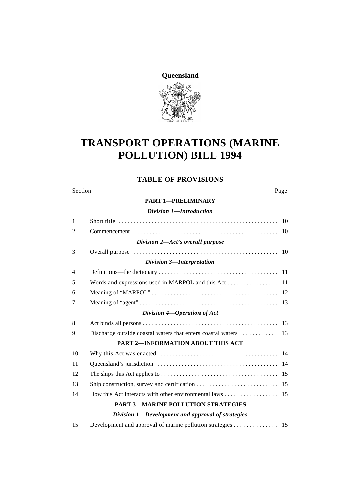**Queensland**

## **TRANSPORT OPERATIONS (MARINE POLLUTION) BILL 1994**

### **TABLE OF PROVISIONS**

#### Section Page

#### **PART 1—PRELIMINARY**

| Division 1-Introduction                           |                                           |  |
|---------------------------------------------------|-------------------------------------------|--|
| $\mathbf{1}$                                      |                                           |  |
| 2                                                 |                                           |  |
|                                                   | Division 2-Act's overall purpose          |  |
| 3                                                 |                                           |  |
|                                                   | Division 3-Interpretation                 |  |
| $\overline{4}$                                    |                                           |  |
| 5                                                 |                                           |  |
| 6                                                 |                                           |  |
| 7                                                 |                                           |  |
|                                                   | Division 4-Operation of Act               |  |
| 8                                                 |                                           |  |
| 9                                                 |                                           |  |
|                                                   | PART 2-INFORMATION ABOUT THIS ACT         |  |
| 10                                                |                                           |  |
| 11                                                |                                           |  |
| 12                                                |                                           |  |
| 13                                                |                                           |  |
| 14                                                |                                           |  |
|                                                   | <b>PART 3-MARINE POLLUTION STRATEGIES</b> |  |
| Division 1-Development and approval of strategies |                                           |  |

| 15 | Development and approval of marine pollution strategies 15 |  |
|----|------------------------------------------------------------|--|
|----|------------------------------------------------------------|--|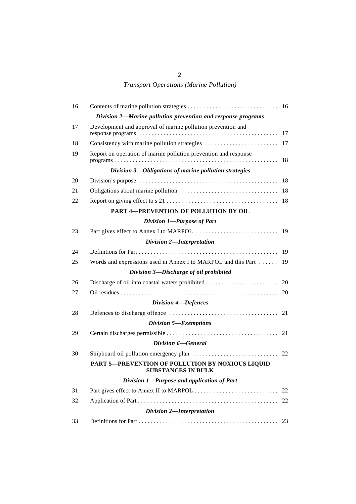*Transport Operations (Marine Pollution)*

| 16 |                                                                        |    |
|----|------------------------------------------------------------------------|----|
|    | Division 2-Marine pollution prevention and response programs           |    |
| 17 | Development and approval of marine pollution prevention and            |    |
| 18 |                                                                        |    |
|    |                                                                        |    |
| 19 | Report on operation of marine pollution prevention and response        | 18 |
|    | Division 3-Obligations of marine pollution strategies                  |    |
| 20 |                                                                        |    |
| 21 |                                                                        |    |
| 22 |                                                                        |    |
|    | PART 4-PREVENTION OF POLLUTION BY OIL                                  |    |
|    | Division 1-Purpose of Part                                             |    |
| 23 |                                                                        |    |
|    | Division 2-Interpretation                                              |    |
| 24 |                                                                        |    |
| 25 | Words and expressions used in Annex I to MARPOL and this Part  19      |    |
|    | Division 3-Discharge of oil prohibited                                 |    |
| 26 |                                                                        |    |
| 27 |                                                                        |    |
|    | <b>Division 4-Defences</b>                                             |    |
| 28 |                                                                        |    |
|    | Division 5-Exemptions                                                  |    |
| 29 |                                                                        |    |
|    | Division 6-General                                                     |    |
| 30 |                                                                        |    |
|    | PART 5-PREVENTION OF POLLUTION BY NOXIOUS LIQUID<br>SUBSTANCES IN BULK |    |
|    | Division 1-Purpose and application of Part                             |    |
| 31 |                                                                        | 22 |
| 32 |                                                                        |    |
|    | Division 2-Interpretation                                              |    |
| 33 |                                                                        |    |
|    |                                                                        |    |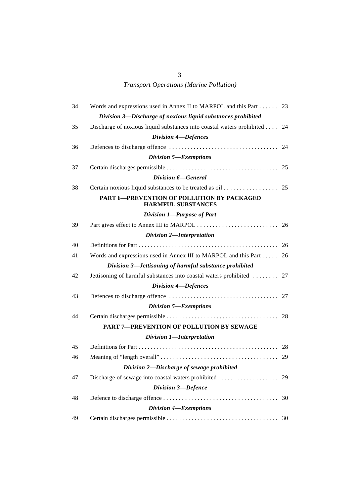*Transport Operations (Marine Pollution)*

| 34 | Words and expressions used in Annex II to MARPOL and this Part 23         |    |
|----|---------------------------------------------------------------------------|----|
|    | Division 3-Discharge of noxious liquid substances prohibited              |    |
| 35 | Discharge of noxious liquid substances into coastal waters prohibited  24 |    |
|    | <b>Division 4-Defences</b>                                                |    |
| 36 |                                                                           |    |
|    | Division 5-Exemptions                                                     |    |
| 37 |                                                                           |    |
|    | Division 6–General                                                        |    |
| 38 |                                                                           |    |
|    | PART 6-PREVENTION OF POLLUTION BY PACKAGED<br><b>HARMFUL SUBSTANCES</b>   |    |
|    | Division 1-Purpose of Part                                                |    |
| 39 |                                                                           |    |
|    | Division 2-Interpretation                                                 |    |
| 40 |                                                                           |    |
| 41 | Words and expressions used in Annex III to MARPOL and this Part           | 26 |
|    | Division 3-Jettisoning of harmful substance prohibited                    |    |
| 42 | Jettisoning of harmful substances into coastal waters prohibited  27      |    |
|    | Division 4-Defences                                                       |    |
| 43 |                                                                           |    |
|    | Division 5-Exemptions                                                     |    |
| 44 |                                                                           |    |
|    | <b>PART 7-PREVENTION OF POLLUTION BY SEWAGE</b>                           |    |
|    | Division 1-Interpretation                                                 |    |
| 45 |                                                                           |    |
| 46 |                                                                           |    |
|    | Division 2-Discharge of sewage prohibited                                 |    |
| 47 |                                                                           |    |
|    | Division 3-Defence                                                        |    |
| 48 |                                                                           | 30 |
|    | Division 4-Exemptions                                                     |    |
| 49 |                                                                           |    |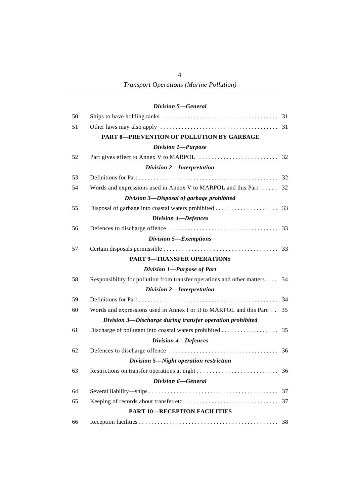4

### *Division 5—General*

| 50 |                                                                         |    |
|----|-------------------------------------------------------------------------|----|
| 51 |                                                                         |    |
|    | <b>PART 8-PREVENTION OF POLLUTION BY GARBAGE</b>                        |    |
|    | Division 1-Purpose                                                      |    |
| 52 |                                                                         |    |
|    | Division 2-Interpretation                                               |    |
| 53 |                                                                         |    |
| 54 | Words and expressions used in Annex V to MARPOL and this Part           | 32 |
|    | Division 3-Disposal of garbage prohibited                               |    |
| 55 | Disposal of garbage into coastal waters prohibited                      | 33 |
|    | Division 4-Defences                                                     |    |
| 56 |                                                                         |    |
|    | Division 5-Exemptions                                                   |    |
| 57 |                                                                         |    |
|    | <b>PART 9-TRANSFER OPERATIONS</b>                                       |    |
|    | Division 1-Purpose of Part                                              |    |
| 58 | Responsibility for pollution from transfer operations and other matters | 34 |
|    | Division 2-Interpretation                                               |    |
| 59 |                                                                         | 34 |
| 60 | Words and expressions used in Annex I or II to MARPOL and this Part     | 35 |
|    | Division 3-Discharge during transfer operation prohibited               |    |
| 61 |                                                                         | 35 |
|    | <b>Division 4-Defences</b>                                              |    |
| 62 |                                                                         | 36 |
|    | Division 5-Night operation restriction                                  |    |
| 63 |                                                                         |    |
|    | Division 6-General                                                      |    |
| 64 |                                                                         |    |
| 65 |                                                                         |    |
|    | <b>PART 10-RECEPTION FACILITIES</b>                                     |    |
| 66 |                                                                         |    |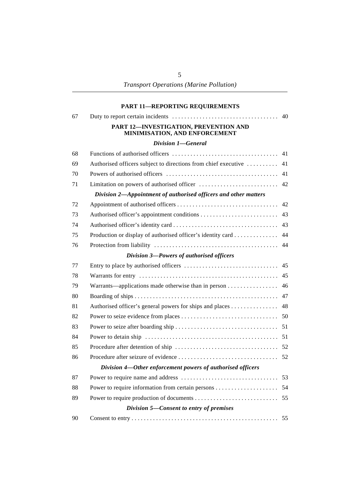|    | <b>PART 11-REPORTING REQUIREMENTS</b>                                  |    |
|----|------------------------------------------------------------------------|----|
| 67 |                                                                        | 40 |
|    | PART 12-INVESTIGATION, PREVENTION AND<br>MINIMISATION, AND ENFORCEMENT |    |
|    | Division 1-General                                                     |    |
| 68 |                                                                        | 41 |
| 69 | Authorised officers subject to directions from chief executive         | 41 |
| 70 |                                                                        | 41 |
| 71 |                                                                        | 42 |
|    | Division 2-Appointment of authorised officers and other matters        |    |
| 72 |                                                                        | 42 |
| 73 |                                                                        | 43 |
| 74 |                                                                        | 43 |
| 75 | Production or display of authorised officer's identity card            | 44 |
| 76 |                                                                        | 44 |
|    | Division 3-Powers of authorised officers                               |    |
| 77 |                                                                        | 45 |
| 78 |                                                                        | 45 |
| 79 | Warrants—applications made otherwise than in person                    | 46 |
| 80 |                                                                        | 47 |
| 81 | Authorised officer's general powers for ships and places               | 48 |
| 82 |                                                                        |    |
| 83 |                                                                        |    |
| 84 |                                                                        |    |
| 85 |                                                                        |    |
| 86 |                                                                        |    |
|    | Division 4-Other enforcement powers of authorised officers             |    |
| 87 |                                                                        |    |
| 88 |                                                                        | 54 |
| 89 |                                                                        | 55 |
|    | Division 5-Consent to entry of premises                                |    |
| 90 |                                                                        |    |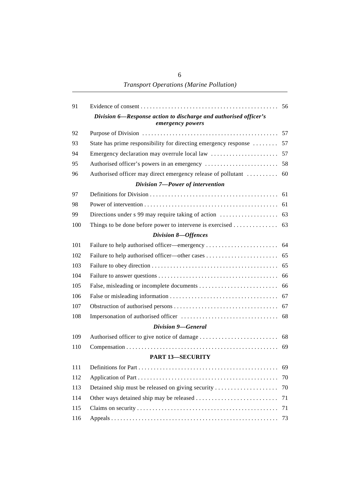*Transport Operations (Marine Pollution)*

| 91  |                                                                                      |    |
|-----|--------------------------------------------------------------------------------------|----|
|     | Division 6-Response action to discharge and authorised officer's<br>emergency powers |    |
| 92  |                                                                                      |    |
| 93  | State has prime responsibility for directing emergency response  57                  |    |
| 94  |                                                                                      |    |
| 95  |                                                                                      |    |
| 96  |                                                                                      |    |
|     | Division 7-Power of intervention                                                     |    |
| 97  |                                                                                      |    |
| 98  |                                                                                      |    |
| 99  |                                                                                      |    |
| 100 |                                                                                      |    |
|     | Division 8-Offences                                                                  |    |
| 101 |                                                                                      |    |
| 102 |                                                                                      |    |
| 103 |                                                                                      |    |
| 104 |                                                                                      |    |
| 105 |                                                                                      |    |
| 106 |                                                                                      |    |
| 107 |                                                                                      |    |
| 108 |                                                                                      |    |
|     | Division 9–General                                                                   |    |
| 109 |                                                                                      |    |
| 110 |                                                                                      |    |
|     | <b>PART 13-SECURITY</b>                                                              |    |
| 111 |                                                                                      |    |
| 112 |                                                                                      | 70 |
| 113 | Detained ship must be released on giving security                                    | 70 |
| 114 |                                                                                      | 71 |
| 115 |                                                                                      | 71 |
| 116 |                                                                                      | 73 |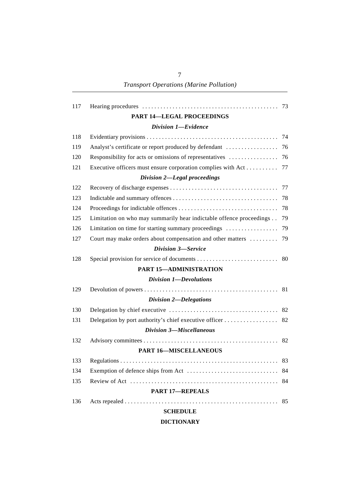| 117 |                                                                     | 73 |
|-----|---------------------------------------------------------------------|----|
|     | <b>PART 14-LEGAL PROCEEDINGS</b>                                    |    |
|     | Division 1-Evidence                                                 |    |
| 118 |                                                                     | 74 |
| 119 | Analyst's certificate or report produced by defendant               | 76 |
| 120 | Responsibility for acts or omissions of representatives             | 76 |
| 121 | Executive officers must ensure corporation complies with Act        | 77 |
|     | Division 2-Legal proceedings                                        |    |
| 122 |                                                                     | 77 |
| 123 |                                                                     | 78 |
| 124 |                                                                     | 78 |
| 125 | Limitation on who may summarily hear indictable offence proceedings | 79 |
| 126 | Limitation on time for starting summary proceedings                 | 79 |
| 127 | Court may make orders about compensation and other matters          | 79 |
|     | Division 3-Service                                                  |    |
| 128 |                                                                     |    |
|     | PART 15-ADMINISTRATION                                              |    |
|     | Division 1-Devolutions                                              |    |
| 129 |                                                                     | 81 |
|     | Division 2-Delegations                                              |    |
| 130 |                                                                     | 82 |
| 131 |                                                                     | 82 |
|     | Division 3-Miscellaneous                                            |    |
| 132 |                                                                     | 82 |
|     | <b>PART 16-MISCELLANEOUS</b>                                        |    |
| 133 |                                                                     |    |
| 134 |                                                                     |    |
| 135 |                                                                     | 84 |
|     | <b>PART 17-REPEALS</b>                                              |    |
| 136 |                                                                     | 85 |
|     | <b>SCHEDULE</b>                                                     |    |

#### **DICTIONARY**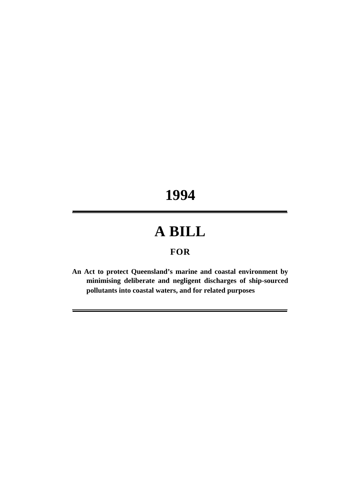# **1994**

## **A BILL**

## **FOR**

**An Act to protect Queensland's marine and coastal environment by minimising deliberate and negligent discharges of ship-sourced pollutants into coastal waters, and for related purposes**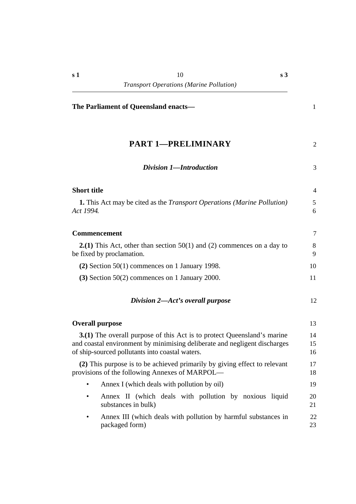**The Parliament of Queensland enacts—** 1

**s 3**

| <b>PART 1-PRELIMINARY</b>                                                                                                                                                                               | $\overline{2}$ |
|---------------------------------------------------------------------------------------------------------------------------------------------------------------------------------------------------------|----------------|
| Division 1-Introduction                                                                                                                                                                                 | 3              |
| <b>Short title</b>                                                                                                                                                                                      | 4              |
| <b>1.</b> This Act may be cited as the <i>Transport Operations</i> ( <i>Marine Pollution</i> )<br>Act 1994.                                                                                             | 5<br>6         |
| <b>Commencement</b>                                                                                                                                                                                     | 7              |
| <b>2.(1)</b> This Act, other than section $50(1)$ and (2) commences on a day to<br>be fixed by proclamation.                                                                                            | 8<br>9         |
| $(2)$ Section 50(1) commences on 1 January 1998.                                                                                                                                                        | 10             |
| $(3)$ Section 50(2) commences on 1 January 2000.                                                                                                                                                        | 11             |
| Division 2-Act's overall purpose                                                                                                                                                                        | 12             |
| <b>Overall purpose</b>                                                                                                                                                                                  | 13             |
| 3.(1) The overall purpose of this Act is to protect Queensland's marine<br>and coastal environment by minimising deliberate and negligent discharges<br>of ship-sourced pollutants into coastal waters. | 14<br>15<br>16 |
| (2) This purpose is to be achieved primarily by giving effect to relevant<br>provisions of the following Annexes of MARPOL—                                                                             | 17<br>18       |
| Annex I (which deals with pollution by oil)                                                                                                                                                             | 19             |
| Annex II (which deals with pollution by noxious liquid<br>٠<br>substances in bulk)                                                                                                                      | 20<br>21       |
| Anney III (which deals with pollution by harmful substances in                                                                                                                                          | 22             |

Annex III (which deals with pollution by harmful substances in packaged form) 23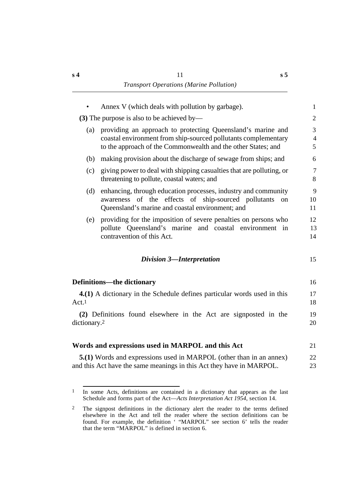|                          | Annex V (which deals with pollution by garbage).                                                                                            | $\mathbf{1}$        |
|--------------------------|---------------------------------------------------------------------------------------------------------------------------------------------|---------------------|
|                          | (3) The purpose is also to be achieved by—                                                                                                  | 2                   |
| (a)                      | providing an approach to protecting Queensland's marine and                                                                                 | 3                   |
|                          | coastal environment from ship-sourced pollutants complementary<br>to the approach of the Commonwealth and the other States; and             | $\overline{4}$<br>5 |
| (b)                      | making provision about the discharge of sewage from ships; and                                                                              | 6                   |
| (c)                      | giving power to deal with shipping casualties that are polluting, or<br>threatening to pollute, coastal waters; and                         | 7<br>8              |
| (d)                      | enhancing, through education processes, industry and community                                                                              | 9                   |
|                          | awareness of the effects of ship-sourced pollutants<br>on<br>Queensland's marine and coastal environment; and                               | 10<br>11            |
| (e)                      | providing for the imposition of severe penalties on persons who                                                                             | 12                  |
|                          | pollute Queensland's marine and coastal environment in<br>contravention of this Act.                                                        | 13<br>14            |
|                          | <b>Division 3-Interpretation</b>                                                                                                            | 15                  |
|                          | <b>Definitions—the dictionary</b>                                                                                                           | 16                  |
| Act.1                    | 4.(1) A dictionary in the Schedule defines particular words used in this                                                                    | 17<br>18            |
| dictionary. <sup>2</sup> | (2) Definitions found elsewhere in the Act are signposted in the                                                                            | 19<br>20            |
|                          |                                                                                                                                             |                     |
|                          | Words and expressions used in MARPOL and this Act                                                                                           | 21                  |
|                          | 5.(1) Words and expressions used in MARPOL (other than in an annex)<br>and this Act have the same meanings in this Act they have in MARPOL. | 22<br>23            |
|                          |                                                                                                                                             |                     |

<sup>1</sup> In some Acts, definitions are contained in a dictionary that appears as the last Schedule and forms part of the Act—*Acts Interpretation Act 1954*, section 14.

<sup>2</sup> The signpost definitions in the dictionary alert the reader to the terms defined elsewhere in the Act and tell the reader where the section definitions can be found. For example, the definition ' "MARPOL" see section 6' tells the reader that the term "MARPOL" is defined in section 6.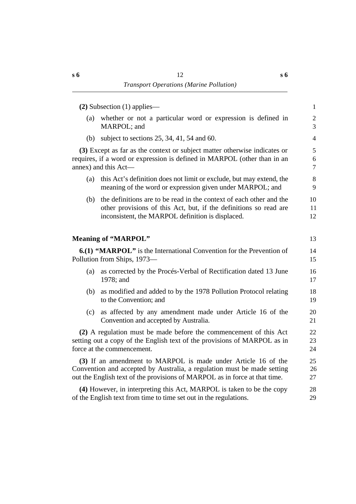|     | $(2)$ Subsection $(1)$ applies—                                                                                                                                                                                        | $\mathbf{1}$                     |
|-----|------------------------------------------------------------------------------------------------------------------------------------------------------------------------------------------------------------------------|----------------------------------|
| (a) | whether or not a particular word or expression is defined in<br>MARPOL; and                                                                                                                                            | $\overline{c}$<br>$\overline{3}$ |
| (b) | subject to sections $25$ , $34$ , $41$ , $54$ and $60$ .                                                                                                                                                               | $\overline{4}$                   |
|     | (3) Except as far as the context or subject matter otherwise indicates or<br>requires, if a word or expression is defined in MARPOL (other than in an<br>annex) and this Act-                                          | 5<br>6<br>$\overline{7}$         |
| (a) | this Act's definition does not limit or exclude, but may extend, the<br>meaning of the word or expression given under MARPOL; and                                                                                      | $8\,$<br>9                       |
| (b) | the definitions are to be read in the context of each other and the<br>other provisions of this Act, but, if the definitions so read are<br>inconsistent, the MARPOL definition is displaced.                          | 10<br>11<br>12                   |
|     | <b>Meaning of "MARPOL"</b>                                                                                                                                                                                             | 13                               |
|     | 6.(1) "MARPOL" is the International Convention for the Prevention of<br>Pollution from Ships, 1973—                                                                                                                    | 14<br>15                         |
| (a) | as corrected by the Procés-Verbal of Rectification dated 13 June<br>1978; and                                                                                                                                          | 16<br>17                         |
| (b) | as modified and added to by the 1978 Pollution Protocol relating<br>to the Convention; and                                                                                                                             | 18<br>19                         |
| (c) | as affected by any amendment made under Article 16 of the<br>Convention and accepted by Australia.                                                                                                                     | 20<br>21                         |
|     | (2) A regulation must be made before the commencement of this Act<br>setting out a copy of the English text of the provisions of MARPOL as in<br>force at the commencement.                                            | 22<br>23<br>24                   |
|     | (3) If an amendment to MARPOL is made under Article 16 of the<br>Convention and accepted by Australia, a regulation must be made setting<br>out the English text of the provisions of MARPOL as in force at that time. | 25<br>26<br>27                   |
|     | (4) However, in interpreting this Act, MARPOL is taken to be the copy<br>of the English text from time to time set out in the regulations.                                                                             | 28<br>29                         |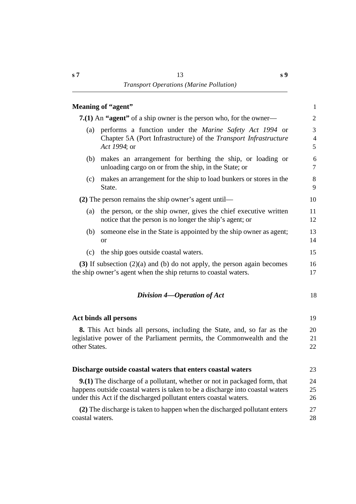|                 | Meaning of "agent"                                                                                                                                                                                                                     | $\mathbf{1}$   |
|-----------------|----------------------------------------------------------------------------------------------------------------------------------------------------------------------------------------------------------------------------------------|----------------|
|                 | <b>7.(1)</b> An "agent" of a ship owner is the person who, for the owner—                                                                                                                                                              | 2              |
| (a)             | performs a function under the <i>Marine Safety Act 1994</i> or<br>Chapter 5A (Port Infrastructure) of the Transport Infrastructure<br>Act 1994; or                                                                                     | 3<br>4<br>5    |
| (b)             | makes an arrangement for berthing the ship, or loading or<br>unloading cargo on or from the ship, in the State; or                                                                                                                     | 6<br>$\tau$    |
| (c)             | makes an arrangement for the ship to load bunkers or stores in the<br>State.                                                                                                                                                           | 8<br>9         |
|                 | $(2)$ The person remains the ship owner's agent until—                                                                                                                                                                                 | 10             |
| (a)             | the person, or the ship owner, gives the chief executive written<br>notice that the person is no longer the ship's agent; or                                                                                                           | 11<br>12       |
| (b)             | someone else in the State is appointed by the ship owner as agent;<br><b>or</b>                                                                                                                                                        | 13<br>14       |
| (c)             | the ship goes outside coastal waters.                                                                                                                                                                                                  | 15             |
|                 | (3) If subsection $(2)(a)$ and (b) do not apply, the person again becomes<br>the ship owner's agent when the ship returns to coastal waters.                                                                                           | 16<br>17       |
|                 | Division 4—Operation of Act                                                                                                                                                                                                            | 18             |
|                 | Act binds all persons                                                                                                                                                                                                                  | 19             |
| other States.   | 8. This Act binds all persons, including the State, and, so far as the<br>legislative power of the Parliament permits, the Commonwealth and the                                                                                        | 20<br>21<br>22 |
|                 | Discharge outside coastal waters that enters coastal waters                                                                                                                                                                            | 23             |
|                 | <b>9.(1)</b> The discharge of a pollutant, whether or not in packaged form, that<br>happens outside coastal waters is taken to be a discharge into coastal waters<br>under this Act if the discharged pollutant enters coastal waters. | 24<br>25<br>26 |
| coastal waters. | (2) The discharge is taken to happen when the discharged pollutant enters                                                                                                                                                              | 27<br>28       |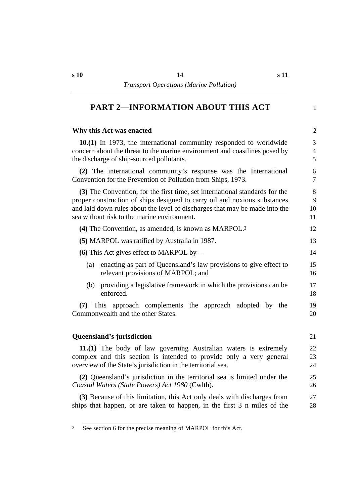## **†PART 2—INFORMATION ABOUT THIS ACT** 1

#### **The Why this Act was enacted** 2

**10.(1)** In 1973, the international community responded to worldwide 3 concern about the threat to the marine environment and coastlines posed by 4 the discharge of ship-sourced pollutants. 5

**(2)** The international community's response was the International 6 Convention for the Prevention of Pollution from Ships, 1973.

**(3)** The Convention, for the first time, set international standards for the 8 proper construction of ships designed to carry oil and noxious substances 9 and laid down rules about the level of discharges that may be made into the 10 sea without risk to the marine environment.

| $(4)$ The Convention, as amended, is known as MARPOL. <sup>3</sup>       | 12. |
|--------------------------------------------------------------------------|-----|
| (5) MARPOL was ratified by Australia in 1987.                            | 13  |
| (6) This Act gives effect to MARPOL by—                                  |     |
| enacting as part of Queensland's law provisions to give effect to<br>(a) | 15  |

- relevant provisions of MARPOL; and 16 (b) providing a legislative framework in which the provisions can be 17
- enforced. 18

**(7)** This approach complements the approach adopted by the 19 Commonwealth and the other States. 20

#### **Oueensland's jurisdiction** 21

**11.(1)** The body of law governing Australian waters is extremely 22 complex and this section is intended to provide only a very general 23 overview of the State's jurisdiction in the territorial sea. 24

**(2)** Queensland's jurisdiction in the territorial sea is limited under the 25 *Coastal Waters (State Powers) Act 1980* (Cwlth). 26

**(3)** Because of this limitation, this Act only deals with discharges from 27 ships that happen, or are taken to happen, in the first 3 n miles of the 28

<sup>3</sup> See section 6 for the precise meaning of MARPOL for this Act.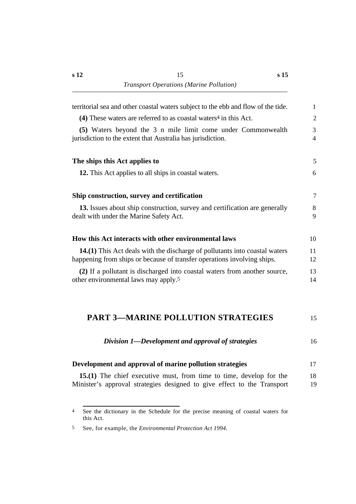| $\mathbf{1}$   |
|----------------|
| $\overline{2}$ |
| 3<br>4         |
| 5              |
| 6              |
| $\tau$         |
| 8<br>9         |
| 10             |
| 11<br>12       |
| 13<br>14       |
| 15             |
|                |

| Division 1—Development and approval of strategies |  |
|---------------------------------------------------|--|
|---------------------------------------------------|--|

| Development and approval of marine pollution strategies |  |
|---------------------------------------------------------|--|
|                                                         |  |

**15.(1)** The chief executive must, from time to time, develop for the 18 Minister's approval strategies designed to give effect to the Transport 19

<sup>4</sup> See the dictionary in the Schedule for the precise meaning of coastal waters for this Act.

<sup>5</sup> See, for example, the *Environmental Protection Act 1994*.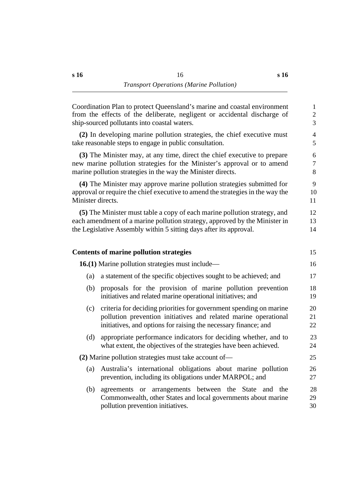| Coordination Plan to protect Queensland's marine and coastal environment<br>from the effects of the deliberate, negligent or accidental discharge of<br>ship-sourced pollutants into coastal waters.                          | $\mathbf{1}$<br>$\mathbf{2}$<br>$\overline{3}$ |
|-------------------------------------------------------------------------------------------------------------------------------------------------------------------------------------------------------------------------------|------------------------------------------------|
| (2) In developing marine pollution strategies, the chief executive must<br>take reasonable steps to engage in public consultation.                                                                                            | $\overline{4}$<br>5                            |
| (3) The Minister may, at any time, direct the chief executive to prepare<br>new marine pollution strategies for the Minister's approval or to amend<br>marine pollution strategies in the way the Minister directs.           | 6<br>$\tau$<br>$8\,$                           |
| (4) The Minister may approve marine pollution strategies submitted for<br>approval or require the chief executive to amend the strategies in the way the<br>Minister directs.                                                 | 9<br>10<br>11                                  |
| (5) The Minister must table a copy of each marine pollution strategy, and<br>each amendment of a marine pollution strategy, approved by the Minister in<br>the Legislative Assembly within 5 sitting days after its approval. | 12<br>13<br>14                                 |
| <b>Contents of marine pollution strategies</b>                                                                                                                                                                                | 15                                             |
| 16.(1) Marine pollution strategies must include—                                                                                                                                                                              | 16                                             |
| a statement of the specific objectives sought to be achieved; and<br>(a)                                                                                                                                                      | 17                                             |
| proposals for the provision of marine pollution prevention<br>(b)<br>initiatives and related marine operational initiatives; and                                                                                              | 18<br>19                                       |
| criteria for deciding priorities for government spending on marine<br>(c)<br>pollution prevention initiatives and related marine operational<br>initiatives, and options for raising the necessary finance; and               | 20<br>21<br>22                                 |
| appropriate performance indicators for deciding whether, and to<br>(d)<br>what extent, the objectives of the strategies have been achieved.                                                                                   | 23<br>24                                       |
| (2) Marine pollution strategies must take account of-                                                                                                                                                                         | 25                                             |
| Australia's international obligations about marine pollution<br>(a)<br>prevention, including its obligations under MARPOL; and                                                                                                | 26<br>27                                       |
| (b)<br>agreements or arrangements between the State and the<br>Commonwealth, other States and local governments about marine<br>pollution prevention initiatives.                                                             | 28<br>29<br>30                                 |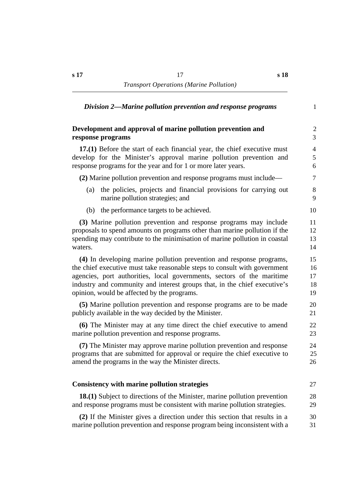| Division 2—Marine pollution prevention and response programs                                                | $\mathbf{1}$   |
|-------------------------------------------------------------------------------------------------------------|----------------|
| Development and approval of marine pollution prevention and                                                 | $\overline{2}$ |
| response programs                                                                                           | 3              |
| 17.(1) Before the start of each financial year, the chief executive must                                    | $\overline{4}$ |
| develop for the Minister's approval marine pollution prevention and                                         | 5              |
| response programs for the year and for 1 or more later years.                                               | 6              |
| (2) Marine pollution prevention and response programs must include—                                         | 7              |
| the policies, projects and financial provisions for carrying out<br>(a)<br>marine pollution strategies; and | 8<br>9         |
| the performance targets to be achieved.<br>(b)                                                              | 10             |
| (3) Marine pollution prevention and response programs may include                                           | 11             |
| proposals to spend amounts on programs other than marine pollution if the                                   | 12             |
| spending may contribute to the minimisation of marine pollution in coastal                                  | 13             |
| waters.                                                                                                     | 14             |
| (4) In developing marine pollution prevention and response programs,                                        | 15             |
| the chief executive must take reasonable steps to consult with government                                   | 16             |
| agencies, port authorities, local governments, sectors of the maritime                                      | 17             |
| industry and community and interest groups that, in the chief executive's                                   | 18             |
| opinion, would be affected by the programs.                                                                 | 19             |
| (5) Marine pollution prevention and response programs are to be made                                        | 20             |
| publicly available in the way decided by the Minister.                                                      | 21             |
| (6) The Minister may at any time direct the chief executive to amend                                        | 22             |
| marine pollution prevention and response programs.                                                          | 23             |
| (7) The Minister may approve marine pollution prevention and response                                       | 24             |
| programs that are submitted for approval or require the chief executive to                                  | 25             |
| amend the programs in the way the Minister directs.                                                         | 26             |
| <b>Consistency with marine pollution strategies</b>                                                         | 27             |
| <b>18.(1)</b> Subject to directions of the Minister, marine pollution prevention                            | 28             |
| and response programs must be consistent with marine pollution strategies.                                  | 29             |
| (2) If the Minister gives a direction under this section that results in a                                  | 30             |
| marine pollution prevention and response program being inconsistent with a                                  | 31             |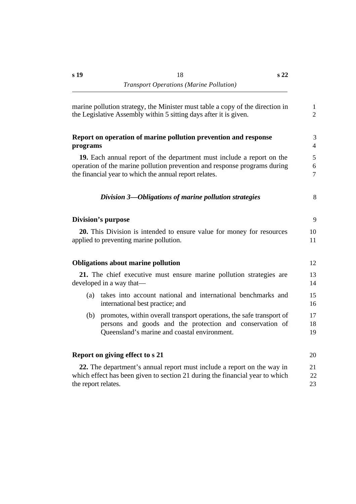|                     | marine pollution strategy, the Minister must table a copy of the direction in<br>the Legislative Assembly within 5 sitting days after it is given.                                                           | $\mathbf{1}$<br>$\overline{2}$        |
|---------------------|--------------------------------------------------------------------------------------------------------------------------------------------------------------------------------------------------------------|---------------------------------------|
| programs            | Report on operation of marine pollution prevention and response                                                                                                                                              | 3<br>$\overline{4}$                   |
|                     | 19. Each annual report of the department must include a report on the<br>operation of the marine pollution prevention and response programs during<br>the financial year to which the annual report relates. | 5 <sup>5</sup><br>6<br>$\overline{7}$ |
|                     | Division 3-Obligations of marine pollution strategies                                                                                                                                                        | 8                                     |
|                     | <b>Division's purpose</b>                                                                                                                                                                                    | 9                                     |
|                     | 20. This Division is intended to ensure value for money for resources<br>applied to preventing marine pollution.                                                                                             | 10<br>11                              |
|                     | <b>Obligations about marine pollution</b>                                                                                                                                                                    | 12                                    |
|                     | 21. The chief executive must ensure marine pollution strategies are<br>developed in a way that—                                                                                                              | 13<br>14                              |
| (a)                 | takes into account national and international benchmarks and<br>international best practice; and                                                                                                             | 15<br>16                              |
| (b)                 | promotes, within overall transport operations, the safe transport of<br>persons and goods and the protection and conservation of<br>Queensland's marine and coastal environment.                             | 17<br>18<br>19                        |
|                     | Report on giving effect to s 21                                                                                                                                                                              | 20                                    |
| the report relates. | 22. The department's annual report must include a report on the way in<br>which effect has been given to section 21 during the financial year to which                                                       | 21<br>22<br>23                        |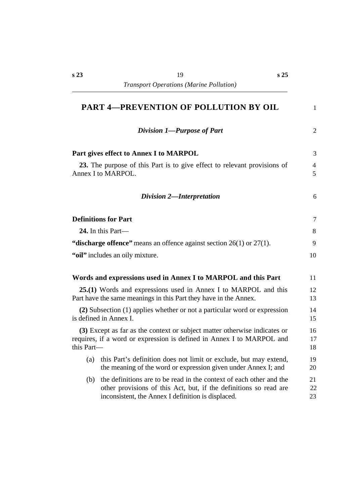| <b>PART 4-PREVENTION OF POLLUTION BY OIL</b>                                                                                                                                                          |                     |
|-------------------------------------------------------------------------------------------------------------------------------------------------------------------------------------------------------|---------------------|
| Division 1-Purpose of Part                                                                                                                                                                            | $\overline{2}$      |
| Part gives effect to Annex I to MARPOL                                                                                                                                                                | 3                   |
| 23. The purpose of this Part is to give effect to relevant provisions of<br>Annex I to MARPOL.                                                                                                        | $\overline{4}$<br>5 |
| <b>Division 2-Interpretation</b>                                                                                                                                                                      | 6                   |
| <b>Definitions for Part</b>                                                                                                                                                                           | $\overline{7}$      |
| 24. In this Part—                                                                                                                                                                                     | 8                   |
| "discharge offence" means an offence against section $26(1)$ or $27(1)$ .                                                                                                                             | 9                   |
| "oil" includes an oily mixture.                                                                                                                                                                       | 10                  |
| Words and expressions used in Annex I to MARPOL and this Part                                                                                                                                         | 11                  |
| 25.(1) Words and expressions used in Annex I to MARPOL and this<br>Part have the same meanings in this Part they have in the Annex.                                                                   | 12<br>13            |
| (2) Subsection (1) applies whether or not a particular word or expression<br>is defined in Annex I.                                                                                                   | 14<br>15            |
| (3) Except as far as the context or subject matter otherwise indicates or<br>requires, if a word or expression is defined in Annex I to MARPOL and<br>this Part—                                      | 16<br>17<br>18      |
| this Part's definition does not limit or exclude, but may extend,<br>(a)<br>the meaning of the word or expression given under Annex I; and                                                            | 19<br>20            |
| the definitions are to be read in the context of each other and the<br>(b)<br>other provisions of this Act, but, if the definitions so read are<br>inconsistent, the Annex I definition is displaced. | 21<br>22<br>23      |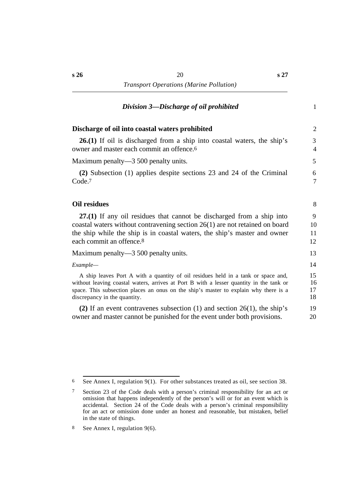## $*Division 3—Discharge of oil prohibited* 1$

| Discharge of oil into coastal waters prohibited                                                                                                                                                                                                                                                      | 2                    |
|------------------------------------------------------------------------------------------------------------------------------------------------------------------------------------------------------------------------------------------------------------------------------------------------------|----------------------|
| <b>26.(1)</b> If oil is discharged from a ship into coastal waters, the ship's<br>owner and master each commit an offence. <sup>6</sup>                                                                                                                                                              | 3<br>4               |
| Maximum penalty—3 500 penalty units.                                                                                                                                                                                                                                                                 | 5                    |
| (2) Subsection (1) applies despite sections 23 and 24 of the Criminal<br>Code. <sup>7</sup>                                                                                                                                                                                                          | 6<br>7               |
| Oil residues                                                                                                                                                                                                                                                                                         | 8                    |
| $27(1)$ If any oil residues that cannot be discharged from a ship into<br>coastal waters without contravening section $26(1)$ are not retained on board<br>the ship while the ship is in coastal waters, the ship's master and owner<br>each commit an offence. <sup>8</sup>                         | 9<br>10<br>11<br>12  |
| Maximum penalty—3 500 penalty units.                                                                                                                                                                                                                                                                 | 13                   |
| Example-                                                                                                                                                                                                                                                                                             | 14                   |
| A ship leaves Port A with a quantity of oil residues held in a tank or space and,<br>without leaving coastal waters, arrives at Port B with a lesser quantity in the tank or<br>space. This subsection places an onus on the ship's master to explain why there is a<br>discrepancy in the quantity. | 15<br>16<br>17<br>18 |
| (2) If an event contravenes subsection (1) and section $26(1)$ , the ship's<br>owner and master cannot be punished for the event under both provisions.                                                                                                                                              | 19<br>20             |
|                                                                                                                                                                                                                                                                                                      |                      |

6 See Annex I, regulation 9(1). For other substances treated as oil, see section 38.

<sup>7</sup> Section 23 of the Code deals with a person's criminal responsibility for an act or omission that happens independently of the person's will or for an event which is accidental. Section 24 of the Code deals with a person's criminal responsibility for an act or omission done under an honest and reasonable, but mistaken, belief in the state of things.

<sup>8</sup> See Annex I, regulation 9(6).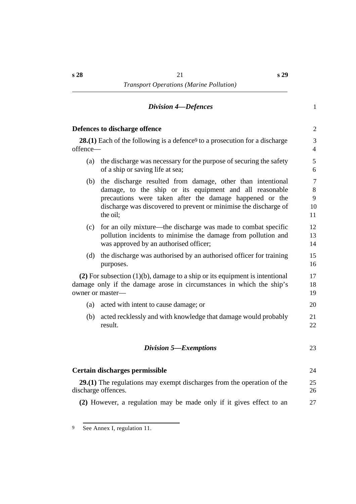## *†Division 4—Defences* 1

|          | Defences to discharge offence                                                                                                                                                                                                                                    | $\overline{2}$                       |
|----------|------------------------------------------------------------------------------------------------------------------------------------------------------------------------------------------------------------------------------------------------------------------|--------------------------------------|
| offence— | <b>28.(1)</b> Each of the following is a defence to a prosecution for a discharge                                                                                                                                                                                | 3<br>$\overline{4}$                  |
| (a)      | the discharge was necessary for the purpose of securing the safety<br>of a ship or saving life at sea;                                                                                                                                                           | 5<br>6                               |
| (b)      | the discharge resulted from damage, other than intentional<br>damage, to the ship or its equipment and all reasonable<br>precautions were taken after the damage happened or the<br>discharge was discovered to prevent or minimise the discharge of<br>the oil; | $\overline{7}$<br>8<br>9<br>10<br>11 |
| (c)      | for an oily mixture—the discharge was made to combat specific<br>pollution incidents to minimise the damage from pollution and<br>was approved by an authorised officer;                                                                                         | 12<br>13<br>14                       |
| (d)      | the discharge was authorised by an authorised officer for training<br>purposes.                                                                                                                                                                                  | 15<br>16                             |
|          | $(2)$ For subsection $(1)(b)$ , damage to a ship or its equipment is intentional<br>damage only if the damage arose in circumstances in which the ship's<br>owner or master-                                                                                     | 17<br>18<br>19                       |
| (a)      | acted with intent to cause damage; or                                                                                                                                                                                                                            | 20                                   |
| (b)      | acted recklessly and with knowledge that damage would probably<br>result.                                                                                                                                                                                        | 21<br>22                             |
|          | Division 5-Exemptions                                                                                                                                                                                                                                            | 23                                   |
|          | Certain discharges permissible                                                                                                                                                                                                                                   | 24                                   |
|          | $29(1)$ The regulations may exempt discharges from the operation of the<br>discharge offences.                                                                                                                                                                   | 25<br>26                             |
|          | (2) However, a regulation may be made only if it gives effect to an                                                                                                                                                                                              | 27                                   |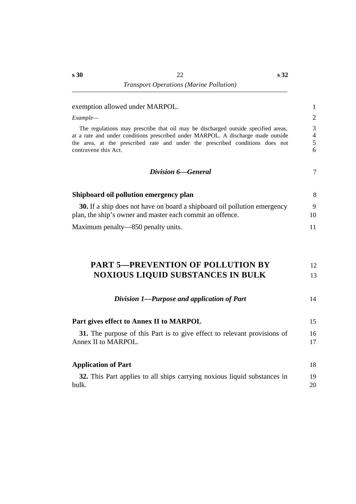| exemption allowed under MARPOL.                                                                                                                                                                                                                                                | $\mathbf{1}$                  |
|--------------------------------------------------------------------------------------------------------------------------------------------------------------------------------------------------------------------------------------------------------------------------------|-------------------------------|
| Example-                                                                                                                                                                                                                                                                       | $\overline{c}$                |
| The regulations may prescribe that oil may be discharged outside specified areas,<br>at a rate and under conditions prescribed under MARPOL. A discharge made outside<br>the area, at the prescribed rate and under the prescribed conditions does not<br>contravene this Act. | 3<br>$\overline{4}$<br>5<br>6 |
| Division 6–General                                                                                                                                                                                                                                                             | $\overline{7}$                |
| Shipboard oil pollution emergency plan                                                                                                                                                                                                                                         | 8                             |
| <b>30.</b> If a ship does not have on board a shipboard oil pollution emergency<br>plan, the ship's owner and master each commit an offence.                                                                                                                                   | 9<br>10                       |
| Maximum penalty—850 penalty units.                                                                                                                                                                                                                                             | 11                            |
| <b>PART 5-PREVENTION OF POLLUTION BY</b><br><b>NOXIOUS LIQUID SUBSTANCES IN BULK</b>                                                                                                                                                                                           | 12<br>13                      |
| Division 1-Purpose and application of Part                                                                                                                                                                                                                                     | 14                            |
| Part gives effect to Annex II to MARPOL                                                                                                                                                                                                                                        | 15                            |
| 31. The purpose of this Part is to give effect to relevant provisions of<br>Annex II to MARPOL.                                                                                                                                                                                | 16<br>17                      |
| <b>Application of Part</b>                                                                                                                                                                                                                                                     | 18                            |
| 32. This Part applies to all ships carrying noxious liquid substances in<br>bulk.                                                                                                                                                                                              | 19<br>20                      |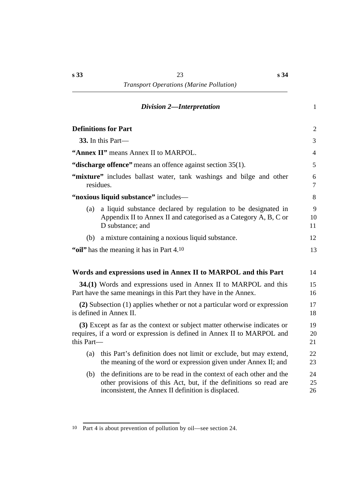## *†Division 2—Interpretation* 1

|            | <b>Definitions for Part</b>                                                                                                                                                                     | $\sqrt{2}$          |
|------------|-------------------------------------------------------------------------------------------------------------------------------------------------------------------------------------------------|---------------------|
|            | 33. In this Part—                                                                                                                                                                               | 3                   |
|            | "Annex II" means Annex II to MARPOL.                                                                                                                                                            | $\overline{4}$      |
|            | "discharge offence" means an offence against section 35(1).                                                                                                                                     | 5                   |
|            | "mixture" includes ballast water, tank washings and bilge and other<br>residues.                                                                                                                | 6<br>$\overline{7}$ |
|            | "noxious liquid substance" includes-                                                                                                                                                            | 8                   |
| (a)        | a liquid substance declared by regulation to be designated in<br>Appendix II to Annex II and categorised as a Category A, B, C or<br>D substance; and                                           | 9<br>10<br>11       |
| (b)        | a mixture containing a noxious liquid substance.                                                                                                                                                | 12                  |
|            | "oil" has the meaning it has in Part 4.10                                                                                                                                                       | 13                  |
|            | Words and expressions used in Annex II to MARPOL and this Part                                                                                                                                  | 14                  |
|            | 34.(1) Words and expressions used in Annex II to MARPOL and this<br>Part have the same meanings in this Part they have in the Annex.                                                            | 15<br>16            |
|            | (2) Subsection (1) applies whether or not a particular word or expression<br>is defined in Annex II.                                                                                            | 17<br>18            |
| this Part- | (3) Except as far as the context or subject matter otherwise indicates or<br>requires, if a word or expression is defined in Annex II to MARPOL and                                             | 19<br>20<br>21      |
| (a)        | this Part's definition does not limit or exclude, but may extend,<br>the meaning of the word or expression given under Annex II; and                                                            | 22<br>23            |
| (b)        | the definitions are to be read in the context of each other and the<br>other provisions of this Act, but, if the definitions so read are<br>inconsistent, the Annex II definition is displaced. | 24<br>25<br>26      |
|            |                                                                                                                                                                                                 |                     |

<sup>10</sup> Part 4 is about prevention of pollution by oil—see section 24.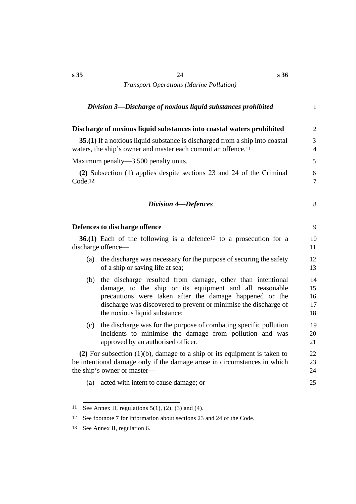|                     | Division 3—Discharge of noxious liquid substances prohibited                                                                                                                                                                                                                          | $\mathbf{1}$                     |
|---------------------|---------------------------------------------------------------------------------------------------------------------------------------------------------------------------------------------------------------------------------------------------------------------------------------|----------------------------------|
|                     | Discharge of noxious liquid substances into coastal waters prohibited                                                                                                                                                                                                                 | $\overline{2}$                   |
|                     | 35.(1) If a noxious liquid substance is discharged from a ship into coastal<br>waters, the ship's owner and master each commit an offence. <sup>11</sup>                                                                                                                              | $\overline{3}$<br>$\overline{4}$ |
|                     | Maximum penalty—3 500 penalty units.                                                                                                                                                                                                                                                  | 5                                |
| Code <sub>.12</sub> | (2) Subsection (1) applies despite sections 23 and 24 of the Criminal                                                                                                                                                                                                                 | 6<br>$\overline{7}$              |
|                     | <b>Division 4-Defences</b>                                                                                                                                                                                                                                                            | 8                                |
|                     | Defences to discharge offence                                                                                                                                                                                                                                                         | 9                                |
|                     | <b>36.(1)</b> Each of the following is a defence <sup>13</sup> to a prosecution for a<br>discharge offence—                                                                                                                                                                           | 10<br>11                         |
| (a)                 | the discharge was necessary for the purpose of securing the safety<br>of a ship or saving life at sea;                                                                                                                                                                                | 12<br>13                         |
| (b)                 | the discharge resulted from damage, other than intentional<br>damage, to the ship or its equipment and all reasonable<br>precautions were taken after the damage happened or the<br>discharge was discovered to prevent or minimise the discharge of<br>the noxious liquid substance; | 14<br>15<br>16<br>17<br>18       |
| (c)                 | the discharge was for the purpose of combating specific pollution<br>incidents to minimise the damage from pollution and was<br>approved by an authorised officer.                                                                                                                    | 19<br>20<br>21                   |
|                     | $(2)$ For subsection $(1)(b)$ , damage to a ship or its equipment is taken to<br>be intentional damage only if the damage arose in circumstances in which<br>the ship's owner or master—                                                                                              | 22<br>23<br>24                   |
|                     | (a) acted with intent to cause damage; or                                                                                                                                                                                                                                             | 25                               |
|                     |                                                                                                                                                                                                                                                                                       |                                  |

<sup>11</sup> See Annex II, regulations  $5(1)$ ,  $(2)$ ,  $(3)$  and  $(4)$ .

<sup>12</sup> See footnote 7 for information about sections 23 and 24 of the Code.

<sup>13</sup> See Annex II, regulation 6.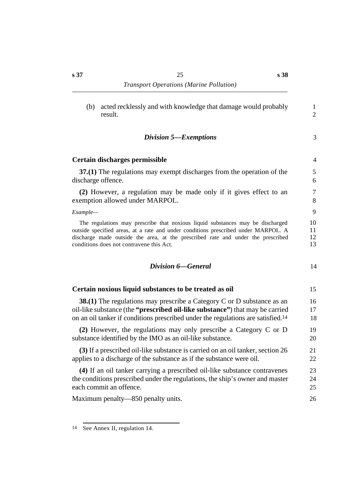#### *†Division 5—Exemptions* 3

#### **˙Certain discharges permissible** 4

**37.(1)** The regulations may exempt discharges from the operation of the 5 discharge offence. 6

**(2)** However, a regulation may be made only if it gives effect to an 7 exemption allowed under MARPOL. 8

*Example—* 9

The regulations may prescribe that noxious liquid substances may be discharged 10 outside specified areas, at a rate and under conditions prescribed under MARPOL. A 11 discharge made outside the area, at the prescribed rate and under the prescribed 12 conditions does not contravene this Act. 13

| Division 6–General |  |
|--------------------|--|
|                    |  |

| Certain noxious liquid substances to be treated as oil                                       | 15 |
|----------------------------------------------------------------------------------------------|----|
| <b>38.(1)</b> The regulations may prescribe a Category C or D substance as an                | 16 |
| oil-like substance (the " <b>prescribed oil-like substance</b> ") that may be carried        | 17 |
| on an oil tanker if conditions prescribed under the regulations are satisfied. <sup>14</sup> | 18 |
| (2) However, the regulations may only prescribe a Category C or D                            | 19 |
| substance identified by the IMO as an oil-like substance.                                    | 20 |
| (3) If a prescribed oil-like substance is carried on an oil tanker, section 26               | 21 |
| applies to a discharge of the substance as if the substance were oil.                        | 22 |
| (4) If an oil tanker carrying a prescribed oil-like substance contravenes                    | 23 |
| the conditions prescribed under the regulations, the ship's owner and master                 | 24 |
| each commit an offence.                                                                      | 25 |
| Maximum penalty—850 penalty units.                                                           | 26 |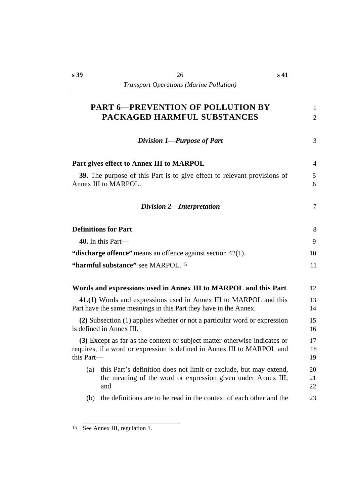| <b>PART 6-PREVENTION OF POLLUTION BY</b><br>PACKAGED HARMFUL SUBSTANCES                                                                                            | 1<br>$\overline{2}$ |
|--------------------------------------------------------------------------------------------------------------------------------------------------------------------|---------------------|
| Division 1-Purpose of Part                                                                                                                                         | 3                   |
| Part gives effect to Annex III to MARPOL                                                                                                                           | $\overline{4}$      |
| 39. The purpose of this Part is to give effect to relevant provisions of<br>Annex III to MARPOL.                                                                   | 5<br>6              |
| Division 2-Interpretation                                                                                                                                          | $\overline{7}$      |
| <b>Definitions for Part</b>                                                                                                                                        | 8                   |
| 40. In this Part—                                                                                                                                                  | 9                   |
| "discharge offence" means an offence against section $42(1)$ .                                                                                                     | 10                  |
| "harmful substance" see MARPOL.15                                                                                                                                  | 11                  |
| Words and expressions used in Annex III to MARPOL and this Part                                                                                                    | 12                  |
| 41.(1) Words and expressions used in Annex III to MARPOL and this<br>Part have the same meanings in this Part they have in the Annex.                              | 13<br>14            |
| (2) Subsection (1) applies whether or not a particular word or expression<br>is defined in Annex III.                                                              | 15<br>16            |
| (3) Except as far as the context or subject matter otherwise indicates or<br>requires, if a word or expression is defined in Annex III to MARPOL and<br>this Part- | 17<br>18<br>19      |
| (a)<br>this Part's definition does not limit or exclude, but may extend,<br>the meaning of the word or expression given under Annex III;<br>and                    | 20<br>21<br>22      |
| (b) the definitions are to be read in the context of each other and the                                                                                            | 23                  |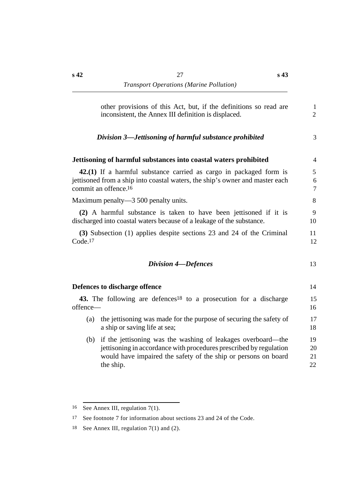| other provisions of this Act, but, if the definitions so read are<br>inconsistent, the Annex III definition is displaced.                                                                                                | $\mathbf{1}$<br>$\overline{2}$ |
|--------------------------------------------------------------------------------------------------------------------------------------------------------------------------------------------------------------------------|--------------------------------|
| Division 3—Jettisoning of harmful substance prohibited                                                                                                                                                                   | 3                              |
| Jettisoning of harmful substances into coastal waters prohibited                                                                                                                                                         | $\overline{4}$                 |
| 42.(1) If a harmful substance carried as cargo in packaged form is<br>jettisoned from a ship into coastal waters, the ship's owner and master each<br>commit an offence. <sup>16</sup>                                   | 5<br>6<br>$\tau$               |
| Maximum penalty—3 500 penalty units.                                                                                                                                                                                     | 8                              |
| (2) A harmful substance is taken to have been jettisoned if it is<br>discharged into coastal waters because of a leakage of the substance.                                                                               | 9<br>10                        |
| (3) Subsection (1) applies despite sections 23 and 24 of the Criminal<br>Code <sub>.17</sub>                                                                                                                             | 11<br>12                       |
| <b>Division 4-Defences</b>                                                                                                                                                                                               | 13                             |
| Defences to discharge offence                                                                                                                                                                                            | 14                             |
| 43. The following are defences <sup>18</sup> to a prosecution for a discharge<br>offence-                                                                                                                                | 15<br>16                       |
| the jettisoning was made for the purpose of securing the safety of<br>(a)<br>a ship or saving life at sea;                                                                                                               | 17<br>18                       |
| if the jettisoning was the washing of leakages overboard—the<br>(b)<br>jettisoning in accordance with procedures prescribed by regulation<br>would have impaired the safety of the ship or persons on board<br>the ship. | 19<br>20<br>21<br>22           |

<sup>16</sup> See Annex III, regulation 7(1).

<sup>17</sup> See footnote 7 for information about sections 23 and 24 of the Code.

<sup>18</sup> See Annex III, regulation 7(1) and (2).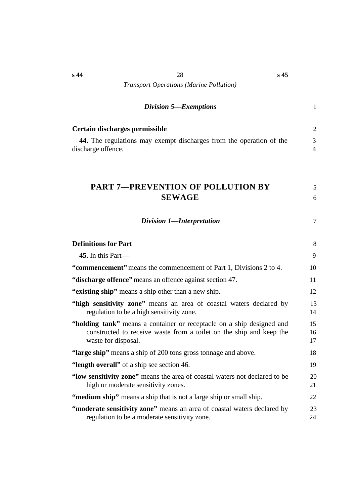| <b>Division 5—Exemptions</b>                                                                                                                                        | 1                   |
|---------------------------------------------------------------------------------------------------------------------------------------------------------------------|---------------------|
| Certain discharges permissible                                                                                                                                      | 2                   |
| 44. The regulations may exempt discharges from the operation of the<br>discharge offence.                                                                           | 3<br>$\overline{4}$ |
| <b>PART 7-PREVENTION OF POLLUTION BY</b><br><b>SEWAGE</b>                                                                                                           | 5<br>6              |
| Division 1-Interpretation                                                                                                                                           | 7                   |
| <b>Definitions for Part</b>                                                                                                                                         | 8                   |
| 45. In this Part—                                                                                                                                                   | 9                   |
| "commencement" means the commencement of Part 1, Divisions 2 to 4.                                                                                                  | 10                  |
| "discharge offence" means an offence against section 47.                                                                                                            | 11                  |
| "existing ship" means a ship other than a new ship.                                                                                                                 | 12                  |
| "high sensitivity zone" means an area of coastal waters declared by<br>regulation to be a high sensitivity zone.                                                    | 13<br>14            |
| "holding tank" means a container or receptacle on a ship designed and<br>constructed to receive waste from a toilet on the ship and keep the<br>waste for disposal. | 15<br>16<br>17      |
| "large ship" means a ship of 200 tons gross tonnage and above.                                                                                                      | 18                  |
| "length overall" of a ship see section 46.                                                                                                                          | 19                  |
| "low sensitivity zone" means the area of coastal waters not declared to be<br>high or moderate sensitivity zones.                                                   | 20<br>21            |
| "medium ship" means a ship that is not a large ship or small ship.                                                                                                  | 22                  |
| "moderate sensitivity zone" means an area of coastal waters declared by<br>regulation to be a moderate sensitivity zone.                                            | 23<br>24            |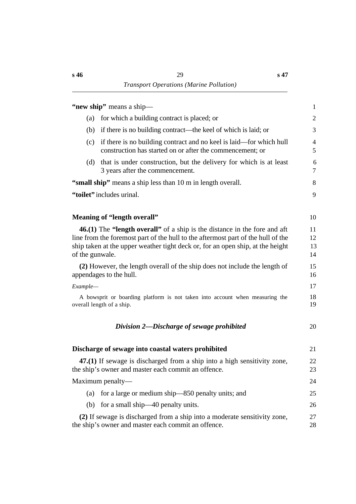|                 | "new ship" means a ship-                                                                                                                                                                                                                               | $\mathbf{1}$         |
|-----------------|--------------------------------------------------------------------------------------------------------------------------------------------------------------------------------------------------------------------------------------------------------|----------------------|
| (a)             | for which a building contract is placed; or                                                                                                                                                                                                            | $\mathfrak{2}$       |
| (b)             | if there is no building contract—the keel of which is laid; or                                                                                                                                                                                         | 3                    |
| (c)             | if there is no building contract and no keel is laid—for which hull<br>construction has started on or after the commencement; or                                                                                                                       | $\overline{4}$<br>5  |
| (d)             | that is under construction, but the delivery for which is at least<br>3 years after the commencement.                                                                                                                                                  | 6<br>7               |
|                 | "small ship" means a ship less than 10 m in length overall.                                                                                                                                                                                            | 8                    |
|                 | "toilet" includes urinal.                                                                                                                                                                                                                              | 9                    |
|                 | Meaning of "length overall"                                                                                                                                                                                                                            | 10                   |
| of the gunwale. | <b>46.(1)</b> The "length overall" of a ship is the distance in the fore and aft<br>line from the foremost part of the hull to the aftermost part of the hull of the<br>ship taken at the upper weather tight deck or, for an open ship, at the height | 11<br>12<br>13<br>14 |
|                 | (2) However, the length overall of the ship does not include the length of<br>appendages to the hull.                                                                                                                                                  | 15<br>16             |
| Example-        |                                                                                                                                                                                                                                                        | 17                   |
|                 | A bowsprit or boarding platform is not taken into account when measuring the<br>overall length of a ship.                                                                                                                                              | 18<br>19             |
|                 | Division 2—Discharge of sewage prohibited                                                                                                                                                                                                              | 20                   |
|                 | Discharge of sewage into coastal waters prohibited                                                                                                                                                                                                     | 21                   |
|                 | 47.(1) If sewage is discharged from a ship into a high sensitivity zone,<br>the ship's owner and master each commit an offence.                                                                                                                        | 22<br>23             |
|                 | Maximum penalty—                                                                                                                                                                                                                                       | 24                   |
| (a)             | for a large or medium ship—850 penalty units; and                                                                                                                                                                                                      | 25                   |
| (b)             | for a small ship—40 penalty units.                                                                                                                                                                                                                     | 26                   |
|                 | (2) If sewage is discharged from a ship into a moderate sensitivity zone,<br>the ship's owner and master each commit an offence.                                                                                                                       | 27<br>28             |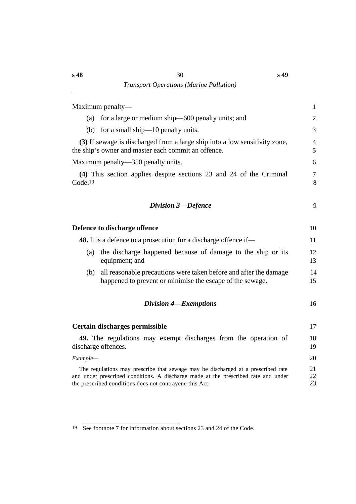| Maximum penalty—                                                                                                                                                                                                                  | $\mathbf{1}$        |
|-----------------------------------------------------------------------------------------------------------------------------------------------------------------------------------------------------------------------------------|---------------------|
| for a large or medium ship—600 penalty units; and<br>(a)                                                                                                                                                                          | 2                   |
| (b) for a small ship— $10$ penalty units.                                                                                                                                                                                         | 3                   |
| (3) If sewage is discharged from a large ship into a low sensitivity zone,<br>the ship's owner and master each commit an offence.                                                                                                 | $\overline{4}$<br>5 |
| Maximum penalty—350 penalty units.                                                                                                                                                                                                | 6                   |
| (4) This section applies despite sections 23 and 24 of the Criminal<br>Code <sub>.19</sub>                                                                                                                                        | $\overline{7}$<br>8 |
| <b>Division 3-Defence</b>                                                                                                                                                                                                         | 9                   |
| Defence to discharge offence                                                                                                                                                                                                      | 10                  |
| <b>48.</b> It is a defence to a prosecution for a discharge offence if—                                                                                                                                                           | 11                  |
| the discharge happened because of damage to the ship or its<br>(a)<br>equipment; and                                                                                                                                              | 12<br>13            |
| all reasonable precautions were taken before and after the damage<br>(b)<br>happened to prevent or minimise the escape of the sewage.                                                                                             | 14<br>15            |
| <b>Division 4–Exemptions</b>                                                                                                                                                                                                      | 16                  |
| Certain discharges permissible                                                                                                                                                                                                    | 17                  |
| 49. The regulations may exempt discharges from the operation of<br>discharge offences.                                                                                                                                            | 18<br>19            |
| Example-                                                                                                                                                                                                                          | 20                  |
| The regulations may prescribe that sewage may be discharged at a prescribed rate<br>and under prescribed conditions. A discharge made at the prescribed rate and under<br>the prescribed conditions does not contravene this Act. | 21<br>22<br>23      |

<sup>19</sup> See footnote 7 for information about sections 23 and 24 of the Code.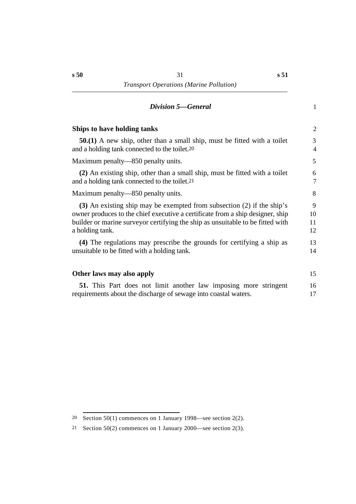### *†Division 5—General* 1

| Ships to have holding tanks                                                    | 2  |
|--------------------------------------------------------------------------------|----|
| $50(1)$ A new ship, other than a small ship, must be fitted with a toilet      | 3  |
| and a holding tank connected to the toilet. <sup>20</sup>                      | 4  |
| Maximum penalty—850 penalty units.                                             | 5  |
| (2) An existing ship, other than a small ship, must be fitted with a toilet    | 6  |
| and a holding tank connected to the toilet. <sup>21</sup>                      | 7  |
| Maximum penalty—850 penalty units.                                             | 8  |
| (3) An existing ship may be exempted from subsection (2) if the ship's         | 9  |
| owner produces to the chief executive a certificate from a ship designer, ship | 10 |
| builder or marine surveyor certifying the ship as unsuitable to be fitted with | 11 |
| a holding tank.                                                                | 12 |
| (4) The regulations may prescribe the grounds for certifying a ship as         | 13 |
| unsuitable to be fitted with a holding tank.                                   | 14 |
| Other laws may also apply                                                      | 15 |
| <b>51.</b> This Part does not limit another law imposing more stringent        | 16 |
| requirements about the discharge of sewage into coastal waters.                | 17 |

<sup>20</sup> Section 50(1) commences on 1 January 1998—see section 2(2).

<sup>21</sup> Section 50(2) commences on 1 January 2000—see section 2(3).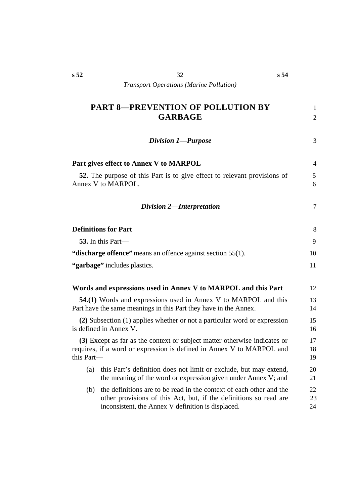| <b>PART 8-PREVENTION OF POLLUTION BY</b><br><b>GARBAGE</b>                                                                                                                                            | 1<br>$\overline{2}$ |
|-------------------------------------------------------------------------------------------------------------------------------------------------------------------------------------------------------|---------------------|
| Division 1-Purpose                                                                                                                                                                                    | 3                   |
| Part gives effect to Annex V to MARPOL                                                                                                                                                                | $\overline{4}$      |
| 52. The purpose of this Part is to give effect to relevant provisions of<br>Annex V to MARPOL.                                                                                                        | 5<br>6              |
| Division 2-Interpretation                                                                                                                                                                             | 7                   |
| <b>Definitions for Part</b>                                                                                                                                                                           | 8                   |
| 53. In this Part—                                                                                                                                                                                     | 9                   |
| "discharge offence" means an offence against section 55(1).                                                                                                                                           | 10                  |
| "garbage" includes plastics.                                                                                                                                                                          | 11                  |
| Words and expressions used in Annex V to MARPOL and this Part                                                                                                                                         | 12                  |
| 54.(1) Words and expressions used in Annex V to MARPOL and this<br>Part have the same meanings in this Part they have in the Annex.                                                                   | 13<br>14            |
| (2) Subsection (1) applies whether or not a particular word or expression<br>is defined in Annex V.                                                                                                   | 15<br>16            |
| (3) Except as far as the context or subject matter otherwise indicates or<br>requires, if a word or expression is defined in Annex V to MARPOL and<br>this Part-                                      | 17<br>18<br>19      |
| this Part's definition does not limit or exclude, but may extend,<br>(a)<br>the meaning of the word or expression given under Annex V; and                                                            | 20<br>21            |
| the definitions are to be read in the context of each other and the<br>(b)<br>other provisions of this Act, but, if the definitions so read are<br>inconsistent, the Annex V definition is displaced. | 22<br>23<br>24      |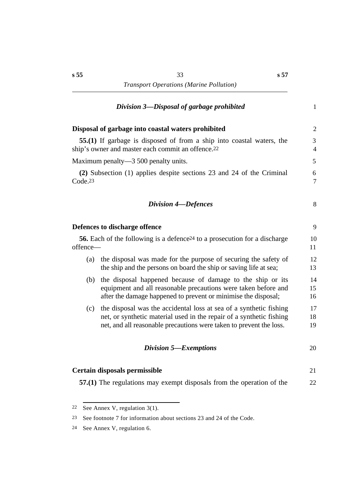## $Division 3$ *—Disposal of garbage prohibited* 1

| Disposal of garbage into coastal waters prohibited                                                                                                                                                                       | $\overline{2}$      |
|--------------------------------------------------------------------------------------------------------------------------------------------------------------------------------------------------------------------------|---------------------|
| 55.(1) If garbage is disposed of from a ship into coastal waters, the<br>ship's owner and master each commit an offence. <sup>22</sup>                                                                                   | 3<br>$\overline{4}$ |
| Maximum penalty—3 500 penalty units.                                                                                                                                                                                     | 5                   |
| (2) Subsection (1) applies despite sections 23 and 24 of the Criminal<br>Code <sub>.23</sub>                                                                                                                             | 6<br>$\overline{7}$ |
| <b>Division 4-Defences</b>                                                                                                                                                                                               | 8                   |
| Defences to discharge offence                                                                                                                                                                                            | 9                   |
| <b>56.</b> Each of the following is a defence <sup>24</sup> to a prosecution for a discharge<br>offence-                                                                                                                 | 10<br>11            |
| the disposal was made for the purpose of securing the safety of<br>(a)<br>the ship and the persons on board the ship or saving life at sea;                                                                              | 12<br>13            |
| the disposal happened because of damage to the ship or its<br>(b)<br>equipment and all reasonable precautions were taken before and<br>after the damage happened to prevent or minimise the disposal;                    | 14<br>15<br>16      |
| the disposal was the accidental loss at sea of a synthetic fishing<br>(c)<br>net, or synthetic material used in the repair of a synthetic fishing<br>net, and all reasonable precautions were taken to prevent the loss. | 17<br>18<br>19      |
| Division 5-Exemptions                                                                                                                                                                                                    | 20                  |
| Certain disposals permissible                                                                                                                                                                                            | 21                  |
| 57.(1) The regulations may exempt disposals from the operation of the                                                                                                                                                    | 22                  |

<sup>22</sup> See Annex V, regulation 3(1).

<sup>23</sup> See footnote 7 for information about sections 23 and 24 of the Code.

<sup>24</sup> See Annex V, regulation 6.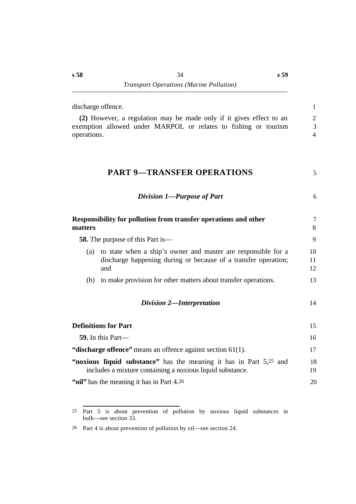|                                          | discharge offence.                                                                                                                     | $\mathbf{1}$                      |
|------------------------------------------|----------------------------------------------------------------------------------------------------------------------------------------|-----------------------------------|
| operations.                              | (2) However, a regulation may be made only if it gives effect to an<br>exemption allowed under MARPOL or relates to fishing or tourism | $\sqrt{2}$<br>3<br>$\overline{4}$ |
|                                          | <b>PART 9-TRANSFER OPERATIONS</b>                                                                                                      | 5                                 |
|                                          | Division 1-Purpose of Part                                                                                                             | 6                                 |
| matters                                  | Responsibility for pollution from transfer operations and other                                                                        | $\overline{7}$<br>8               |
| <b>58.</b> The purpose of this Part is — |                                                                                                                                        | 9                                 |
| (a)                                      | to state when a ship's owner and master are responsible for a<br>discharge happening during or because of a transfer operation;<br>and | 10<br>11<br>12                    |
| (b)                                      | to make provision for other matters about transfer operations.                                                                         | 13                                |
|                                          | <b>Division 2-Interpretation</b>                                                                                                       | 14                                |
|                                          | <b>Definitions for Part</b>                                                                                                            | 15                                |
|                                          | 59. In this Part—                                                                                                                      | 16                                |
|                                          | "discharge offence" means an offence against section 61(1).                                                                            | 17                                |
|                                          | "noxious liquid substance" has the meaning it has in Part 5,25 and<br>includes a mixture containing a noxious liquid substance.        | 18<br>19                          |
|                                          | "oil" has the meaning it has in Part 4.26                                                                                              | 20                                |

<sup>25</sup> Part 5 is about prevention of pollution by noxious liquid substances in bulk—see section 33.

<sup>26</sup> Part 4 is about prevention of pollution by oil—see section 24.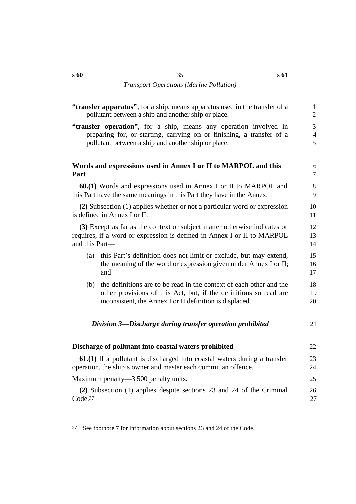| "transfer apparatus", for a ship, means apparatus used in the transfer of a<br>pollutant between a ship and another ship or place.                                     |                                                                                                                                                                                                      | $\mathbf{1}$<br>$\overline{2}$        |
|------------------------------------------------------------------------------------------------------------------------------------------------------------------------|------------------------------------------------------------------------------------------------------------------------------------------------------------------------------------------------------|---------------------------------------|
|                                                                                                                                                                        | "transfer operation", for a ship, means any operation involved in<br>preparing for, or starting, carrying on or finishing, a transfer of a<br>pollutant between a ship and another ship or place.    | $\overline{3}$<br>$\overline{4}$<br>5 |
| Part                                                                                                                                                                   | Words and expressions used in Annex I or II to MARPOL and this                                                                                                                                       | 6<br>$\overline{7}$                   |
| 60.(1) Words and expressions used in Annex I or II to MARPOL and<br>this Part have the same meanings in this Part they have in the Annex.                              |                                                                                                                                                                                                      | $8\,$<br>9                            |
| (2) Subsection (1) applies whether or not a particular word or expression<br>is defined in Annex I or II.                                                              |                                                                                                                                                                                                      | 10<br>11                              |
| (3) Except as far as the context or subject matter otherwise indicates or<br>requires, if a word or expression is defined in Annex I or II to MARPOL<br>and this Part- |                                                                                                                                                                                                      | 12<br>13<br>14                        |
| (a)                                                                                                                                                                    | this Part's definition does not limit or exclude, but may extend,<br>the meaning of the word or expression given under Annex I or II;<br>and                                                         | 15<br>16<br>17                        |
| (b)                                                                                                                                                                    | the definitions are to be read in the context of each other and the<br>other provisions of this Act, but, if the definitions so read are<br>inconsistent, the Annex I or II definition is displaced. | 18<br>19<br>20                        |
|                                                                                                                                                                        | Division 3—Discharge during transfer operation prohibited                                                                                                                                            | 21                                    |
|                                                                                                                                                                        | Discharge of pollutant into coastal waters prohibited                                                                                                                                                | 22                                    |
| 61.(1) If a pollutant is discharged into coastal waters during a transfer<br>operation, the ship's owner and master each commit an offence.                            |                                                                                                                                                                                                      | 23<br>24                              |
| Maximum penalty—3 500 penalty units.                                                                                                                                   |                                                                                                                                                                                                      | 25                                    |
| (2) Subsection (1) applies despite sections 23 and 24 of the Criminal<br>Code <sub>.27</sub>                                                                           |                                                                                                                                                                                                      | 26<br>27                              |
|                                                                                                                                                                        |                                                                                                                                                                                                      |                                       |

<sup>27</sup> See footnote 7 for information about sections 23 and 24 of the Code.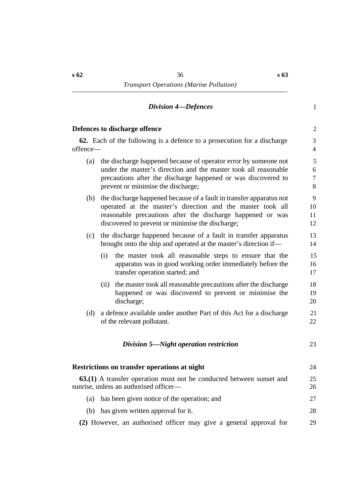#### *†Division 4—Defences* 1

### **Defences to discharge offence** 2

**62.** Each of the following is a defence to a prosecution for a discharge 3 offence— 4

- (a) the discharge happened because of operator error by someone not 5 under the master's direction and the master took all reasonable 6 precautions after the discharge happened or was discovered to 7 prevent or minimise the discharge; 8
- (b) the discharge happened because of a fault in transfer apparatus not 9 operated at the master's direction and the master took all 10 reasonable precautions after the discharge happened or was 11 discovered to prevent or minimise the discharge; 12
- (c) the discharge happened because of a fault in transfer apparatus 13 brought onto the ship and operated at the master's direction if— 14
	- (i) the master took all reasonable steps to ensure that the 15 apparatus was in good working order immediately before the 16 transfer operation started; and 17
	- (ii) the master took all reasonable precautions after the discharge 18 happened or was discovered to prevent or minimise the 19 discharge; 20
- (d) a defence available under another Part of this Act for a discharge 21 of the relevant pollutant. 22

#### *†Division 5—Night operation restriction* 23

| Restrictions on transfer operations at night<br><b>63.(1)</b> A transfer operation must not be conducted between sunset and<br>sunrise, unless an authorised officer— |    |
|-----------------------------------------------------------------------------------------------------------------------------------------------------------------------|----|
|                                                                                                                                                                       |    |
| has given written approval for it.<br>(b)                                                                                                                             | 28 |
| (2) However, an authorised officer may give a general approval for                                                                                                    |    |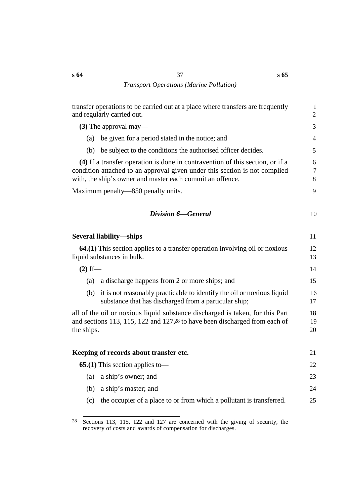| transfer operations to be carried out at a place where transfers are frequently<br>and regularly carried out. |                                                                                                                                                                                                                          |                  |
|---------------------------------------------------------------------------------------------------------------|--------------------------------------------------------------------------------------------------------------------------------------------------------------------------------------------------------------------------|------------------|
|                                                                                                               | $(3)$ The approval may—                                                                                                                                                                                                  | 3                |
| (a)                                                                                                           | be given for a period stated in the notice; and                                                                                                                                                                          | $\overline{4}$   |
| (b)                                                                                                           | be subject to the conditions the authorised officer decides.                                                                                                                                                             | 5                |
|                                                                                                               | (4) If a transfer operation is done in contravention of this section, or if a<br>condition attached to an approval given under this section is not complied<br>with, the ship's owner and master each commit an offence. | 6<br>$\tau$<br>8 |
|                                                                                                               | Maximum penalty—850 penalty units.                                                                                                                                                                                       | 9                |
|                                                                                                               | <b>Division 6–General</b>                                                                                                                                                                                                | 10               |
|                                                                                                               | <b>Several liability—ships</b>                                                                                                                                                                                           | 11               |
|                                                                                                               | <b>64.(1)</b> This section applies to a transfer operation involving oil or noxious<br>liquid substances in bulk.                                                                                                        | 12<br>13         |
| $(2)$ If —                                                                                                    |                                                                                                                                                                                                                          | 14               |
| (a)                                                                                                           | a discharge happens from 2 or more ships; and                                                                                                                                                                            | 15               |
| (b)                                                                                                           | it is not reasonably practicable to identify the oil or noxious liquid<br>substance that has discharged from a particular ship;                                                                                          | 16<br>17         |
| the ships.                                                                                                    | all of the oil or noxious liquid substance discharged is taken, for this Part<br>and sections 113, 115, 122 and 127,28 to have been discharged from each of                                                              | 18<br>19<br>20   |
|                                                                                                               | Keeping of records about transfer etc.                                                                                                                                                                                   | 21               |
|                                                                                                               | <b>65.(1)</b> This section applies to —                                                                                                                                                                                  | 22               |
| (a)                                                                                                           | a ship's owner; and                                                                                                                                                                                                      | 23               |
| (b)                                                                                                           | a ship's master; and                                                                                                                                                                                                     | 24               |
| (c)                                                                                                           | the occupier of a place to or from which a pollutant is transferred.                                                                                                                                                     | 25               |

<sup>&</sup>lt;sup>28</sup> Sections 113, 115, 122 and 127 are concerned with the giving of security, the recovery of costs and awards of compensation for discharges.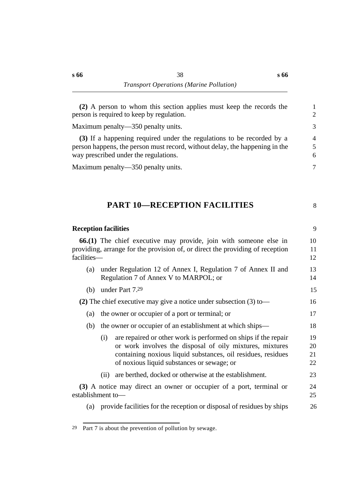**(2)** A person to whom this section applies must keep the records the 1 person is required to keep by regulation. 2

Maximum penalty—350 penalty units. 3

**(3)** If a happening required under the regulations to be recorded by a 4 person happens, the person must record, without delay, the happening in the 5 way prescribed under the regulations. 6

Maximum penalty—350 penalty units. 7

# **†PART 10—RECEPTION FACILITIES** 8

|             | <b>Reception facilities</b>                                                                                                                                                                                                                     | 9                    |  |  |  |  |
|-------------|-------------------------------------------------------------------------------------------------------------------------------------------------------------------------------------------------------------------------------------------------|----------------------|--|--|--|--|
| facilities- | <b>66.(1)</b> The chief executive may provide, join with someone else in<br>providing, arrange for the provision of, or direct the providing of reception                                                                                       | 10<br>11<br>12       |  |  |  |  |
| (a)         | under Regulation 12 of Annex I, Regulation 7 of Annex II and<br>Regulation 7 of Annex V to MARPOL; or                                                                                                                                           | 13<br>14             |  |  |  |  |
| (b)         | under Part 7.29                                                                                                                                                                                                                                 |                      |  |  |  |  |
|             | (2) The chief executive may give a notice under subsection $(3)$ to-                                                                                                                                                                            | 16                   |  |  |  |  |
| (a)         | the owner or occupier of a port or terminal; or                                                                                                                                                                                                 |                      |  |  |  |  |
| (b)         | the owner or occupier of an establishment at which ships—                                                                                                                                                                                       | 18                   |  |  |  |  |
|             | are repaired or other work is performed on ships if the repair<br>(i)<br>or work involves the disposal of oily mixtures, mixtures<br>containing noxious liquid substances, oil residues, residues<br>of noxious liquid substances or sewage; or | 19<br>20<br>21<br>22 |  |  |  |  |
|             | are berthed, docked or otherwise at the establishment.<br>(i)                                                                                                                                                                                   | 23                   |  |  |  |  |
|             | (3) A notice may direct an owner or occupier of a port, terminal or<br>establishment to-                                                                                                                                                        | 24<br>25             |  |  |  |  |
| (a)         | provide facilities for the reception or disposal of residues by ships                                                                                                                                                                           | 26                   |  |  |  |  |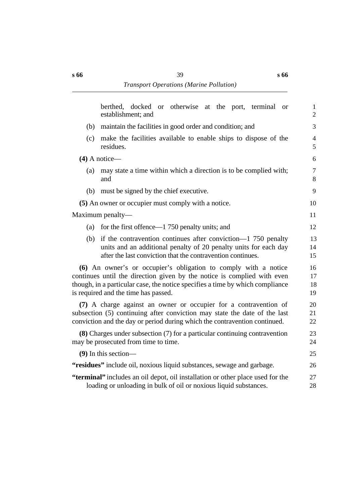|     | docked or otherwise at the port, terminal or<br>berthed,<br>establishment; and                                                                                                                                                                                      | $\mathbf{1}$<br>$\overline{2}$ |  |  |  |  |
|-----|---------------------------------------------------------------------------------------------------------------------------------------------------------------------------------------------------------------------------------------------------------------------|--------------------------------|--|--|--|--|
| (b) | maintain the facilities in good order and condition; and                                                                                                                                                                                                            |                                |  |  |  |  |
| (c) | make the facilities available to enable ships to dispose of the<br>residues.                                                                                                                                                                                        |                                |  |  |  |  |
|     | $(4)$ A notice—                                                                                                                                                                                                                                                     | 6                              |  |  |  |  |
| (a) | may state a time within which a direction is to be complied with;<br>and                                                                                                                                                                                            |                                |  |  |  |  |
| (b) | must be signed by the chief executive.                                                                                                                                                                                                                              | 9                              |  |  |  |  |
|     | (5) An owner or occupier must comply with a notice.                                                                                                                                                                                                                 | 10                             |  |  |  |  |
|     | Maximum penalty—                                                                                                                                                                                                                                                    | 11                             |  |  |  |  |
| (a) | for the first offence—1 750 penalty units; and                                                                                                                                                                                                                      | 12                             |  |  |  |  |
| (b) | if the contravention continues after conviction—1 750 penalty<br>units and an additional penalty of 20 penalty units for each day<br>after the last conviction that the contravention continues.                                                                    | 13<br>14<br>15                 |  |  |  |  |
|     | (6) An owner's or occupier's obligation to comply with a notice<br>continues until the direction given by the notice is complied with even<br>though, in a particular case, the notice specifies a time by which compliance<br>is required and the time has passed. | 16<br>17<br>18<br>19           |  |  |  |  |
|     | (7) A charge against an owner or occupier for a contravention of<br>subsection (5) continuing after conviction may state the date of the last<br>conviction and the day or period during which the contravention continued.                                         | 20<br>21<br>22                 |  |  |  |  |
|     | (8) Charges under subsection (7) for a particular continuing contravention<br>may be prosecuted from time to time.                                                                                                                                                  | 23<br>24                       |  |  |  |  |
|     | $(9)$ In this section—                                                                                                                                                                                                                                              | 25                             |  |  |  |  |
|     | "residues" include oil, noxious liquid substances, sewage and garbage.                                                                                                                                                                                              | 26                             |  |  |  |  |
|     | "terminal" includes an oil depot, oil installation or other place used for the<br>loading or unloading in bulk of oil or noxious liquid substances.                                                                                                                 | 27<br>28                       |  |  |  |  |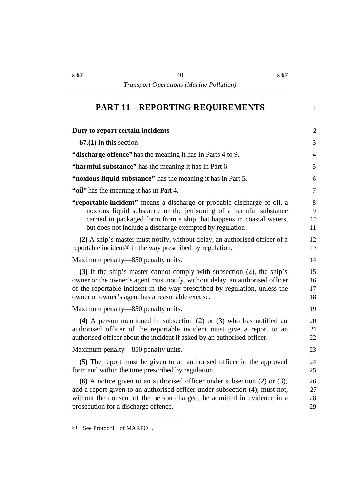# **†PART 11—REPORTING REQUIREMENTS** 1

| Duty to report certain incidents                                                                                                                                                                                                                                                        | $\overline{2}$         |
|-----------------------------------------------------------------------------------------------------------------------------------------------------------------------------------------------------------------------------------------------------------------------------------------|------------------------|
| $67(1)$ In this section—                                                                                                                                                                                                                                                                | 3                      |
| "discharge offence" has the meaning it has in Parts 4 to 9.                                                                                                                                                                                                                             | $\overline{4}$         |
| "harmful substance" has the meaning it has in Part 6.                                                                                                                                                                                                                                   | 5                      |
| "noxious liquid substance" has the meaning it has in Part 5.                                                                                                                                                                                                                            | 6                      |
| "oil" has the meaning it has in Part 4.                                                                                                                                                                                                                                                 | $\tau$                 |
| "reportable incident" means a discharge or probable discharge of oil, a<br>noxious liquid substance or the jettisoning of a harmful substance<br>carried in packaged form from a ship that happens in coastal waters,<br>but does not include a discharge exempted by regulation.       | $8\,$<br>9<br>10<br>11 |
| (2) A ship's master must notify, without delay, an authorised officer of a<br>reportable incident <sup>30</sup> in the way prescribed by regulation.                                                                                                                                    | 12<br>13               |
| Maximum penalty—850 penalty units.                                                                                                                                                                                                                                                      | 14                     |
| (3) If the ship's master cannot comply with subsection (2), the ship's<br>owner or the owner's agent must notify, without delay, an authorised officer<br>of the reportable incident in the way prescribed by regulation, unless the<br>owner or owner's agent has a reasonable excuse. | 15<br>16<br>17<br>18   |
| Maximum penalty—850 penalty units.                                                                                                                                                                                                                                                      | 19                     |
| (4) A person mentioned in subsection $(2)$ or $(3)$ who has notified an<br>authorised officer of the reportable incident must give a report to an<br>authorised officer about the incident if asked by an authorised officer.                                                           | 20<br>21<br>22         |
| Maximum penalty—850 penalty units.                                                                                                                                                                                                                                                      | 23                     |
| (5) The report must be given to an authorised officer in the approved<br>form and within the time prescribed by regulation.                                                                                                                                                             | 24<br>25               |
| (6) A notice given to an authorised officer under subsection $(2)$ or $(3)$ ,<br>and a report given to an authorised officer under subsection (4), must not,<br>without the consent of the person charged, be admitted in evidence in a<br>prosecution for a discharge offence.         | 26<br>27<br>28<br>29   |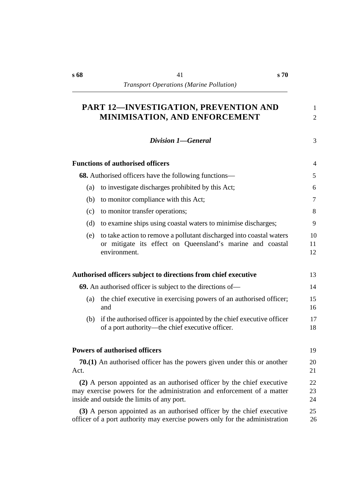# **PART 12—INVESTIGATION, PREVENTION AND** 1 **MINIMISATION, AND ENFORCEMENT** 2

*†Division 1—General* 3

|      | <b>Functions of authorised officers</b>                                                                                                                                                        | 4              |  |
|------|------------------------------------------------------------------------------------------------------------------------------------------------------------------------------------------------|----------------|--|
|      | 68. Authorised officers have the following functions—                                                                                                                                          | 5              |  |
|      |                                                                                                                                                                                                |                |  |
| (a)  | to investigate discharges prohibited by this Act;                                                                                                                                              | 6              |  |
| (b)  | to monitor compliance with this Act;                                                                                                                                                           | $\tau$         |  |
| (c)  | to monitor transfer operations;                                                                                                                                                                | 8              |  |
| (d)  | to examine ships using coastal waters to minimise discharges;                                                                                                                                  | 9              |  |
| (e)  | to take action to remove a pollutant discharged into coastal waters<br>or mitigate its effect on Queensland's marine and coastal<br>environment.                                               | 10<br>11<br>12 |  |
|      | Authorised officers subject to directions from chief executive                                                                                                                                 | 13             |  |
|      | 69. An authorised officer is subject to the directions of—                                                                                                                                     | 14             |  |
| (a)  | the chief executive in exercising powers of an authorised officer;<br>and                                                                                                                      | 15<br>16       |  |
| (b)  | if the authorised officer is appointed by the chief executive officer<br>of a port authority—the chief executive officer.                                                                      | 17<br>18       |  |
|      | <b>Powers of authorised officers</b>                                                                                                                                                           | 19             |  |
| Act. | <b>70.(1)</b> An authorised officer has the powers given under this or another                                                                                                                 | 20<br>21       |  |
|      | (2) A person appointed as an authorised officer by the chief executive<br>may exercise powers for the administration and enforcement of a matter<br>inside and outside the limits of any port. | 22<br>23<br>24 |  |
|      | (3) A person appointed as an authorised officer by the chief executive<br>officer of a port authority may exercise powers only for the administration                                          | 25<br>26       |  |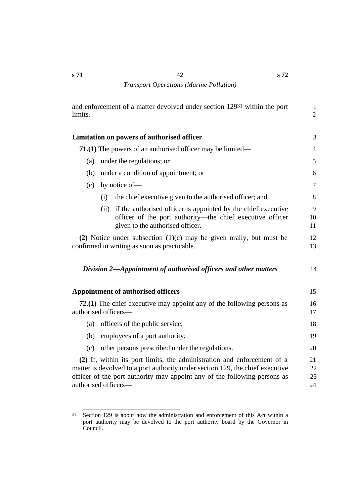| and enforcement of a matter devolved under section 12931 within the port<br>limits. |                                                                                                                                                                                                                                                               |                      |  |  |
|-------------------------------------------------------------------------------------|---------------------------------------------------------------------------------------------------------------------------------------------------------------------------------------------------------------------------------------------------------------|----------------------|--|--|
|                                                                                     | <b>Limitation on powers of authorised officer</b>                                                                                                                                                                                                             | 3                    |  |  |
| <b>71.(1)</b> The powers of an authorised officer may be limited—                   |                                                                                                                                                                                                                                                               |                      |  |  |
| under the regulations; or<br>(a)                                                    |                                                                                                                                                                                                                                                               |                      |  |  |
| (b)                                                                                 | under a condition of appointment; or                                                                                                                                                                                                                          | 6                    |  |  |
| (c)                                                                                 | by notice of-                                                                                                                                                                                                                                                 | 7                    |  |  |
|                                                                                     | the chief executive given to the authorised officer; and<br>(i)                                                                                                                                                                                               | 8                    |  |  |
|                                                                                     | if the authorised officer is appointed by the chief executive<br>(ii)<br>officer of the port authority—the chief executive officer<br>given to the authorised officer.                                                                                        | 9<br>10<br>11        |  |  |
|                                                                                     | (2) Notice under subsection $(1)(c)$ may be given orally, but must be<br>confirmed in writing as soon as practicable.                                                                                                                                         | 12<br>13             |  |  |
|                                                                                     | Division 2-Appointment of authorised officers and other matters                                                                                                                                                                                               | 14                   |  |  |
|                                                                                     | <b>Appointment of authorised officers</b>                                                                                                                                                                                                                     | 15                   |  |  |
|                                                                                     | 72.(1) The chief executive may appoint any of the following persons as<br>authorised officers-                                                                                                                                                                | 16<br>17             |  |  |
| (a)                                                                                 | officers of the public service;                                                                                                                                                                                                                               | 18                   |  |  |
| (b)                                                                                 | employees of a port authority;                                                                                                                                                                                                                                | 19                   |  |  |
| (c)                                                                                 | other persons prescribed under the regulations.                                                                                                                                                                                                               | 20                   |  |  |
|                                                                                     | (2) If, within its port limits, the administration and enforcement of a<br>matter is devolved to a port authority under section 129, the chief executive<br>officer of the port authority may appoint any of the following persons as<br>authorised officers- | 21<br>22<br>23<br>24 |  |  |

<sup>31</sup> Section 129 is about how the administration and enforcement of this Act within a port authority may be devolved to the port authority board by the Governor in Council.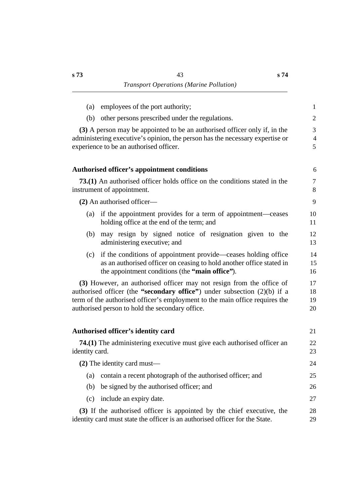| employees of the port authority;<br>(a)                                                                                                                                                                                                                                              | $\mathbf{1}$             |
|--------------------------------------------------------------------------------------------------------------------------------------------------------------------------------------------------------------------------------------------------------------------------------------|--------------------------|
| other persons prescribed under the regulations.<br>(b)                                                                                                                                                                                                                               | $\overline{2}$           |
| (3) A person may be appointed to be an authorised officer only if, in the<br>administering executive's opinion, the person has the necessary expertise or<br>experience to be an authorised officer.                                                                                 | 3<br>$\overline{4}$<br>5 |
| Authorised officer's appointment conditions                                                                                                                                                                                                                                          | 6                        |
| <b>73.(1)</b> An authorised officer holds office on the conditions stated in the<br>instrument of appointment.                                                                                                                                                                       | $\tau$<br>8              |
| (2) An authorised officer—                                                                                                                                                                                                                                                           | 9                        |
| (a) if the appointment provides for a term of appointment—ceases<br>holding office at the end of the term; and                                                                                                                                                                       | 10<br>11                 |
| may resign by signed notice of resignation given to the<br>(b)<br>administering executive; and                                                                                                                                                                                       | 12<br>13                 |
| if the conditions of appointment provide—ceases holding office<br>(c)<br>as an authorised officer on ceasing to hold another office stated in<br>the appointment conditions (the "main office").                                                                                     | 14<br>15<br>16           |
| (3) However, an authorised officer may not resign from the office of<br>authorised officer (the "secondary office") under subsection $(2)(b)$ if a<br>term of the authorised officer's employment to the main office requires the<br>authorised person to hold the secondary office. | 17<br>18<br>19<br>20     |
| Authorised officer's identity card                                                                                                                                                                                                                                                   | 21                       |
| 74.(1) The administering executive must give each authorised officer an<br>identity card.                                                                                                                                                                                            | 22<br>23                 |
| $(2)$ The identity card must—                                                                                                                                                                                                                                                        | 24                       |
| contain a recent photograph of the authorised officer; and<br>(a)                                                                                                                                                                                                                    | 25                       |
| be signed by the authorised officer; and<br>(b)                                                                                                                                                                                                                                      | 26                       |
| include an expiry date.<br>(c)                                                                                                                                                                                                                                                       | 27                       |
| (3) If the authorised officer is appointed by the chief executive, the<br>identity card must state the officer is an authorised officer for the State.                                                                                                                               | 28<br>29                 |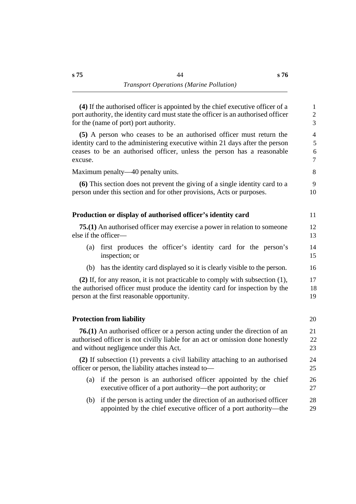**(4)** If the authorised officer is appointed by the chief executive officer of a 1 port authority, the identity card must state the officer is an authorised officer 2 for the (name of port) port authority. 3

**(5)** A person who ceases to be an authorised officer must return the 4 identity card to the administering executive within 21 days after the person 5 ceases to be an authorised officer, unless the person has a reasonable 6 excuse. The contract of the contract of the contract of the contract of the contract of the contract of the contract of the contract of the contract of the contract of the contract of the contract of the contract of the co

Maximum penalty—40 penalty units. 8

**(6)** This section does not prevent the giving of a single identity card to a 9 person under this section and for other provisions, Acts or purposes. 10

# **The Production or display of authorised officer's identity card** 11

| <b>75.(1)</b> An authorised officer may exercise a power in relation to some one |  |
|----------------------------------------------------------------------------------|--|
| else if the officer—                                                             |  |

- (a) first produces the officer's identity card for the person's 14 inspection; or 15
- (b) has the identity card displayed so it is clearly visible to the person. 16

**(2)** If, for any reason, it is not practicable to comply with subsection (1), 17 the authorised officer must produce the identity card for inspection by the 18 person at the first reasonable opportunity. 19

#### **The Protection from liability** 20

**76.(1)** An authorised officer or a person acting under the direction of an 21 authorised officer is not civilly liable for an act or omission done honestly 22 and without negligence under this Act. 23

**(2)** If subsection (1) prevents a civil liability attaching to an authorised 24 officer or person, the liability attaches instead to— 25

- (a) if the person is an authorised officer appointed by the chief 26 executive officer of a port authority—the port authority; or 27
- (b) if the person is acting under the direction of an authorised officer 28 appointed by the chief executive officer of a port authority—the 29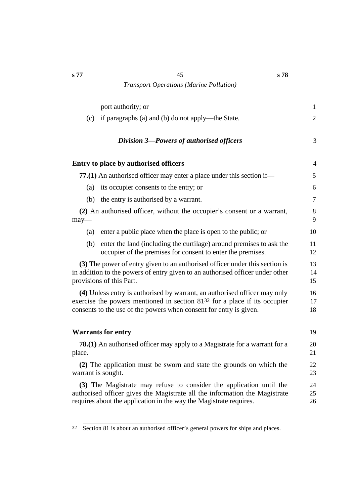| port authority; or                                                                                                                                                                                                           | $\mathbf{1}$   |
|------------------------------------------------------------------------------------------------------------------------------------------------------------------------------------------------------------------------------|----------------|
| if paragraphs (a) and (b) do not apply—the State.<br>(c)                                                                                                                                                                     | $\mathfrak{2}$ |
| Division 3-Powers of authorised officers                                                                                                                                                                                     | 3              |
| <b>Entry to place by authorised officers</b>                                                                                                                                                                                 | $\overline{4}$ |
| 77.(1) An authorised officer may enter a place under this section if—                                                                                                                                                        | 5              |
| its occupier consents to the entry; or<br>(a)                                                                                                                                                                                | 6              |
| the entry is authorised by a warrant.<br>(b)                                                                                                                                                                                 | $\overline{7}$ |
| (2) An authorised officer, without the occupier's consent or a warrant,<br>may-                                                                                                                                              | $8\,$<br>9     |
| enter a public place when the place is open to the public; or<br>(a)                                                                                                                                                         | 10             |
| (b)<br>enter the land (including the curtilage) around premises to ask the<br>occupier of the premises for consent to enter the premises.                                                                                    | 11<br>12       |
| (3) The power of entry given to an authorised officer under this section is<br>in addition to the powers of entry given to an authorised officer under other<br>provisions of this Part.                                     | 13<br>14<br>15 |
| (4) Unless entry is authorised by warrant, an authorised officer may only<br>exercise the powers mentioned in section 8132 for a place if its occupier<br>consents to the use of the powers when consent for entry is given. | 16<br>17<br>18 |
| <b>Warrants for entry</b>                                                                                                                                                                                                    | 19             |
| <b>78.(1)</b> An authorised officer may apply to a Magistrate for a warrant for a<br>place.                                                                                                                                  | 20<br>21       |
| (2) The application must be sworn and state the grounds on which the<br>warrant is sought.                                                                                                                                   | 22<br>23       |
| (3) The Magistrate may refuse to consider the application until the<br>authorised officer gives the Magistrate all the information the Magistrate<br>requires about the application in the way the Magistrate requires.      | 24<br>25<br>26 |

<sup>32</sup> Section 81 is about an authorised officer's general powers for ships and places.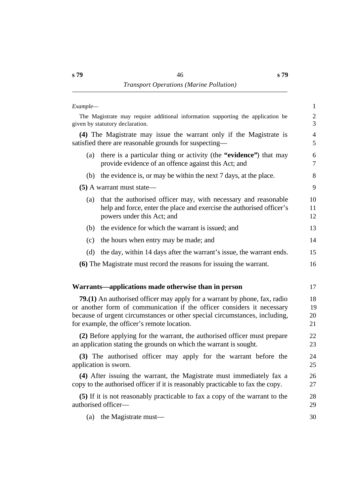| Example- |                                                                                                                                                                                                                                                                                         | $\mathbf{1}$                 |
|----------|-----------------------------------------------------------------------------------------------------------------------------------------------------------------------------------------------------------------------------------------------------------------------------------------|------------------------------|
|          | The Magistrate may require additional information supporting the application be<br>given by statutory declaration.                                                                                                                                                                      | $\overline{\mathbf{c}}$<br>3 |
|          | (4) The Magistrate may issue the warrant only if the Magistrate is<br>satisfied there are reasonable grounds for suspecting—                                                                                                                                                            | $\overline{4}$<br>5          |
| (a)      | there is a particular thing or activity (the "evidence") that may<br>provide evidence of an offence against this Act; and                                                                                                                                                               | 6<br>$\overline{7}$          |
| (b)      | the evidence is, or may be within the next 7 days, at the place.                                                                                                                                                                                                                        | 8                            |
|          | $(5)$ A warrant must state—                                                                                                                                                                                                                                                             | 9                            |
| (a)      | that the authorised officer may, with necessary and reasonable<br>help and force, enter the place and exercise the authorised officer's<br>powers under this Act; and                                                                                                                   | 10<br>11<br>12               |
| (b)      | the evidence for which the warrant is issued; and                                                                                                                                                                                                                                       | 13                           |
| (c)      | the hours when entry may be made; and                                                                                                                                                                                                                                                   | 14                           |
| (d)      | the day, within 14 days after the warrant's issue, the warrant ends.                                                                                                                                                                                                                    | 15                           |
|          | (6) The Magistrate must record the reasons for issuing the warrant.                                                                                                                                                                                                                     | 16                           |
|          | Warrants—applications made otherwise than in person                                                                                                                                                                                                                                     | 17                           |
|          | <b>79.(1)</b> An authorised officer may apply for a warrant by phone, fax, radio<br>or another form of communication if the officer considers it necessary<br>because of urgent circumstances or other special circumstances, including,<br>for example, the officer's remote location. | 18<br>19<br>20<br>21         |
|          | (2) Before applying for the warrant, the authorised officer must prepare<br>an application stating the grounds on which the warrant is sought.                                                                                                                                          | 22<br>23                     |
|          | (3) The authorised officer may apply for the warrant before the<br>application is sworn.                                                                                                                                                                                                | 24<br>25                     |
|          | (4) After issuing the warrant, the Magistrate must immediately fax a<br>copy to the authorised officer if it is reasonably practicable to fax the copy.                                                                                                                                 | 26<br>27                     |
|          | (5) If it is not reasonably practicable to fax a copy of the warrant to the<br>authorised officer-                                                                                                                                                                                      | 28<br>29                     |
| (a)      | the Magistrate must—                                                                                                                                                                                                                                                                    | 30                           |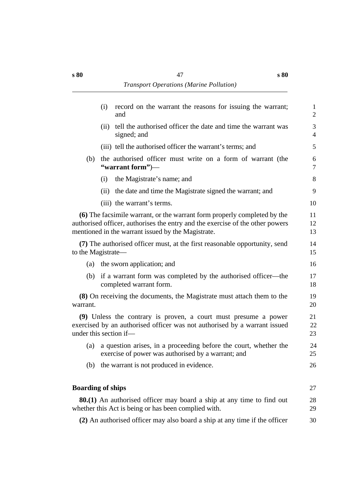|                          | (i)  | record on the warrant the reasons for issuing the warrant;<br>and                                                                                                                                               | $\mathbf{1}$<br>$\mathbf{2}$ |
|--------------------------|------|-----------------------------------------------------------------------------------------------------------------------------------------------------------------------------------------------------------------|------------------------------|
|                          | (ii) | tell the authorised officer the date and time the warrant was<br>signed; and                                                                                                                                    | 3<br>$\overline{4}$          |
|                          |      | (iii) tell the authorised officer the warrant's terms; and                                                                                                                                                      | 5                            |
| (b)                      |      | the authorised officer must write on a form of warrant (the<br>"warrant form")—                                                                                                                                 | 6<br>$\tau$                  |
|                          | (i)  | the Magistrate's name; and                                                                                                                                                                                      | 8                            |
|                          | (ii) | the date and time the Magistrate signed the warrant; and                                                                                                                                                        | 9                            |
|                          |      | (iii) the warrant's terms.                                                                                                                                                                                      | 10                           |
|                          |      | (6) The facsimile warrant, or the warrant form properly completed by the<br>authorised officer, authorises the entry and the exercise of the other powers<br>mentioned in the warrant issued by the Magistrate. | 11<br>12<br>13               |
| to the Magistrate—       |      | (7) The authorised officer must, at the first reasonable opportunity, send                                                                                                                                      | 14<br>15                     |
|                          |      | (a) the sworn application; and                                                                                                                                                                                  | 16                           |
| (b)                      |      | if a warrant form was completed by the authorised officer—the<br>completed warrant form.                                                                                                                        | 17<br>18                     |
| warrant.                 |      | (8) On receiving the documents, the Magistrate must attach them to the                                                                                                                                          | 19<br>20                     |
| under this section if-   |      | (9) Unless the contrary is proven, a court must presume a power<br>exercised by an authorised officer was not authorised by a warrant issued                                                                    | 21<br>22<br>23               |
| (a)                      |      | a question arises, in a proceeding before the court, whether the<br>exercise of power was authorised by a warrant; and                                                                                          | 24<br>25                     |
| (b)                      |      | the warrant is not produced in evidence.                                                                                                                                                                        | 26                           |
| <b>Boarding of ships</b> |      |                                                                                                                                                                                                                 | 27                           |
|                          |      | <b>80.(1)</b> An authorised officer may board a ship at any time to find out<br>whether this Act is being or has been complied with.                                                                            | 28<br>29                     |
|                          |      | (2) An authorised officer may also board a ship at any time if the officer                                                                                                                                      | 30                           |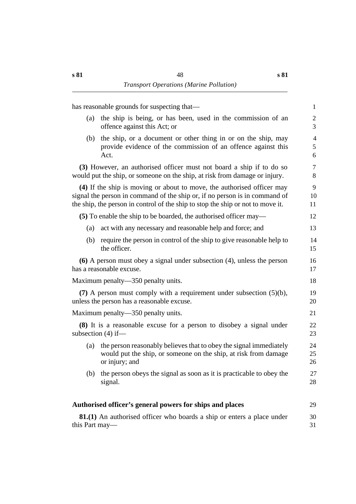|                      | has reasonable grounds for suspecting that—                                                                                                                                                                                             | $\mathbf{1}$             |
|----------------------|-----------------------------------------------------------------------------------------------------------------------------------------------------------------------------------------------------------------------------------------|--------------------------|
| (a)                  | the ship is being, or has been, used in the commission of an<br>offence against this Act; or                                                                                                                                            | $\overline{2}$<br>3      |
| (b)                  | the ship, or a document or other thing in or on the ship, may<br>provide evidence of the commission of an offence against this<br>Act.                                                                                                  | $\overline{4}$<br>5<br>6 |
|                      | (3) However, an authorised officer must not board a ship if to do so<br>would put the ship, or someone on the ship, at risk from damage or injury.                                                                                      | $\tau$<br>8              |
|                      | (4) If the ship is moving or about to move, the authorised officer may<br>signal the person in command of the ship or, if no person is in command of<br>the ship, the person in control of the ship to stop the ship or not to move it. | 9<br>10<br>11            |
|                      | (5) To enable the ship to be boarded, the authorised officer may—                                                                                                                                                                       | 12                       |
| (a)                  | act with any necessary and reasonable help and force; and                                                                                                                                                                               | 13                       |
| (b)                  | require the person in control of the ship to give reasonable help to<br>the officer.                                                                                                                                                    | 14<br>15                 |
|                      | $(6)$ A person must obey a signal under subsection $(4)$ , unless the person<br>has a reasonable excuse.                                                                                                                                | 16<br>17                 |
|                      | Maximum penalty—350 penalty units.                                                                                                                                                                                                      | 18                       |
|                      | (7) A person must comply with a requirement under subsection $(5)(b)$ ,<br>unless the person has a reasonable excuse.                                                                                                                   | 19<br>20                 |
|                      | Maximum penalty—350 penalty units.                                                                                                                                                                                                      | 21                       |
| subsection $(4)$ if- | (8) It is a reasonable excuse for a person to disobey a signal under                                                                                                                                                                    | 22<br>23                 |
| (a)                  | the person reasonably believes that to obey the signal immediately<br>would put the ship, or someone on the ship, at risk from damage<br>or injury; and                                                                                 | 24<br>25<br>26           |
| (b)                  | the person obeys the signal as soon as it is practicable to obey the<br>signal.                                                                                                                                                         | 27<br>28                 |
|                      | Authorised officer's general powers for ships and places                                                                                                                                                                                | 29                       |
| this Part may—       | <b>81.(1)</b> An authorised officer who boards a ship or enters a place under                                                                                                                                                           | 30<br>31                 |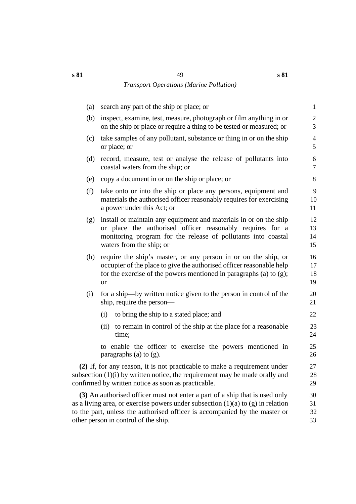| (a) | search any part of the ship or place; or                                                                                                                                                                                                                                                 | 1                    |
|-----|------------------------------------------------------------------------------------------------------------------------------------------------------------------------------------------------------------------------------------------------------------------------------------------|----------------------|
| (b) | inspect, examine, test, measure, photograph or film anything in or<br>on the ship or place or require a thing to be tested or measured; or                                                                                                                                               | 2<br>3               |
| (c) | take samples of any pollutant, substance or thing in or on the ship<br>or place; or                                                                                                                                                                                                      | $\overline{4}$<br>5  |
| (d) | record, measure, test or analyse the release of pollutants into<br>coastal waters from the ship; or                                                                                                                                                                                      | 6<br>$\tau$          |
| (e) | copy a document in or on the ship or place; or                                                                                                                                                                                                                                           | 8                    |
| (f) | take onto or into the ship or place any persons, equipment and<br>materials the authorised officer reasonably requires for exercising<br>a power under this Act; or                                                                                                                      | 9<br>10<br>11        |
| (g) | install or maintain any equipment and materials in or on the ship<br>or place the authorised officer reasonably requires for a<br>monitoring program for the release of pollutants into coastal<br>waters from the ship; or                                                              | 12<br>13<br>14<br>15 |
| (h) | require the ship's master, or any person in or on the ship, or<br>occupier of the place to give the authorised officer reasonable help<br>for the exercise of the powers mentioned in paragraphs (a) to $(g)$ ;<br><b>or</b>                                                             | 16<br>17<br>18<br>19 |
| (i) | for a ship—by written notice given to the person in control of the<br>ship, require the person—                                                                                                                                                                                          | 20<br>21             |
|     | to bring the ship to a stated place; and<br>(i)                                                                                                                                                                                                                                          | 22                   |
|     | (ii) to remain in control of the ship at the place for a reasonable<br>time;                                                                                                                                                                                                             | 23<br>24             |
|     | to enable the officer to exercise the powers mentioned in<br>paragraphs (a) to $(g)$ .                                                                                                                                                                                                   | 25<br>26             |
|     | (2) If, for any reason, it is not practicable to make a requirement under<br>subsection (1)(i) by written notice, the requirement may be made orally and<br>confirmed by written notice as soon as practicable.                                                                          | 27<br>28<br>29       |
|     | (3) An authorised officer must not enter a part of a ship that is used only<br>as a living area, or exercise powers under subsection $(1)(a)$ to $(g)$ in relation<br>to the part, unless the authorised officer is accompanied by the master or<br>other person in control of the ship. | 30<br>31<br>32<br>33 |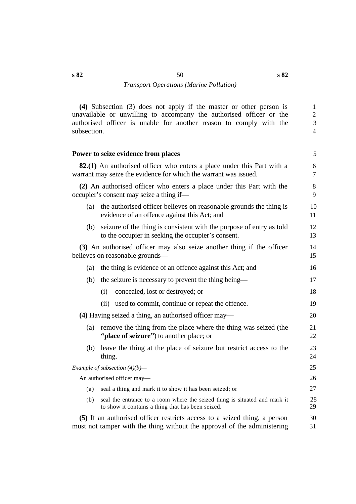**(4)** Subsection (3) does not apply if the master or other person is 1 unavailable or unwilling to accompany the authorised officer or the 2 authorised officer is unable for another reason to comply with the 3 subsection. 4

#### **Power to seize evidence from places** 5 5 5 5 5 5 6 7 7 8 7 7 8 7 7 8 7 7 8 7 7 8 7 8 7 7 8 7 7 8 7 8 7 8 7 7 8 7 8 7 8 7 8 7 8 7 8 7 8 7 8 7 8 7 8 7 8 7 8 7 8 7 8 7 8 7 8 7 8 7 8 7 8 7 8 7 8 7 8 7 8 7 8 7 8 7 8 7 8 7 8 7

**82.(1)** An authorised officer who enters a place under this Part with a 6 warrant may seize the evidence for which the warrant was issued.  $\frac{7}{2}$ 

**(2)** An authorised officer who enters a place under this Part with the 8 occupier's consent may seize a thing if— 9

- (a) the authorised officer believes on reasonable grounds the thing is 10 evidence of an offence against this Act; and 11
- (b) seizure of the thing is consistent with the purpose of entry as told 12 to the occupier in seeking the occupier's consent. 13

**(3)** An authorised officer may also seize another thing if the officer 14 believes on reasonable grounds— 15

- (a) the thing is evidence of an offence against this Act; and 16
- (b) the seizure is necessary to prevent the thing being— 17
- (i) concealed, lost or destroyed; or 18 (ii) used to commit, continue or repeat the offence. 19 **(4)** Having seized a thing, an authorised officer may— 20
	- (a) remove the thing from the place where the thing was seized (the 21 **"place of seizure"**) to another place; or 22
	- (b) leave the thing at the place of seizure but restrict access to the 23 thing. 24

*Example of subsection (4)(b)—* 25

An authorised officer may— 26

- (a) seal a thing and mark it to show it has been seized; or 27
- (b) seal the entrance to a room where the seized thing is situated and mark it 28 to show it contains a thing that has been seized. 29

**(5)** If an authorised officer restricts access to a seized thing, a person 30 must not tamper with the thing without the approval of the administering 31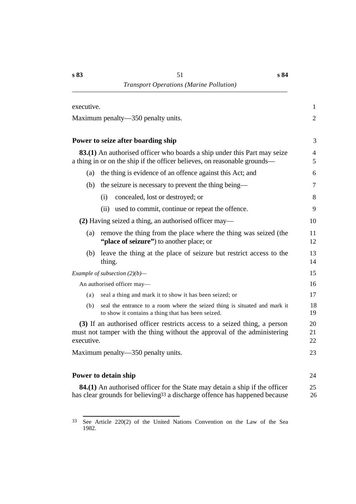| executive. |                                                                                                                                                              | $\mathbf{1}$        |
|------------|--------------------------------------------------------------------------------------------------------------------------------------------------------------|---------------------|
|            | Maximum penalty—350 penalty units.                                                                                                                           | $\overline{2}$      |
|            | Power to seize after boarding ship                                                                                                                           | 3                   |
|            | <b>83.(1)</b> An authorised officer who boards a ship under this Part may seize<br>a thing in or on the ship if the officer believes, on reasonable grounds— | $\overline{4}$<br>5 |
| (a)        | the thing is evidence of an offence against this Act; and                                                                                                    | 6                   |
| (b)        | the seizure is necessary to prevent the thing being—                                                                                                         | $\tau$              |
|            | concealed, lost or destroyed; or<br>(i)                                                                                                                      | 8                   |
|            | (ii) used to commit, continue or repeat the offence.                                                                                                         | 9                   |
|            | (2) Having seized a thing, an authorised officer may—                                                                                                        | 10                  |
| (a)        | remove the thing from the place where the thing was seized (the<br>"place of seizure") to another place; or                                                  | 11<br>12            |
| (b)        | leave the thing at the place of seizure but restrict access to the<br>thing.                                                                                 | 13<br>14            |
|            | Example of subsection $(2)(b)$ —                                                                                                                             | 15                  |
|            | An authorised officer may-                                                                                                                                   | 16                  |
| (a)        | seal a thing and mark it to show it has been seized; or                                                                                                      | 17                  |
| (b)        | seal the entrance to a room where the seized thing is situated and mark it<br>to show it contains a thing that has been seized.                              | 18<br>19            |
| executive. | (3) If an authorised officer restricts access to a seized thing, a person<br>must not tamper with the thing without the approval of the administering        | 20<br>21<br>22      |
|            | Maximum penalty—350 penalty units.                                                                                                                           | 23                  |
|            | Power to detain ship                                                                                                                                         | 24                  |
|            | <b>84.(1)</b> An authorised officer for the State may detain a ship if the officer                                                                           | 25                  |

**84.(1)** An authorised officer for the State may detain a ship if the officer 25 has clear grounds for believing<sup>33</sup> a discharge offence has happened because 26

<sup>33</sup> See Article 220(2) of the United Nations Convention on the Law of the Sea 1982.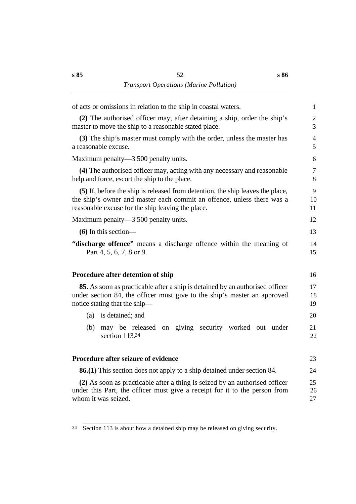| of acts or omissions in relation to the ship in coastal waters.                                                                                                                                               | $\mathbf{1}$        |
|---------------------------------------------------------------------------------------------------------------------------------------------------------------------------------------------------------------|---------------------|
| (2) The authorised officer may, after detaining a ship, order the ship's<br>master to move the ship to a reasonable stated place.                                                                             | $\overline{2}$<br>3 |
| (3) The ship's master must comply with the order, unless the master has<br>a reasonable excuse.                                                                                                               | $\overline{4}$<br>5 |
| Maximum penalty—3 500 penalty units.                                                                                                                                                                          | 6                   |
| (4) The authorised officer may, acting with any necessary and reasonable<br>help and force, escort the ship to the place.                                                                                     | $\tau$<br>8         |
| (5) If, before the ship is released from detention, the ship leaves the place,<br>the ship's owner and master each commit an offence, unless there was a<br>reasonable excuse for the ship leaving the place. | 9<br>10<br>11       |
| Maximum penalty—3 500 penalty units.                                                                                                                                                                          | 12                  |
| $(6)$ In this section—                                                                                                                                                                                        | 13                  |
| "discharge offence" means a discharge offence within the meaning of<br>Part 4, 5, 6, 7, 8 or 9.                                                                                                               | 14<br>15            |
| <b>Procedure after detention of ship</b>                                                                                                                                                                      | 16                  |
| <b>85.</b> As soon as practicable after a ship is detained by an authorised officer<br>under section 84, the officer must give to the ship's master an approved<br>notice stating that the ship—              | 17<br>18<br>19      |
| is detained; and<br>(a)                                                                                                                                                                                       | 20                  |
| may be released on giving security worked out under<br>(b)<br>section 113.34                                                                                                                                  | 21<br>22            |
| Procedure after seizure of evidence                                                                                                                                                                           | 23                  |
| <b>86.(1)</b> This section does not apply to a ship detained under section 84.                                                                                                                                | 24                  |
| (2) As soon as practicable after a thing is seized by an authorised officer<br>under this Part, the officer must give a receipt for it to the person from<br>whom it was seized.                              | 25<br>26<br>27      |
|                                                                                                                                                                                                               |                     |

<sup>34</sup> Section 113 is about how a detained ship may be released on giving security.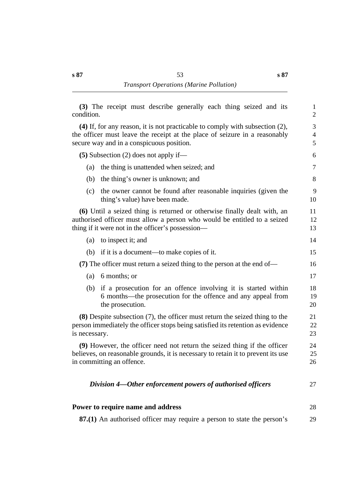**s 87**

| condition.    | (3) The receipt must describe generally each thing seized and its                                                                                                                                            | $\mathbf{1}$<br>$\overline{2}$ |
|---------------|--------------------------------------------------------------------------------------------------------------------------------------------------------------------------------------------------------------|--------------------------------|
|               | $(4)$ If, for any reason, it is not practicable to comply with subsection $(2)$ ,<br>the officer must leave the receipt at the place of seizure in a reasonably<br>secure way and in a conspicuous position. | 3<br>4<br>5                    |
|               | $(5)$ Subsection $(2)$ does not apply if—                                                                                                                                                                    | 6                              |
| (a)           | the thing is unattended when seized; and                                                                                                                                                                     | $\tau$                         |
| (b)           | the thing's owner is unknown; and                                                                                                                                                                            | 8                              |
| (c)           | the owner cannot be found after reasonable inquiries (given the<br>thing's value) have been made.                                                                                                            | 9<br>10                        |
|               | (6) Until a seized thing is returned or otherwise finally dealt with, an<br>authorised officer must allow a person who would be entitled to a seized<br>thing if it were not in the officer's possession—    | 11<br>12<br>13                 |
| (a)           | to inspect it; and                                                                                                                                                                                           | 14                             |
|               | (b) if it is a document—to make copies of it.                                                                                                                                                                | 15                             |
|               | (7) The officer must return a seized thing to the person at the end of—                                                                                                                                      | 16                             |
| (a)           | 6 months; or                                                                                                                                                                                                 | 17                             |
|               | (b) if a prosecution for an offence involving it is started within<br>6 months—the prosecution for the offence and any appeal from<br>the prosecution.                                                       | 18<br>19<br>20                 |
| is necessary. | $(8)$ Despite subsection $(7)$ , the officer must return the seized thing to the<br>person immediately the officer stops being satisfied its retention as evidence                                           | 21<br>22<br>23                 |
|               | (9) However, the officer need not return the seized thing if the officer<br>believes, on reasonable grounds, it is necessary to retain it to prevent its use<br>in committing an offence.                    | 24<br>25<br>26                 |
|               | Division 4—Other enforcement powers of authorised officers                                                                                                                                                   | 27                             |
|               | Power to require name and address                                                                                                                                                                            | 28                             |
|               | 87.(1) An authorised officer may require a person to state the person's                                                                                                                                      | 29                             |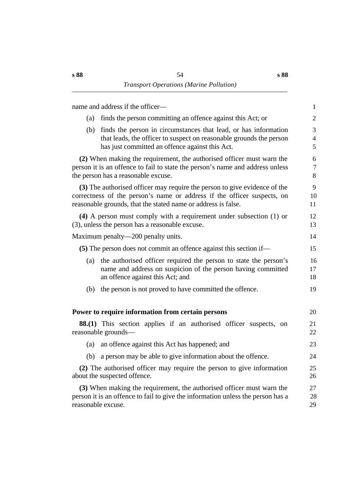| name and address if the officer-                                                                                                                                                                                      | $\mathbf{1}$             |
|-----------------------------------------------------------------------------------------------------------------------------------------------------------------------------------------------------------------------|--------------------------|
| finds the person committing an offence against this Act; or<br>(a)                                                                                                                                                    | $\overline{2}$           |
| finds the person in circumstances that lead, or has information<br>(b)<br>that leads, the officer to suspect on reasonable grounds the person<br>has just committed an offence against this Act.                      | 3<br>$\overline{4}$<br>5 |
| (2) When making the requirement, the authorised officer must warn the<br>person it is an offence to fail to state the person's name and address unless<br>the person has a reasonable excuse.                         | 6<br>$\tau$<br>8         |
| (3) The authorised officer may require the person to give evidence of the<br>correctness of the person's name or address if the officer suspects, on<br>reasonable grounds, that the stated name or address is false. | 9<br>10<br>11            |
| $(4)$ A person must comply with a requirement under subsection $(1)$ or<br>(3), unless the person has a reasonable excuse.                                                                                            | 12<br>13                 |
| Maximum penalty—200 penalty units.                                                                                                                                                                                    | 14                       |
| (5) The person does not commit an offence against this section if—                                                                                                                                                    | 15                       |
| the authorised officer required the person to state the person's<br>(a)<br>name and address on suspicion of the person having committed<br>an offence against this Act; and                                           | 16<br>17<br>18           |
| the person is not proved to have committed the offence.<br>(b)                                                                                                                                                        | 19                       |
| Power to require information from certain persons                                                                                                                                                                     | 20                       |
| <b>88.(1)</b> This section applies if an authorised officer suspects, on<br>reasonable grounds-                                                                                                                       | 21<br>22                 |
| an offence against this Act has happened; and<br>(a)                                                                                                                                                                  | 23                       |
| (b)<br>a person may be able to give information about the offence.                                                                                                                                                    | 24                       |
| (2) The authorised officer may require the person to give information<br>about the suspected offence.                                                                                                                 | 25<br>26                 |
| (3) When making the requirement, the authorised officer must warn the<br>person it is an offence to fail to give the information unless the person has a<br>reasonable excuse.                                        | 27<br>28<br>29           |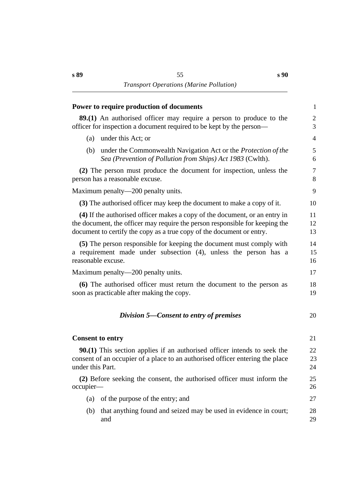| Power to require production of documents                                                                                                                                                                                            | $\mathbf{1}$        |
|-------------------------------------------------------------------------------------------------------------------------------------------------------------------------------------------------------------------------------------|---------------------|
| <b>89.(1)</b> An authorised officer may require a person to produce to the<br>officer for inspection a document required to be kept by the person-                                                                                  | $\mathfrak{2}$<br>3 |
| under this Act; or<br>(a)                                                                                                                                                                                                           | $\overline{4}$      |
| under the Commonwealth Navigation Act or the <i>Protection of the</i><br>(b)<br>Sea (Prevention of Pollution from Ships) Act 1983 (Cwlth).                                                                                          | 5<br>6              |
| (2) The person must produce the document for inspection, unless the<br>person has a reasonable excuse.                                                                                                                              | $\tau$<br>8         |
| Maximum penalty—200 penalty units.                                                                                                                                                                                                  | 9                   |
| (3) The authorised officer may keep the document to make a copy of it.                                                                                                                                                              | 10                  |
| (4) If the authorised officer makes a copy of the document, or an entry in<br>the document, the officer may require the person responsible for keeping the<br>document to certify the copy as a true copy of the document or entry. | 11<br>12<br>13      |
| (5) The person responsible for keeping the document must comply with<br>a requirement made under subsection (4), unless the person has a<br>reasonable excuse.                                                                      | 14<br>15<br>16      |
| Maximum penalty—200 penalty units.                                                                                                                                                                                                  | 17                  |
| (6) The authorised officer must return the document to the person as<br>soon as practicable after making the copy.                                                                                                                  | 18<br>19            |
| Division 5—Consent to entry of premises                                                                                                                                                                                             | 20                  |
| <b>Consent to entry</b>                                                                                                                                                                                                             | 21                  |
| <b>90.(1)</b> This section applies if an authorised officer intends to seek the<br>consent of an occupier of a place to an authorised officer entering the place<br>under this Part.                                                | 22<br>23<br>24      |
| (2) Before seeking the consent, the authorised officer must inform the<br>occupier-                                                                                                                                                 | 25<br>26            |
| of the purpose of the entry; and<br>(a)                                                                                                                                                                                             | 27                  |
| that anything found and seized may be used in evidence in court;<br>(b)<br>and                                                                                                                                                      | 28<br>29            |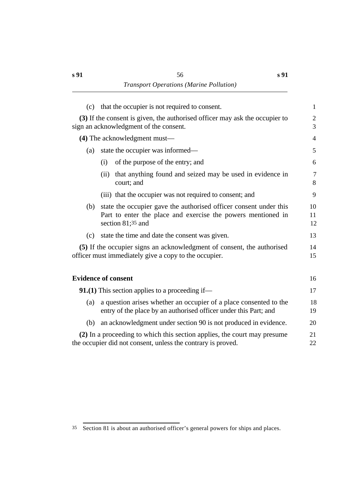| (c) | that the occupier is not required to consent.                                                                                                            | $\mathbf{1}$        |
|-----|----------------------------------------------------------------------------------------------------------------------------------------------------------|---------------------|
|     | (3) If the consent is given, the authorised officer may ask the occupier to<br>sign an acknowledgment of the consent.                                    | $\overline{c}$<br>3 |
|     | (4) The acknowledgment must—                                                                                                                             | 4                   |
| (a) | state the occupier was informed—                                                                                                                         | 5                   |
|     | of the purpose of the entry; and<br>(i)                                                                                                                  | 6                   |
|     | that anything found and seized may be used in evidence in<br>(ii)<br>court; and                                                                          | $\overline{7}$<br>8 |
|     | (iii) that the occupier was not required to consent; and                                                                                                 | 9                   |
| (b) | state the occupier gave the authorised officer consent under this<br>Part to enter the place and exercise the powers mentioned in<br>section $81;35$ and | 10<br>11<br>12      |
| (c) | state the time and date the consent was given.                                                                                                           | 13                  |
|     | (5) If the occupier signs an acknowledgment of consent, the authorised<br>officer must immediately give a copy to the occupier.                          | 14<br>15            |
|     | <b>Evidence of consent</b>                                                                                                                               | 16                  |
|     | <b>91.(1)</b> This section applies to a proceeding if—                                                                                                   | 17                  |
| (a) | a question arises whether an occupier of a place consented to the<br>entry of the place by an authorised officer under this Part; and                    | 18<br>19            |
| (b) | an acknowledgment under section 90 is not produced in evidence.                                                                                          | 20                  |
|     | (2) In a proceeding to which this section applies, the court may presume<br>the occupier did not consent, unless the contrary is proved.                 | 21<br>22            |

<sup>35</sup> Section 81 is about an authorised officer's general powers for ships and places.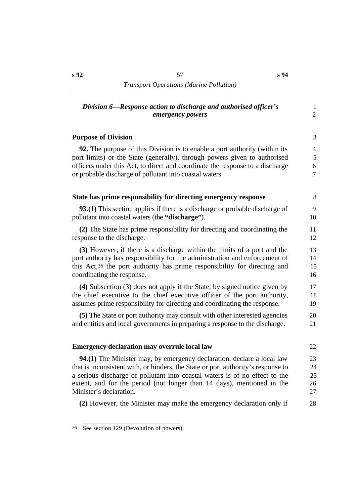# *Division 6—Response action to discharge and authorised officer's* 1 *emergency powers* 2

## **Purpose of Division** 3

**92.** The purpose of this Division is to enable a port authority (within its 4 port limits) or the State (generally), through powers given to authorised 5 officers under this Act, to direct and coordinate the response to a discharge 6 or probable discharge of pollutant into coastal waters. 7

| State has prime responsibility for directing emergency response                       | 8  |
|---------------------------------------------------------------------------------------|----|
| <b>93.(1)</b> This section applies if there is a discharge or probable discharge of   | 9  |
| pollutant into coastal waters (the "discharge").                                      | 10 |
| (2) The State has prime responsibility for directing and coordinating the             | 11 |
| response to the discharge.                                                            | 12 |
| (3) However, if there is a discharge within the limits of a port and the              | 13 |
| port authority has responsibility for the administration and enforcement of           | 14 |
| this Act, <sup>36</sup> the port authority has prime responsibility for directing and | 15 |
| coordinating the response.                                                            | 16 |
| (4) Subsection (3) does not apply if the State, by signed notice given by             | 17 |
| the chief executive to the chief executive officer of the port authority,             | 18 |
| assumes prime responsibility for directing and coordinating the response.             | 19 |
| (5) The State or port authority may consult with other interested agencies            | 20 |
| and entities and local governments in preparing a response to the discharge.          | 21 |
| <b>Emergency declaration may overrule local law</b>                                   | 22 |
| <b>94.(1)</b> The Minister may, by emergency declaration, declare a local law         | 23 |
| that is inconsistent with, or hinders, the State or port authority's response to      | 24 |
| a serious discharge of pollutant into coastal waters is of no effect to the           | 25 |
| extent, and for the period (not longer than 14 days), mentioned in the                | 26 |
| Minister's declaration.                                                               | 27 |
| (2) However, the Minister may make the emergency declaration only if                  | 28 |

#### 36 See section 129 (Devolution of powers).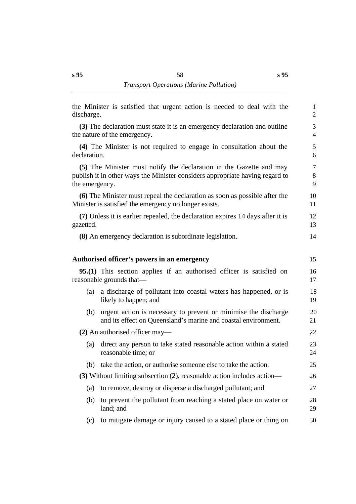| discharge.     | the Minister is satisfied that urgent action is needed to deal with the                                                                             | $\mathbf{1}$<br>$\overline{2}$ |
|----------------|-----------------------------------------------------------------------------------------------------------------------------------------------------|--------------------------------|
|                | (3) The declaration must state it is an emergency declaration and outline<br>the nature of the emergency.                                           | 3<br>$\overline{4}$            |
| declaration.   | (4) The Minister is not required to engage in consultation about the                                                                                | 5<br>6                         |
| the emergency. | (5) The Minister must notify the declaration in the Gazette and may<br>publish it in other ways the Minister considers appropriate having regard to | $\overline{7}$<br>8<br>9       |
|                | (6) The Minister must repeal the declaration as soon as possible after the<br>Minister is satisfied the emergency no longer exists.                 | 10<br>11                       |
| gazetted.      | (7) Unless it is earlier repealed, the declaration expires 14 days after it is                                                                      | 12<br>13                       |
|                | (8) An emergency declaration is subordinate legislation.                                                                                            | 14                             |
|                | Authorised officer's powers in an emergency                                                                                                         | 15                             |
|                | <b>95.(1)</b> This section applies if an authorised officer is satisfied on<br>reasonable grounds that—                                             | 16<br>17                       |
| (a)            | a discharge of pollutant into coastal waters has happened, or is<br>likely to happen; and                                                           | 18<br>19                       |
| (b)            | urgent action is necessary to prevent or minimise the discharge<br>and its effect on Queensland's marine and coastal environment.                   | 20<br>21                       |
|                | $(2)$ An authorised officer may—                                                                                                                    | 22                             |
| (a)            | direct any person to take stated reasonable action within a stated<br>reasonable time; or                                                           | 23<br>24                       |
|                | (b) take the action, or authorise someone else to take the action.                                                                                  | 25                             |
|                | (3) Without limiting subsection (2), reasonable action includes action—                                                                             | 26                             |
| (a)            | to remove, destroy or disperse a discharged pollutant; and                                                                                          | 27                             |
| (b)            | to prevent the pollutant from reaching a stated place on water or<br>land; and                                                                      | 28<br>29                       |
| (c)            | to mitigate damage or injury caused to a stated place or thing on                                                                                   | 30                             |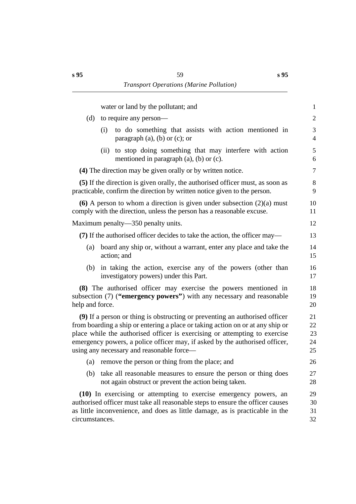**s 95**

| water or land by the pollutant; and                                                                                                                                                                                                                                                                                                                                     | $\mathbf{1}$               |
|-------------------------------------------------------------------------------------------------------------------------------------------------------------------------------------------------------------------------------------------------------------------------------------------------------------------------------------------------------------------------|----------------------------|
| (d)<br>to require any person-                                                                                                                                                                                                                                                                                                                                           | $\overline{2}$             |
| to do something that assists with action mentioned in<br>(i)<br>paragraph $(a)$ , $(b)$ or $(c)$ ; or                                                                                                                                                                                                                                                                   | 3<br>$\overline{4}$        |
| (ii) to stop doing something that may interfere with action<br>mentioned in paragraph $(a)$ , $(b)$ or $(c)$ .                                                                                                                                                                                                                                                          | 5<br>6                     |
| (4) The direction may be given orally or by written notice.                                                                                                                                                                                                                                                                                                             | $\tau$                     |
| (5) If the direction is given orally, the authorised officer must, as soon as<br>practicable, confirm the direction by written notice given to the person.                                                                                                                                                                                                              | 8<br>9                     |
| (6) A person to whom a direction is given under subsection $(2)(a)$ must<br>comply with the direction, unless the person has a reasonable excuse.                                                                                                                                                                                                                       | 10<br>11                   |
| Maximum penalty—350 penalty units.                                                                                                                                                                                                                                                                                                                                      | 12                         |
| (7) If the authorised officer decides to take the action, the officer may—                                                                                                                                                                                                                                                                                              | 13                         |
| board any ship or, without a warrant, enter any place and take the<br>(a)<br>action; and                                                                                                                                                                                                                                                                                | 14<br>15                   |
| in taking the action, exercise any of the powers (other than<br>(b)<br>investigatory powers) under this Part.                                                                                                                                                                                                                                                           | 16<br>17                   |
| (8) The authorised officer may exercise the powers mentioned in<br>subsection (7) ("emergency powers") with any necessary and reasonable<br>help and force.                                                                                                                                                                                                             | 18<br>19<br>20             |
| (9) If a person or thing is obstructing or preventing an authorised officer<br>from boarding a ship or entering a place or taking action on or at any ship or<br>place while the authorised officer is exercising or attempting to exercise<br>emergency powers, a police officer may, if asked by the authorised officer,<br>using any necessary and reasonable force— | 21<br>22<br>23<br>24<br>25 |
| remove the person or thing from the place; and<br>(a)                                                                                                                                                                                                                                                                                                                   | 26                         |
| take all reasonable measures to ensure the person or thing does<br>(b)<br>not again obstruct or prevent the action being taken.                                                                                                                                                                                                                                         | 27<br>28                   |
| (10) In exercising or attempting to exercise emergency powers, an<br>authorised officer must take all reasonable steps to ensure the officer causes<br>as little inconvenience, and does as little damage, as is practicable in the<br>circumstances.                                                                                                                   | 29<br>30<br>31<br>32       |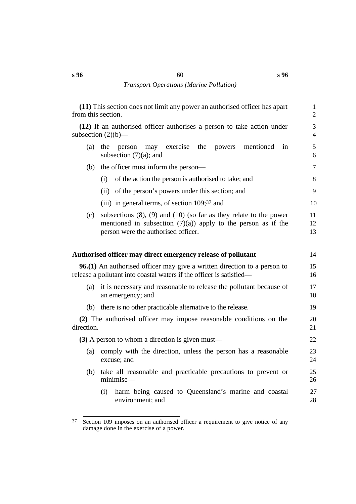| from this section. | (11) This section does not limit any power an authorised officer has apart                                                                                                        | $\mathbf{1}$<br>$\overline{2}$ |
|--------------------|-----------------------------------------------------------------------------------------------------------------------------------------------------------------------------------|--------------------------------|
|                    | (12) If an authorised officer authorises a person to take action under<br>subsection $(2)(b)$ —                                                                                   | 3<br>$\overline{4}$            |
| (a)                | the<br>mentioned<br>the<br>person<br>may<br>exercise<br>powers<br>in<br>subsection $(7)(a)$ ; and                                                                                 | 5<br>6                         |
| (b)                | the officer must inform the person—                                                                                                                                               | $\overline{7}$                 |
|                    | of the action the person is authorised to take; and<br>(i)                                                                                                                        | 8                              |
|                    | (ii) of the person's powers under this section; and                                                                                                                               | 9                              |
|                    | (iii) in general terms, of section 109;37 and                                                                                                                                     | 10                             |
| (c)                | subsections $(8)$ , $(9)$ and $(10)$ (so far as they relate to the power<br>mentioned in subsection $(7)(a)$ apply to the person as if the<br>person were the authorised officer. | 11<br>12<br>13                 |
|                    | Authorised officer may direct emergency release of pollutant                                                                                                                      | 14                             |
|                    | <b>96.(1)</b> An authorised officer may give a written direction to a person to<br>release a pollutant into coastal waters if the officer is satisfied—                           | 15<br>16                       |
| (a)                | it is necessary and reasonable to release the pollutant because of<br>an emergency; and                                                                                           | 17<br>18                       |
| (b)                | there is no other practicable alternative to the release.                                                                                                                         | 19                             |
| direction.         | (2) The authorised officer may impose reasonable conditions on the                                                                                                                | 20<br>21                       |
|                    | (3) A person to whom a direction is given must—                                                                                                                                   | 22                             |
| (a)                | comply with the direction, unless the person has a reasonable<br>excuse; and                                                                                                      | 23<br>24                       |
| (b)                | take all reasonable and practicable precautions to prevent or<br>minimise-                                                                                                        | 25<br>26                       |
|                    | harm being caused to Queensland's marine and coastal<br>(i)<br>environment; and                                                                                                   | 27<br>28                       |

<sup>37</sup> Section 109 imposes on an authorised officer a requirement to give notice of any damage done in the exercise of a power.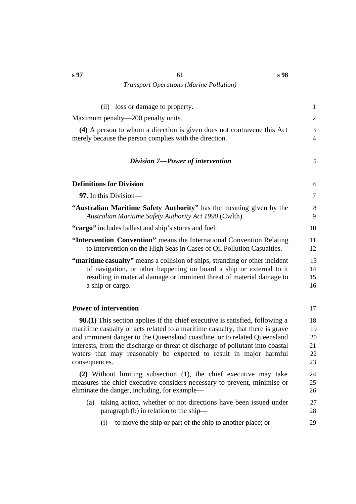| (ii) loss or damage to property.                                                                                                                                                                                                                                                                                                                                                                                          | $\mathbf{1}$                     |
|---------------------------------------------------------------------------------------------------------------------------------------------------------------------------------------------------------------------------------------------------------------------------------------------------------------------------------------------------------------------------------------------------------------------------|----------------------------------|
| Maximum penalty—200 penalty units.                                                                                                                                                                                                                                                                                                                                                                                        | $\overline{2}$                   |
| (4) A person to whom a direction is given does not contravene this Act<br>merely because the person complies with the direction.                                                                                                                                                                                                                                                                                          | 3<br>$\overline{4}$              |
| Division 7-Power of intervention                                                                                                                                                                                                                                                                                                                                                                                          | 5                                |
| <b>Definitions for Division</b>                                                                                                                                                                                                                                                                                                                                                                                           | 6                                |
| 97. In this Division—                                                                                                                                                                                                                                                                                                                                                                                                     | 7                                |
| "Australian Maritime Safety Authority" has the meaning given by the<br>Australian Maritime Safety Authority Act 1990 (Cwlth).                                                                                                                                                                                                                                                                                             | 8<br>9                           |
| "cargo" includes ballast and ship's stores and fuel.                                                                                                                                                                                                                                                                                                                                                                      | 10                               |
| "Intervention Convention" means the International Convention Relating<br>to Intervention on the High Seas in Cases of Oil Pollution Casualties.                                                                                                                                                                                                                                                                           | 11<br>12                         |
| "maritime casualty" means a collision of ships, stranding or other incident<br>of navigation, or other happening on board a ship or external to it<br>resulting in material damage or imminent threat of material damage to<br>a ship or cargo.                                                                                                                                                                           | 13<br>14<br>15<br>16             |
| <b>Power of intervention</b>                                                                                                                                                                                                                                                                                                                                                                                              | 17                               |
| <b>98.(1)</b> This section applies if the chief executive is satisfied, following a<br>maritime casualty or acts related to a maritime casualty, that there is grave<br>and imminent danger to the Queensland coastline, or to related Queensland<br>interests, from the discharge or threat of discharge of pollutant into coastal<br>waters that may reasonably be expected to result in major harmful<br>consequences. | 18<br>19<br>20<br>21<br>22<br>23 |
| (2) Without limiting subsection (1), the chief executive may take<br>measures the chief executive considers necessary to prevent, minimise or<br>eliminate the danger, including, for example—                                                                                                                                                                                                                            | 24<br>25<br>26                   |
| taking action, whether or not directions have been issued under<br>(a)<br>paragraph (b) in relation to the ship—                                                                                                                                                                                                                                                                                                          | 27<br>28                         |
| to move the ship or part of the ship to another place; or<br>(i)                                                                                                                                                                                                                                                                                                                                                          | 29                               |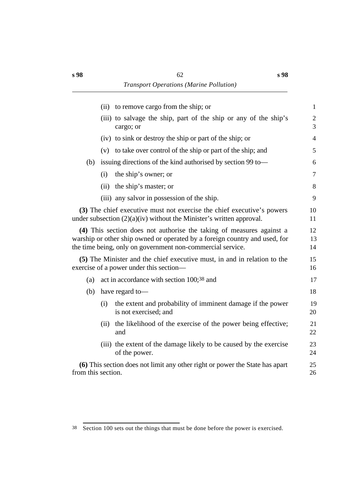|                    |      | (ii) to remove cargo from the ship; or                                                                                                                                                                           | $\mathbf{1}$        |
|--------------------|------|------------------------------------------------------------------------------------------------------------------------------------------------------------------------------------------------------------------|---------------------|
|                    |      | (iii) to salvage the ship, part of the ship or any of the ship's<br>cargo; or                                                                                                                                    | $\overline{2}$<br>3 |
|                    |      | (iv) to sink or destroy the ship or part of the ship; or                                                                                                                                                         | $\overline{4}$      |
|                    |      | (v) to take over control of the ship or part of the ship; and                                                                                                                                                    | 5                   |
| (b)                |      | issuing directions of the kind authorised by section 99 to-                                                                                                                                                      | 6                   |
|                    | (i)  | the ship's owner; or                                                                                                                                                                                             | $\tau$              |
|                    |      | (ii) the ship's master; or                                                                                                                                                                                       | 8                   |
|                    |      | (iii) any salvor in possession of the ship.                                                                                                                                                                      | 9                   |
|                    |      | (3) The chief executive must not exercise the chief executive's powers<br>under subsection (2)(a)(iv) without the Minister's written approval.                                                                   | 10<br>11            |
|                    |      | (4) This section does not authorise the taking of measures against a<br>warship or other ship owned or operated by a foreign country and used, for<br>the time being, only on government non-commercial service. | 12<br>13<br>14      |
|                    |      | (5) The Minister and the chief executive must, in and in relation to the<br>exercise of a power under this section—                                                                                              | 15<br>16            |
| (a)                |      | act in accordance with section 100;38 and                                                                                                                                                                        | 17                  |
| (b)                |      | have regard to-                                                                                                                                                                                                  | 18                  |
|                    | (i)  | the extent and probability of imminent damage if the power<br>is not exercised; and                                                                                                                              | 19<br>20            |
|                    | (ii) | the likelihood of the exercise of the power being effective;<br>and                                                                                                                                              | 21<br>22            |
|                    |      | (iii) the extent of the damage likely to be caused by the exercise<br>of the power.                                                                                                                              | 23<br>24            |
| from this section. |      | (6) This section does not limit any other right or power the State has apart                                                                                                                                     | 25<br>26            |
|                    |      |                                                                                                                                                                                                                  |                     |

<sup>38</sup> Section 100 sets out the things that must be done before the power is exercised.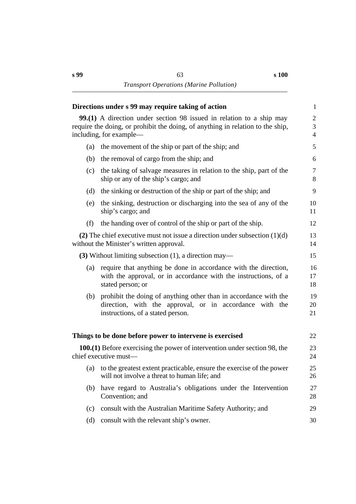**s 100**

|     | Directions under s 99 may require taking of action                                                                                                                                       | $\mathbf{1}$                          |
|-----|------------------------------------------------------------------------------------------------------------------------------------------------------------------------------------------|---------------------------------------|
|     | <b>99.(1)</b> A direction under section 98 issued in relation to a ship may<br>require the doing, or prohibit the doing, of anything in relation to the ship,<br>including, for example— | $\overline{c}$<br>3<br>$\overline{4}$ |
| (a) | the movement of the ship or part of the ship; and                                                                                                                                        | 5                                     |
| (b) | the removal of cargo from the ship; and                                                                                                                                                  | 6                                     |
| (c) | the taking of salvage measures in relation to the ship, part of the<br>ship or any of the ship's cargo; and                                                                              | $\tau$<br>8                           |
| (d) | the sinking or destruction of the ship or part of the ship; and                                                                                                                          | 9                                     |
| (e) | the sinking, destruction or discharging into the sea of any of the<br>ship's cargo; and                                                                                                  | 10<br>11                              |
| (f) | the handing over of control of the ship or part of the ship.                                                                                                                             | 12                                    |
|     | (2) The chief executive must not issue a direction under subsection $(1)(d)$<br>without the Minister's written approval.                                                                 | 13<br>14                              |
|     | $(3)$ Without limiting subsection $(1)$ , a direction may—                                                                                                                               | 15                                    |
| (a) | require that anything be done in accordance with the direction,<br>with the approval, or in accordance with the instructions, of a<br>stated person; or                                  | 16<br>17<br>18                        |
| (b) | prohibit the doing of anything other than in accordance with the<br>direction, with the approval, or in accordance with the<br>instructions, of a stated person.                         | 19<br>20<br>21                        |
|     | Things to be done before power to intervene is exercised                                                                                                                                 | 22                                    |
|     | <b>100.(1)</b> Before exercising the power of intervention under section 98, the<br>chief executive must—                                                                                | 23<br>24                              |
|     | (a) to the greatest extent practicable, ensure the exercise of the power<br>will not involve a threat to human life; and                                                                 | 25<br>26                              |
| (b) | have regard to Australia's obligations under the Intervention<br>Convention; and                                                                                                         | 27<br>28                              |
| (c) | consult with the Australian Maritime Safety Authority; and                                                                                                                               | 29                                    |
| (d) | consult with the relevant ship's owner.                                                                                                                                                  | 30                                    |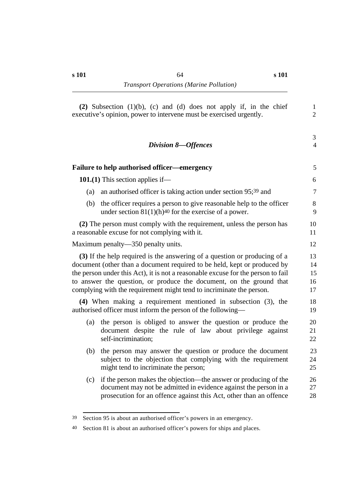| <b>Division 8-Offences</b>                                                                                                                                                                                                                                                                                                                                                               | $\overline{4}$             |
|------------------------------------------------------------------------------------------------------------------------------------------------------------------------------------------------------------------------------------------------------------------------------------------------------------------------------------------------------------------------------------------|----------------------------|
| <b>Failure to help authorised officer—emergency</b>                                                                                                                                                                                                                                                                                                                                      | 5                          |
| 101.(1) This section applies if—                                                                                                                                                                                                                                                                                                                                                         | 6                          |
| an authorised officer is taking action under section 95;39 and<br>(a)                                                                                                                                                                                                                                                                                                                    | $\overline{7}$             |
| the officer requires a person to give reasonable help to the officer<br>(b)<br>under section $81(1)(h)^{40}$ for the exercise of a power.                                                                                                                                                                                                                                                | $8\,$<br>9                 |
| (2) The person must comply with the requirement, unless the person has<br>a reasonable excuse for not complying with it.                                                                                                                                                                                                                                                                 | 10<br>11                   |
| Maximum penalty—350 penalty units.                                                                                                                                                                                                                                                                                                                                                       | 12                         |
| (3) If the help required is the answering of a question or producing of a<br>document (other than a document required to be held, kept or produced by<br>the person under this Act), it is not a reasonable excuse for the person to fail<br>to answer the question, or produce the document, on the ground that<br>complying with the requirement might tend to incriminate the person. | 13<br>14<br>15<br>16<br>17 |
| $(4)$ When making a requirement mentioned in subsection $(3)$ , the<br>authorised officer must inform the person of the following—                                                                                                                                                                                                                                                       | 18<br>19                   |
| the person is obliged to answer the question or produce the<br>(a)<br>document despite the rule of law about privilege against<br>self-incrimination;                                                                                                                                                                                                                                    | 20<br>21<br>22             |
| the person may answer the question or produce the document<br>(b)<br>subject to the objection that complying with the requirement<br>might tend to incriminate the person;                                                                                                                                                                                                               | 23<br>24<br>25             |
| if the person makes the objection—the answer or producing of the<br>(c)<br>document may not be admitted in evidence against the person in a<br>prosecution for an offence against this Act, other than an offence                                                                                                                                                                        | 26<br>27<br>28             |

3

<sup>39</sup> Section 95 is about an authorised officer's powers in an emergency.

<sup>40</sup> Section 81 is about an authorised officer's powers for ships and places.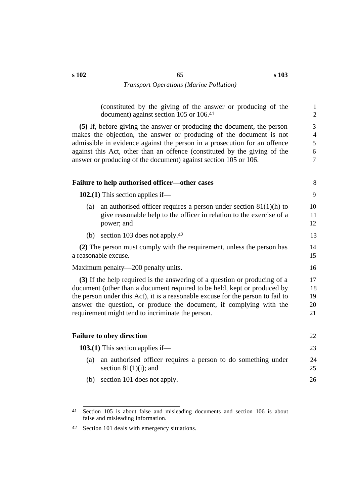(constituted by the giving of the answer or producing of the 1 document) against section 105 or 106.41 2

**(5)** If, before giving the answer or producing the document, the person 3 makes the objection, the answer or producing of the document is not 4 admissible in evidence against the person in a prosecution for an offence 5 against this Act, other than an offence (constituted by the giving of the 6 answer or producing of the document) against section 105 or 106.  $\frac{7}{9}$ 

|     | Failure to help authorised officer—other cases                                                                                                                                                                                                                                                                                                                       | 8                          |
|-----|----------------------------------------------------------------------------------------------------------------------------------------------------------------------------------------------------------------------------------------------------------------------------------------------------------------------------------------------------------------------|----------------------------|
|     | 102.(1) This section applies if—                                                                                                                                                                                                                                                                                                                                     | 9                          |
| (a) | an authorised officer requires a person under section $81(1)(h)$ to<br>give reasonable help to the officer in relation to the exercise of a<br>power; and                                                                                                                                                                                                            | 10<br>11<br>12             |
| (b) | section 103 does not apply. <sup>42</sup>                                                                                                                                                                                                                                                                                                                            | 13                         |
|     | (2) The person must comply with the requirement, unless the person has<br>a reasonable excuse.                                                                                                                                                                                                                                                                       | 14<br>15                   |
|     | Maximum penalty—200 penalty units.                                                                                                                                                                                                                                                                                                                                   | 16                         |
|     | (3) If the help required is the answering of a question or producing of a<br>document (other than a document required to be held, kept or produced by<br>the person under this Act), it is a reasonable excuse for the person to fail to<br>answer the question, or produce the document, if complying with the<br>requirement might tend to incriminate the person. | 17<br>18<br>19<br>20<br>21 |
|     | <b>Failure to obey direction</b>                                                                                                                                                                                                                                                                                                                                     | 22                         |
|     | 103.(1) This section applies if—                                                                                                                                                                                                                                                                                                                                     | 23                         |
| (a) | an authorised officer requires a person to do something under<br>section $81(1)(i)$ ; and                                                                                                                                                                                                                                                                            | 24<br>25                   |
| (b) | section 101 does not apply.                                                                                                                                                                                                                                                                                                                                          | 26                         |

<sup>41</sup> Section 105 is about false and misleading documents and section 106 is about false and misleading information.

<sup>42</sup> Section 101 deals with emergency situations.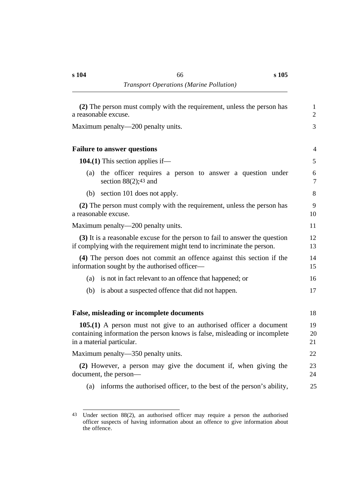| (2) The person must comply with the requirement, unless the person has<br>a reasonable excuse.                                                                                       | $\mathbf{1}$<br>$\overline{2}$ |
|--------------------------------------------------------------------------------------------------------------------------------------------------------------------------------------|--------------------------------|
| Maximum penalty—200 penalty units.                                                                                                                                                   | 3                              |
| <b>Failure to answer questions</b>                                                                                                                                                   | 4                              |
| 104.(1) This section applies if—                                                                                                                                                     | 5                              |
| the officer requires a person to answer a question under<br>(a)<br>section $88(2)$ ; <sup>43</sup> and                                                                               | 6<br>$\tau$                    |
| section 101 does not apply.<br>(b)                                                                                                                                                   | 8                              |
| (2) The person must comply with the requirement, unless the person has<br>a reasonable excuse.                                                                                       | 9<br>10                        |
| Maximum penalty—200 penalty units.                                                                                                                                                   | 11                             |
| (3) It is a reasonable excuse for the person to fail to answer the question<br>if complying with the requirement might tend to incriminate the person.                               | 12<br>13                       |
| (4) The person does not commit an offence against this section if the<br>information sought by the authorised officer—                                                               | 14<br>15                       |
| is not in fact relevant to an offence that happened; or<br>(a)                                                                                                                       | 16                             |
| is about a suspected offence that did not happen.<br>(b)                                                                                                                             | 17                             |
| <b>False, misleading or incomplete documents</b>                                                                                                                                     | 18                             |
| <b>105.(1)</b> A person must not give to an authorised officer a document<br>containing information the person knows is false, misleading or incomplete<br>in a material particular. | 19<br>20<br>21                 |
| Maximum penalty—350 penalty units.                                                                                                                                                   | 22                             |
| (2) However, a person may give the document if, when giving the<br>document, the person—                                                                                             | 23<br>24                       |
| informs the authorised officer, to the best of the person's ability,<br>(a)                                                                                                          | 25                             |

<sup>43</sup> Under section 88(2), an authorised officer may require a person the authorised officer suspects of having information about an offence to give information about the offence.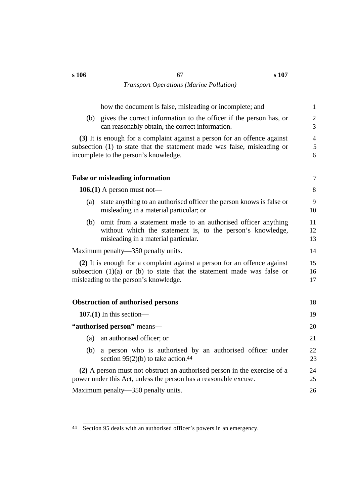how the document is false, misleading or incomplete; and 1 (b) gives the correct information to the officer if the person has, or 2 can reasonably obtain, the correct information. 3 **(3)** It is enough for a complaint against a person for an offence against 4 subsection (1) to state that the statement made was false, misleading or  $5$ incomplete to the person's knowledge. 6 **Track False** or misleading information **7** *T* **106.(1)** A person must not— 8 (a) state anything to an authorised officer the person knows is false or 9 misleading in a material particular; or 10 (b) omit from a statement made to an authorised officer anything 11 without which the statement is, to the person's knowledge,  $12$ misleading in a material particular. 13 Maximum penalty—350 penalty units. 14 **(2)** It is enough for a complaint against a person for an offence against 15 subsection  $(1)(a)$  or  $(b)$  to state that the statement made was false or 16 misleading to the person's knowledge. 17 **<u><b>Obstruction of authorised persons** 18</u> **107.(1)** In this section— 19 **"authorised person"** means— 20 (a) an authorised officer; or 21 (b) a person who is authorised by an authorised officer under 22 section  $95(2)(b)$  to take action.<sup>44</sup> 23 **(2)** A person must not obstruct an authorised person in the exercise of a 24 power under this Act, unless the person has a reasonable excuse. 25 Maximum penalty—350 penalty units. 26

<sup>44</sup> Section 95 deals with an authorised officer's powers in an emergency.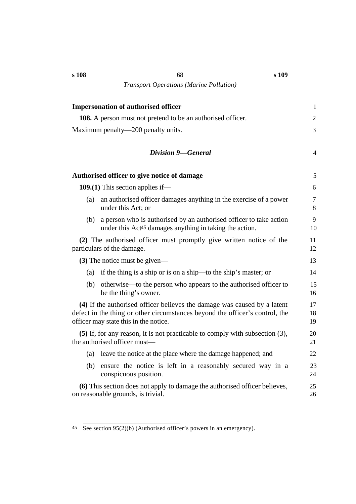|     | <b>Impersonation of authorised officer</b>                                                                                                                                                        | $\mathbf{1}$   |
|-----|---------------------------------------------------------------------------------------------------------------------------------------------------------------------------------------------------|----------------|
|     | <b>108.</b> A person must not pretend to be an authorised officer.                                                                                                                                | $\mathfrak{2}$ |
|     | Maximum penalty—200 penalty units.                                                                                                                                                                | 3              |
|     | <b>Division 9-General</b>                                                                                                                                                                         | 4              |
|     | Authorised officer to give notice of damage                                                                                                                                                       | 5              |
|     | 109.(1) This section applies if—                                                                                                                                                                  | 6              |
| (a) | an authorised officer damages anything in the exercise of a power<br>under this Act; or                                                                                                           | $\tau$<br>8    |
| (b) | a person who is authorised by an authorised officer to take action<br>under this Act <sup>45</sup> damages anything in taking the action.                                                         | 9<br>10        |
|     | (2) The authorised officer must promptly give written notice of the<br>particulars of the damage.                                                                                                 | 11<br>12       |
|     | (3) The notice must be given—                                                                                                                                                                     | 13             |
| (a) | if the thing is a ship or is on a ship—to the ship's master; or                                                                                                                                   | 14             |
| (b) | otherwise—to the person who appears to the authorised officer to<br>be the thing's owner.                                                                                                         | 15<br>16       |
|     | (4) If the authorised officer believes the damage was caused by a latent<br>defect in the thing or other circumstances beyond the officer's control, the<br>officer may state this in the notice. | 17<br>18<br>19 |
|     | (5) If, for any reason, it is not practicable to comply with subsection (3),<br>the authorised officer must—                                                                                      | 20<br>21       |
| (a) | leave the notice at the place where the damage happened; and                                                                                                                                      | 22             |
| (b) | ensure the notice is left in a reasonably secured way in a<br>conspicuous position.                                                                                                               | 23<br>24       |
|     | (6) This section does not apply to damage the authorised officer believes,<br>on reasonable grounds, is trivial.                                                                                  | 25<br>26       |

<sup>45</sup> See section 95(2)(b) (Authorised officer's powers in an emergency).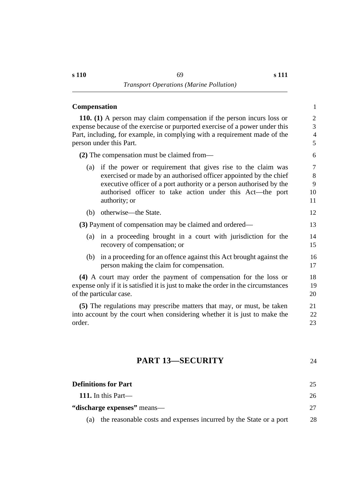### **<u>Compensation</u>** 1

**110. (1)** A person may claim compensation if the person incurs loss or 2 expense because of the exercise or purported exercise of a power under this  $\frac{3}{2}$ Part, including, for example, in complying with a requirement made of the 4 person under this Part. 5

**(2)** The compensation must be claimed from— 6

- (a) if the power or requirement that gives rise to the claim was 7 exercised or made by an authorised officer appointed by the chief 8 executive officer of a port authority or a person authorised by the 9 authorised officer to take action under this Act—the port 10 authority; or 11
- (b) otherwise—the State. 12

**(3)** Payment of compensation may be claimed and ordered— 13

- (a) in a proceeding brought in a court with jurisdiction for the 14 recovery of compensation; or 15
- (b) in a proceeding for an offence against this Act brought against the 16 person making the claim for compensation. 17

**(4)** A court may order the payment of compensation for the loss or 18 expense only if it is satisfied it is just to make the order in the circumstances 19 of the particular case. 20

**(5)** The regulations may prescribe matters that may, or must, be taken 21 into account by the court when considering whether it is just to make the 22 order. 23

# **†PART 13—SECURITY** 24

| <b>Definitions for Part</b>                                              | 25 |
|--------------------------------------------------------------------------|----|
| 111. In this Part—                                                       | 26 |
| "discharge expenses" means—                                              |    |
| the reasonable costs and expenses incurred by the State or a port<br>(a) | 28 |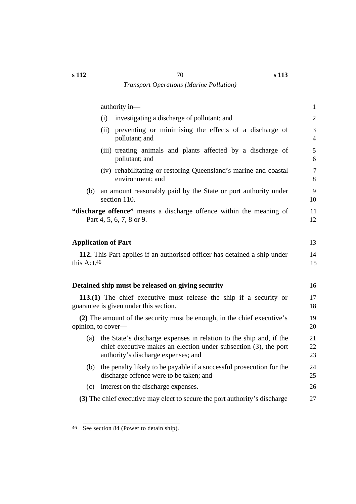|             | authority in-                                                                                                                                                                    | $\mathbf{1}$        |
|-------------|----------------------------------------------------------------------------------------------------------------------------------------------------------------------------------|---------------------|
|             | investigating a discharge of pollutant; and<br>(i)                                                                                                                               | $\overline{2}$      |
|             | (ii) preventing or minimising the effects of a discharge of<br>pollutant; and                                                                                                    | 3<br>$\overline{4}$ |
|             | (iii) treating animals and plants affected by a discharge of<br>pollutant; and                                                                                                   | 5<br>6              |
|             | (iv) rehabilitating or restoring Queensland's marine and coastal<br>environment; and                                                                                             | $\overline{7}$<br>8 |
| (b)         | an amount reasonably paid by the State or port authority under<br>section 110.                                                                                                   | 9<br>10             |
|             | "discharge offence" means a discharge offence within the meaning of<br>Part 4, 5, 6, 7, 8 or 9.                                                                                  | 11<br>12            |
|             | <b>Application of Part</b>                                                                                                                                                       | 13                  |
| this Act.46 | 112. This Part applies if an authorised officer has detained a ship under                                                                                                        | 14<br>15            |
|             | Detained ship must be released on giving security                                                                                                                                | 16                  |
|             | 113.(1) The chief executive must release the ship if a security or<br>guarantee is given under this section.                                                                     | 17<br>18            |
|             | (2) The amount of the security must be enough, in the chief executive's<br>opinion, to cover-                                                                                    | 19<br>20            |
| (a)         | the State's discharge expenses in relation to the ship and, if the<br>chief executive makes an election under subsection $(3)$ , the port<br>authority's discharge expenses; and | 21<br>22<br>23      |
|             | (b) the penalty likely to be payable if a successful prosecution for the<br>discharge offence were to be taken; and                                                              | 24<br>25            |
| (c)         | interest on the discharge expenses.                                                                                                                                              | 26                  |
|             | (3) The chief executive may elect to secure the port authority's discharge                                                                                                       | 27                  |

<sup>46</sup> See section 84 (Power to detain ship).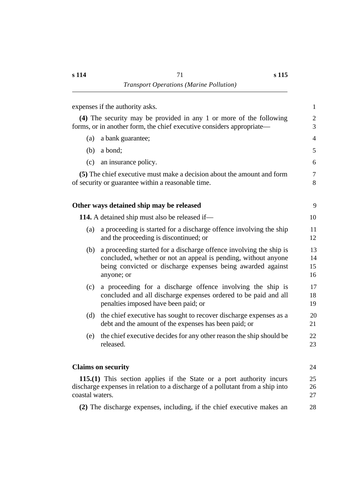| expenses if the authority asks.                                                                                                                                                                                          | $\mathbf{1}$         |
|--------------------------------------------------------------------------------------------------------------------------------------------------------------------------------------------------------------------------|----------------------|
| (4) The security may be provided in any 1 or more of the following<br>forms, or in another form, the chief executive considers appropriate—                                                                              | $\mathbf{2}$<br>3    |
| (a)<br>a bank guarantee;                                                                                                                                                                                                 | $\overline{4}$       |
| (b)<br>a bond;                                                                                                                                                                                                           | 5                    |
| an insurance policy.<br>(c)                                                                                                                                                                                              | 6                    |
| (5) The chief executive must make a decision about the amount and form<br>of security or guarantee within a reasonable time.                                                                                             | $\overline{7}$<br>8  |
| Other ways detained ship may be released                                                                                                                                                                                 | 9                    |
| <b>114.</b> A detained ship must also be released if—                                                                                                                                                                    | 10                   |
| a proceeding is started for a discharge offence involving the ship<br>(a)<br>and the proceeding is discontinued; or                                                                                                      | 11<br>12             |
| a proceeding started for a discharge offence involving the ship is<br>(b)<br>concluded, whether or not an appeal is pending, without anyone<br>being convicted or discharge expenses being awarded against<br>anyone; or | 13<br>14<br>15<br>16 |
| a proceeding for a discharge offence involving the ship is<br>(c)<br>concluded and all discharge expenses ordered to be paid and all<br>penalties imposed have been paid; or                                             | 17<br>18<br>19       |
| the chief executive has sought to recover discharge expenses as a<br>(d)<br>debt and the amount of the expenses has been paid; or                                                                                        | 20<br>21             |
| the chief executive decides for any other reason the ship should be<br>(e)<br>released.                                                                                                                                  | 22<br>23             |
| <b>Claims on security</b>                                                                                                                                                                                                | 24                   |
| 115.(1) This section applies if the State or a port authority incurs<br>discharge expenses in relation to a discharge of a pollutant from a ship into<br>coastal waters.                                                 | 25<br>26<br>27       |
| (2) The discharge expenses, including, if the chief executive makes an                                                                                                                                                   | 28                   |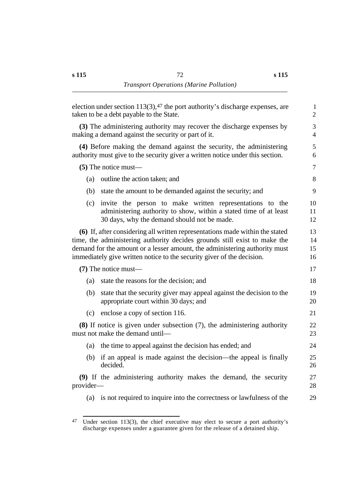|           | election under section $113(3)$ , 47 the port authority's discharge expenses, are<br>taken to be a debt payable to the State.                                                                                                                                                                                     | 1<br>$\overline{2}$  |
|-----------|-------------------------------------------------------------------------------------------------------------------------------------------------------------------------------------------------------------------------------------------------------------------------------------------------------------------|----------------------|
|           | (3) The administering authority may recover the discharge expenses by<br>making a demand against the security or part of it.                                                                                                                                                                                      | 3<br>4               |
|           | (4) Before making the demand against the security, the administering<br>authority must give to the security giver a written notice under this section.                                                                                                                                                            | 5<br>6               |
|           | $(5)$ The notice must—                                                                                                                                                                                                                                                                                            | $\tau$               |
| (a)       | outline the action taken; and                                                                                                                                                                                                                                                                                     | 8                    |
| (b)       | state the amount to be demanded against the security; and                                                                                                                                                                                                                                                         | 9                    |
| (c)       | invite the person to make written representations to the<br>administering authority to show, within a stated time of at least<br>30 days, why the demand should not be made.                                                                                                                                      | 10<br>11<br>12       |
|           | (6) If, after considering all written representations made within the stated<br>time, the administering authority decides grounds still exist to make the<br>demand for the amount or a lesser amount, the administering authority must<br>immediately give written notice to the security giver of the decision. | 13<br>14<br>15<br>16 |
|           | $(7)$ The notice must—                                                                                                                                                                                                                                                                                            | 17                   |
| (a)       | state the reasons for the decision; and                                                                                                                                                                                                                                                                           | 18                   |
| (b)       | state that the security giver may appeal against the decision to the<br>appropriate court within 30 days; and                                                                                                                                                                                                     | 19<br>20             |
| (c)       | enclose a copy of section 116.                                                                                                                                                                                                                                                                                    | 21                   |
|           | $(8)$ If notice is given under subsection $(7)$ , the administering authority<br>must not make the demand until-                                                                                                                                                                                                  | 22<br>23             |
| (a)       | the time to appeal against the decision has ended; and                                                                                                                                                                                                                                                            | 24                   |
| (b)       | if an appeal is made against the decision—the appeal is finally<br>decided.                                                                                                                                                                                                                                       | 25<br>26             |
| provider- | (9) If the administering authority makes the demand, the security                                                                                                                                                                                                                                                 | 27<br>28             |
|           | (a) is not required to inquire into the correctness or lawfulness of the                                                                                                                                                                                                                                          | 29                   |
|           |                                                                                                                                                                                                                                                                                                                   |                      |

 $47$  Under section 113(3), the chief executive may elect to secure a port authority's discharge expenses under a guarantee given for the release of a detained ship.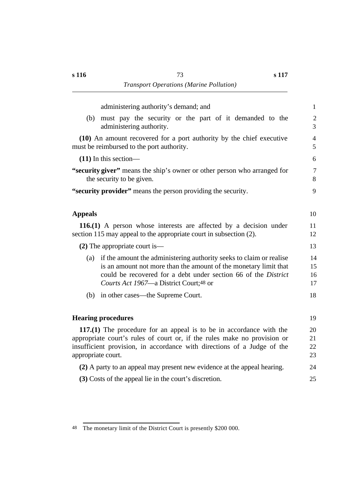administering authority's demand; and 1 (b) must pay the security or the part of it demanded to the 2 administering authority. 3 **(10)** An amount recovered for a port authority by the chief executive 4 must be reimbursed to the port authority. 5 **(11)** In this section— 6 **"security giver"** means the ship's owner or other person who arranged for  $\frac{7}{7}$ the security to be given. 8 **"security provider"** means the person providing the security. 9 *Appeals* 10 **116.(1)** A person whose interests are affected by a decision under 11 section  $115$  may appeal to the appropriate court in subsection  $(2)$ . 12 **(2)** The appropriate court is— 13 (a) if the amount the administering authority seeks to claim or realise 14 is an amount not more than the amount of the monetary limit that 15 could be recovered for a debt under section 66 of the *District* 16 *Courts Act 1967*—a District Court;48 or 17 (b) in other cases—the Supreme Court. 18 **Thearing procedures** 19 **117.(1)** The procedure for an appeal is to be in accordance with the 20 appropriate court's rules of court or, if the rules make no provision or 21 insufficient provision, in accordance with directions of a Judge of the 22 appropriate court. 23 **(2)** A party to an appeal may present new evidence at the appeal hearing. 24 **(3)** Costs of the appeal lie in the court's discretion. 25

<sup>48</sup> The monetary limit of the District Court is presently \$200 000.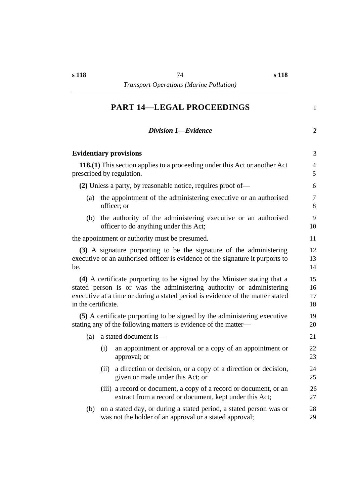## **†PART 14—LEGAL PROCEEDINGS** 1

|                               | <b>Division 1-Evidence</b>                                                                                                                                                                                                         | $\overline{2}$       |
|-------------------------------|------------------------------------------------------------------------------------------------------------------------------------------------------------------------------------------------------------------------------------|----------------------|
| <b>Evidentiary provisions</b> |                                                                                                                                                                                                                                    | 3                    |
| prescribed by regulation.     | <b>118.(1)</b> This section applies to a proceeding under this Act or another Act                                                                                                                                                  | $\overline{4}$<br>5  |
|                               | (2) Unless a party, by reasonable notice, requires proof of—                                                                                                                                                                       | 6                    |
| (a)                           | the appointment of the administering executive or an authorised<br>officer; or                                                                                                                                                     | $\overline{7}$<br>8  |
| (b)                           | the authority of the administering executive or an authorised<br>officer to do anything under this Act;                                                                                                                            | 9<br>10              |
|                               | the appointment or authority must be presumed.                                                                                                                                                                                     | 11                   |
| be.                           | (3) A signature purporting to be the signature of the administering<br>executive or an authorised officer is evidence of the signature it purports to                                                                              | 12<br>13<br>14       |
| in the certificate.           | (4) A certificate purporting to be signed by the Minister stating that a<br>stated person is or was the administering authority or administering<br>executive at a time or during a stated period is evidence of the matter stated | 15<br>16<br>17<br>18 |
|                               | (5) A certificate purporting to be signed by the administering executive<br>stating any of the following matters is evidence of the matter—                                                                                        | 19<br>20             |
| (a)                           | a stated document is—                                                                                                                                                                                                              | 21                   |
| (i)                           | an appointment or approval or a copy of an appointment or<br>approval; or                                                                                                                                                          | 22<br>23             |
| (ii)                          | a direction or decision, or a copy of a direction or decision,<br>given or made under this Act; or                                                                                                                                 | 24<br>25             |

- (iii) a record or document, a copy of a record or document, or an 26 extract from a record or document, kept under this Act; 27
- (b) on a stated day, or during a stated period, a stated person was or 28 was not the holder of an approval or a stated approval; 29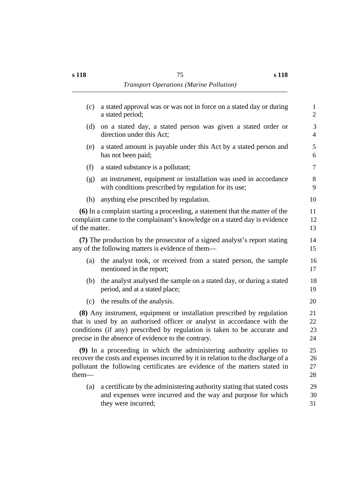| (c)            | a stated approval was or was not in force on a stated day or during<br>a stated period;                                                                                                                                                                                              | $\mathbf{1}$<br>$\overline{2}$ |
|----------------|--------------------------------------------------------------------------------------------------------------------------------------------------------------------------------------------------------------------------------------------------------------------------------------|--------------------------------|
| (d)            | on a stated day, a stated person was given a stated order or<br>direction under this Act;                                                                                                                                                                                            | 3<br>$\overline{4}$            |
| (e)            | a stated amount is payable under this Act by a stated person and<br>has not been paid;                                                                                                                                                                                               | 5<br>6                         |
| (f)            | a stated substance is a pollutant;                                                                                                                                                                                                                                                   | $\overline{7}$                 |
| (g)            | an instrument, equipment or installation was used in accordance<br>with conditions prescribed by regulation for its use;                                                                                                                                                             | $8\,$<br>9                     |
| (h)            | anything else prescribed by regulation.                                                                                                                                                                                                                                              | 10                             |
| of the matter. | (6) In a complaint starting a proceeding, a statement that the matter of the<br>complaint came to the complainant's knowledge on a stated day is evidence                                                                                                                            | 11<br>12<br>13                 |
|                | (7) The production by the prosecutor of a signed analyst's report stating<br>any of the following matters is evidence of them—                                                                                                                                                       | 14<br>15                       |
| (a)            | the analyst took, or received from a stated person, the sample<br>mentioned in the report;                                                                                                                                                                                           | 16<br>17                       |
| (b)            | the analyst analysed the sample on a stated day, or during a stated<br>period, and at a stated place;                                                                                                                                                                                | 18<br>19                       |
|                | (c) the results of the analysis.                                                                                                                                                                                                                                                     | 20                             |
|                | (8) Any instrument, equipment or installation prescribed by regulation<br>that is used by an authorised officer or analyst in accordance with the<br>conditions (if any) prescribed by regulation is taken to be accurate and<br>precise in the absence of evidence to the contrary. | 21<br>22<br>23<br>24           |
| them—          | (9) In a proceeding in which the administering authority applies to<br>recover the costs and expenses incurred by it in relation to the discharge of a<br>pollutant the following certificates are evidence of the matters stated in                                                 | 25<br>26<br>27<br>28           |
| (a)            | a certificate by the administering authority stating that stated costs<br>and expenses were incurred and the way and purpose for which<br>they were incurred;                                                                                                                        | 29<br>30<br>31                 |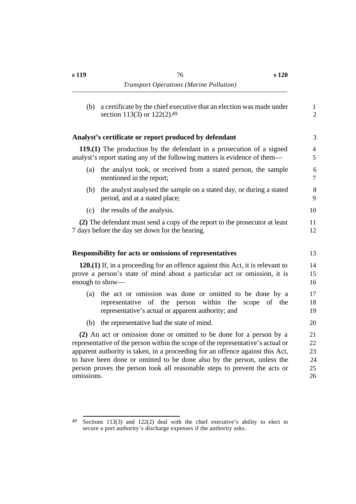| (b)             | a certificate by the chief executive that an election was made under<br>section 113(3) or 122(2).49                                                                                                                                                                                                                                                                                            | 1<br>$\overline{2}$              |
|-----------------|------------------------------------------------------------------------------------------------------------------------------------------------------------------------------------------------------------------------------------------------------------------------------------------------------------------------------------------------------------------------------------------------|----------------------------------|
|                 | Analyst's certificate or report produced by defendant                                                                                                                                                                                                                                                                                                                                          | 3                                |
|                 | 119.(1) The production by the defendant in a prosecution of a signed<br>analyst's report stating any of the following matters is evidence of them—                                                                                                                                                                                                                                             | 4<br>5                           |
| (a)             | the analyst took, or received from a stated person, the sample<br>mentioned in the report;                                                                                                                                                                                                                                                                                                     | 6<br>7                           |
| (b)             | the analyst analysed the sample on a stated day, or during a stated<br>period, and at a stated place;                                                                                                                                                                                                                                                                                          | 8<br>9                           |
| (c)             | the results of the analysis.                                                                                                                                                                                                                                                                                                                                                                   | 10                               |
|                 | (2) The defendant must send a copy of the report to the prosecutor at least<br>7 days before the day set down for the hearing.                                                                                                                                                                                                                                                                 | 11<br>12                         |
|                 | <b>Responsibility for acts or omissions of representatives</b>                                                                                                                                                                                                                                                                                                                                 | 13                               |
| enough to show— | 120.(1) If, in a proceeding for an offence against this Act, it is relevant to<br>prove a person's state of mind about a particular act or omission, it is                                                                                                                                                                                                                                     | 14<br>15<br>16                   |
| (a)             | the act or omission was done or omitted to be done by a<br>representative of the person within the<br>scope<br>of the<br>representative's actual or apparent authority; and                                                                                                                                                                                                                    | 17<br>18<br>19                   |
| (b)             | the representative had the state of mind.                                                                                                                                                                                                                                                                                                                                                      | 20                               |
| omissions.      | (2) An act or omission done or omitted to be done for a person by a<br>representative of the person within the scope of the representative's actual or<br>apparent authority is taken, in a proceeding for an offence against this Act,<br>to have been done or omitted to be done also by the person, unless the<br>person proves the person took all reasonable steps to prevent the acts or | 21<br>22<br>23<br>24<br>25<br>26 |

 $49$  Sections 113(3) and 122(2) deal with the chief executive's ability to elect to secure a port authority's discharge expenses if the authority asks.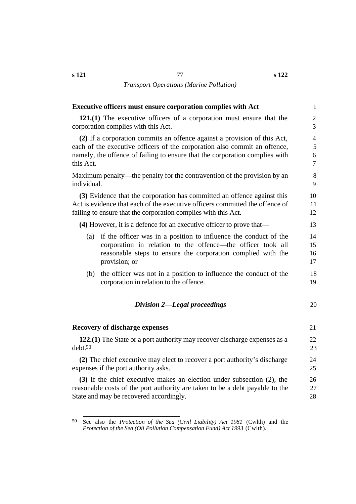#### **Executive officers must ensure corporation complies with Act** 1

**121.(1)** The executive officers of a corporation must ensure that the 2 corporation complies with this Act. 3

**(2)** If a corporation commits an offence against a provision of this Act, 4 each of the executive officers of the corporation also commit an offence, 5 namely, the offence of failing to ensure that the corporation complies with 6 this Act. 2012 **The State of the State of the State of T** 

Maximum penalty—the penalty for the contravention of the provision by an 8 individual. 9

**(3)** Evidence that the corporation has committed an offence against this 10 Act is evidence that each of the executive officers committed the offence of 11 failing to ensure that the corporation complies with this Act. 12

**(4)** However, it is a defence for an executive officer to prove that— 13

- (a) if the officer was in a position to influence the conduct of the 14 corporation in relation to the offence—the officer took all 15 reasonable steps to ensure the corporation complied with the 16 provision; or 17
- (b) the officer was not in a position to influence the conduct of the 18 corporation in relation to the offence. 19

#### $*Division 2*—*Legal proceedings* 20$

#### **˙Recovery of discharge expenses** 21

**122.(1)** The State or a port authority may recover discharge expenses as a 22  $\text{debt.50}$  23

**(2)** The chief executive may elect to recover a port authority's discharge 24 expenses if the port authority asks. 25

**(3)** If the chief executive makes an election under subsection (2), the 26 reasonable costs of the port authority are taken to be a debt payable to the 27 State and may be recovered accordingly. 28

<sup>50</sup> See also the *Protection of the Sea (Civil Liability) Act 1981* (Cwlth) and the *Protection of the Sea (Oil Pollution Compensation Fund) Act 1993* (Cwlth).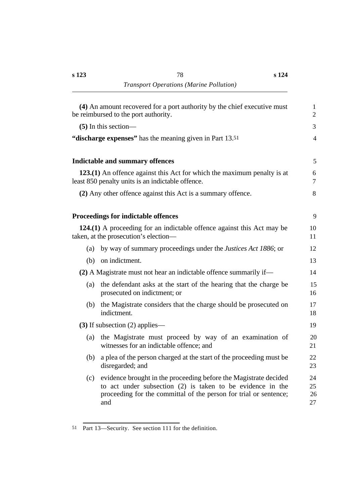|     | (4) An amount recovered for a port authority by the chief executive must<br>be reimbursed to the port authority.                                                                                           | 1<br>2               |
|-----|------------------------------------------------------------------------------------------------------------------------------------------------------------------------------------------------------------|----------------------|
|     | $(5)$ In this section—                                                                                                                                                                                     | 3                    |
|     | "discharge expenses" has the meaning given in Part 13.51                                                                                                                                                   | 4                    |
|     | <b>Indictable and summary offences</b>                                                                                                                                                                     | 5                    |
|     | 123.(1) An offence against this Act for which the maximum penalty is at<br>least 850 penalty units is an indictable offence.                                                                               | 6<br>7               |
|     | (2) Any other offence against this Act is a summary offence.                                                                                                                                               | 8                    |
|     | <b>Proceedings for indictable offences</b>                                                                                                                                                                 | 9                    |
|     | 124.(1) A proceeding for an indictable offence against this Act may be<br>taken, at the prosecution's election—                                                                                            | 10<br>11             |
| (a) | by way of summary proceedings under the <i>Justices Act 1886</i> ; or                                                                                                                                      | 12                   |
| (b) | on indictment.                                                                                                                                                                                             | 13                   |
|     | (2) A Magistrate must not hear an indictable offence summarily if—                                                                                                                                         | 14                   |
| (a) | the defendant asks at the start of the hearing that the charge be<br>prosecuted on indictment; or                                                                                                          | 15<br>16             |
| (b) | the Magistrate considers that the charge should be prosecuted on<br>indictment.                                                                                                                            | 17<br>18             |
|     | $(3)$ If subsection $(2)$ applies—                                                                                                                                                                         | 19                   |
| (a) | the Magistrate must proceed by way of an examination of<br>witnesses for an indictable offence; and                                                                                                        | 20<br>21             |
| (b) | a plea of the person charged at the start of the proceeding must be<br>disregarded; and                                                                                                                    | 22<br>23             |
| (c) | evidence brought in the proceeding before the Magistrate decided<br>to act under subsection (2) is taken to be evidence in the<br>proceeding for the committal of the person for trial or sentence;<br>and | 24<br>25<br>26<br>27 |

<sup>51</sup> Part 13—Security. See section 111 for the definition.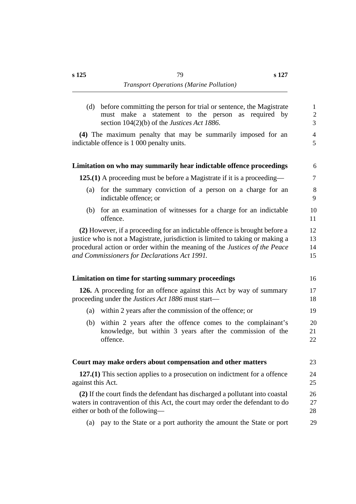|                   | (d) before committing the person for trial or sentence, the Magistrate<br>must make a statement to the person as required by<br>section $104(2)(b)$ of the <i>Justices Act 1886</i> .                                                                                                      | $\mathbf{1}$<br>$\sqrt{2}$<br>3 |
|-------------------|--------------------------------------------------------------------------------------------------------------------------------------------------------------------------------------------------------------------------------------------------------------------------------------------|---------------------------------|
|                   | (4) The maximum penalty that may be summarily imposed for an<br>indictable offence is 1 000 penalty units.                                                                                                                                                                                 | $\overline{4}$<br>5             |
|                   | Limitation on who may summarily hear indictable offence proceedings                                                                                                                                                                                                                        | 6                               |
|                   | 125.(1) A proceeding must be before a Magistrate if it is a proceeding—                                                                                                                                                                                                                    | $\tau$                          |
| (a)               | for the summary conviction of a person on a charge for an<br>indictable offence; or                                                                                                                                                                                                        | $\,8\,$<br>9                    |
| (b)               | for an examination of witnesses for a charge for an indictable<br>offence.                                                                                                                                                                                                                 | 10<br>11                        |
|                   | (2) However, if a proceeding for an indictable offence is brought before a<br>justice who is not a Magistrate, jurisdiction is limited to taking or making a<br>procedural action or order within the meaning of the Justices of the Peace<br>and Commissioners for Declarations Act 1991. | 12<br>13<br>14<br>15            |
|                   | Limitation on time for starting summary proceedings                                                                                                                                                                                                                                        | 16                              |
|                   | 126. A proceeding for an offence against this Act by way of summary<br>proceeding under the <i>Justices Act 1886</i> must start—                                                                                                                                                           | 17<br>18                        |
| (a)               | within 2 years after the commission of the offence; or                                                                                                                                                                                                                                     | 19                              |
| (b)               | within 2 years after the offence comes to the complainant's<br>knowledge, but within 3 years after the commission of the<br>offence.                                                                                                                                                       | 20<br>21<br>22                  |
|                   | Court may make orders about compensation and other matters                                                                                                                                                                                                                                 | 23                              |
| against this Act. | $127(1)$ This section applies to a prosecution on indictment for a offence                                                                                                                                                                                                                 | 24<br>25                        |
|                   | (2) If the court finds the defendant has discharged a pollutant into coastal<br>waters in contravention of this Act, the court may order the defendant to do<br>either or both of the following-                                                                                           | 26<br>27<br>28                  |
| (a)               | pay to the State or a port authority the amount the State or port                                                                                                                                                                                                                          | 29                              |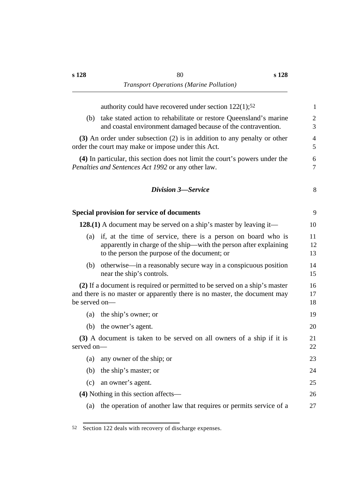|               | authority could have recovered under section $122(1)$ ; <sup>52</sup>                                                                                                               | $\mathbf{1}$        |
|---------------|-------------------------------------------------------------------------------------------------------------------------------------------------------------------------------------|---------------------|
| (b)           | take stated action to rehabilitate or restore Queensland's marine<br>and coastal environment damaged because of the contravention.                                                  | $\mathfrak{2}$<br>3 |
|               | (3) An order under subsection (2) is in addition to any penalty or other<br>order the court may make or impose under this Act.                                                      | $\overline{4}$<br>5 |
|               | (4) In particular, this section does not limit the court's powers under the<br>Penalties and Sentences Act 1992 or any other law.                                                   | 6<br>$\tau$         |
|               | <b>Division 3</b> -Service                                                                                                                                                          | 8                   |
|               | <b>Special provision for service of documents</b>                                                                                                                                   | 9                   |
|               | 128.(1) A document may be served on a ship's master by leaving it—                                                                                                                  | 10                  |
| (a)           | if, at the time of service, there is a person on board who is<br>apparently in charge of the ship—with the person after explaining<br>to the person the purpose of the document; or | 11<br>12<br>13      |
| (b)           | otherwise—in a reasonably secure way in a conspicuous position<br>near the ship's controls.                                                                                         | 14<br>15            |
| be served on— | (2) If a document is required or permitted to be served on a ship's master<br>and there is no master or apparently there is no master, the document may                             | 16<br>17<br>18      |
| (a)           | the ship's owner; or                                                                                                                                                                | 19                  |
| (b)           | the owner's agent.                                                                                                                                                                  | 20                  |
| served on-    | (3) A document is taken to be served on all owners of a ship if it is                                                                                                               | 21<br>22            |
| (a)           | any owner of the ship; or                                                                                                                                                           | 23                  |
| (b)           | the ship's master; or                                                                                                                                                               | 24                  |
| (c)           | an owner's agent.                                                                                                                                                                   | 25                  |
|               | (4) Nothing in this section affects—                                                                                                                                                | 26                  |
| (a)           | the operation of another law that requires or permits service of a                                                                                                                  | 27                  |
|               |                                                                                                                                                                                     |                     |

<sup>52</sup> Section 122 deals with recovery of discharge expenses.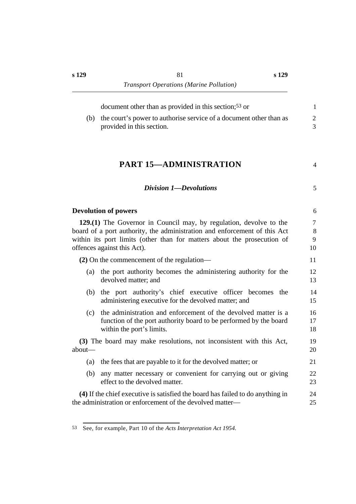**s 129**

| (b)      | document other than as provided in this section; <sup>53</sup> or<br>the court's power to authorise service of a document other than as<br>provided in this section.                                                                                      | 1<br>$\overline{2}$<br>$\overline{3}$ |
|----------|-----------------------------------------------------------------------------------------------------------------------------------------------------------------------------------------------------------------------------------------------------------|---------------------------------------|
|          | <b>PART 15-ADMINISTRATION</b>                                                                                                                                                                                                                             | 4                                     |
|          | Division 1-Devolutions                                                                                                                                                                                                                                    | 5                                     |
|          | <b>Devolution of powers</b>                                                                                                                                                                                                                               | 6                                     |
|          | 129.(1) The Governor in Council may, by regulation, devolve to the<br>board of a port authority, the administration and enforcement of this Act<br>within its port limits (other than for matters about the prosecution of<br>offences against this Act). | 7<br>8<br>9<br>10                     |
|          | $(2)$ On the commencement of the regulation—                                                                                                                                                                                                              | 11                                    |
| (a)      | the port authority becomes the administering authority for the<br>devolved matter; and                                                                                                                                                                    | 12<br>13                              |
| (b)      | the port authority's chief executive officer becomes the<br>administering executive for the devolved matter; and                                                                                                                                          | 14<br>15                              |
| (c)      | the administration and enforcement of the devolved matter is a<br>function of the port authority board to be performed by the board<br>within the port's limits.                                                                                          | 16<br>17<br>18                        |
| $about-$ | (3) The board may make resolutions, not inconsistent with this Act,                                                                                                                                                                                       | 19<br>20                              |
| (a)      | the fees that are payable to it for the devolved matter; or                                                                                                                                                                                               | 21                                    |
| (b)      | any matter necessary or convenient for carrying out or giving<br>effect to the devolved matter.                                                                                                                                                           | 22<br>23                              |
|          | (4) If the chief executive is satisfied the board has failed to do anything in<br>the administration or enforcement of the devolved matter-                                                                                                               | 24<br>25                              |

<sup>53</sup> See, for example, Part 10 of the *Acts Interpretation Act 1954*.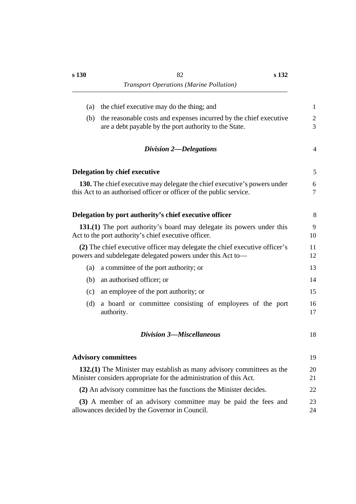| (a) | the chief executive may do the thing; and                                                                                                       | $\mathbf{1}$      |
|-----|-------------------------------------------------------------------------------------------------------------------------------------------------|-------------------|
| (b) | the reasonable costs and expenses incurred by the chief executive<br>are a debt payable by the port authority to the State.                     | $\mathbf{2}$<br>3 |
|     | Division 2-Delegations                                                                                                                          | $\overline{4}$    |
|     | Delegation by chief executive                                                                                                                   | 5                 |
|     | 130. The chief executive may delegate the chief executive's powers under<br>this Act to an authorised officer or officer of the public service. | 6<br>$\tau$       |
|     | Delegation by port authority's chief executive officer                                                                                          | 8                 |
|     | 131.(1) The port authority's board may delegate its powers under this<br>Act to the port authority's chief executive officer.                   | 9<br>10           |
|     | (2) The chief executive officer may delegate the chief executive officer's<br>powers and subdelegate delegated powers under this Act to-        | 11<br>12          |
| (a) | a committee of the port authority; or                                                                                                           | 13                |
| (b) | an authorised officer; or                                                                                                                       | 14                |
| (c) | an employee of the port authority; or                                                                                                           | 15                |
| (d) | a board or committee consisting of employees of the port<br>authority.                                                                          | 16<br>17          |
|     | <b>Division 3-Miscellaneous</b>                                                                                                                 | 18                |
|     | <b>Advisory committees</b>                                                                                                                      | 19                |
|     | 132.(1) The Minister may establish as many advisory committees as the<br>Minister considers appropriate for the administration of this Act.     | 20<br>21          |
|     | (2) An advisory committee has the functions the Minister decides.                                                                               | 22                |
|     | (3) A member of an advisory committee may be paid the fees and<br>allowances decided by the Governor in Council.                                | 23<br>24          |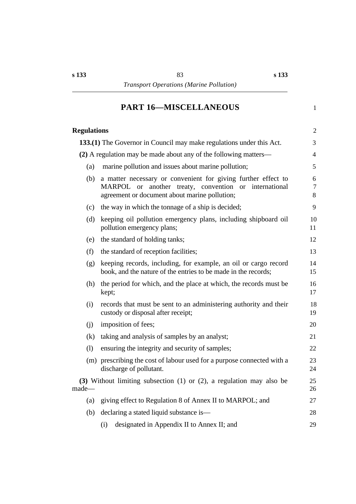# **†PART 16—MISCELLANEOUS** 1

| <b>Regulations</b> |                                                                                                                                                                         | $\overline{2}$           |
|--------------------|-------------------------------------------------------------------------------------------------------------------------------------------------------------------------|--------------------------|
|                    | 133.(1) The Governor in Council may make regulations under this Act.                                                                                                    | 3                        |
|                    | (2) A regulation may be made about any of the following matters—                                                                                                        | $\overline{4}$           |
| (a)                | marine pollution and issues about marine pollution;                                                                                                                     | 5                        |
| (b)                | a matter necessary or convenient for giving further effect to<br>MARPOL or another treaty, convention or international<br>agreement or document about marine pollution; | 6<br>$\overline{7}$<br>8 |
| (c)                | the way in which the tonnage of a ship is decided;                                                                                                                      | 9                        |
| (d)                | keeping oil pollution emergency plans, including shipboard oil<br>pollution emergency plans;                                                                            | 10<br>11                 |
| (e)                | the standard of holding tanks;                                                                                                                                          | 12                       |
| (f)                | the standard of reception facilities;                                                                                                                                   | 13                       |
| (g)                | keeping records, including, for example, an oil or cargo record<br>book, and the nature of the entries to be made in the records;                                       | 14<br>15                 |
| (h)                | the period for which, and the place at which, the records must be<br>kept;                                                                                              | 16<br>17                 |
| (i)                | records that must be sent to an administering authority and their<br>custody or disposal after receipt;                                                                 | 18<br>19                 |
| (j)                | imposition of fees;                                                                                                                                                     | 20                       |
| (k)                | taking and analysis of samples by an analyst;                                                                                                                           | 21                       |
| (1)                | ensuring the integrity and security of samples;                                                                                                                         | 22                       |
|                    | (m) prescribing the cost of labour used for a purpose connected with a<br>discharge of pollutant.                                                                       | 23<br>24                 |
| made—              | (3) Without limiting subsection $(1)$ or $(2)$ , a regulation may also be                                                                                               | 25<br>26                 |
|                    | (a) giving effect to Regulation 8 of Annex II to MARPOL; and                                                                                                            | 27                       |
| (b)                | declaring a stated liquid substance is—                                                                                                                                 | 28                       |
|                    | designated in Appendix II to Annex II; and<br>(i)                                                                                                                       | 29                       |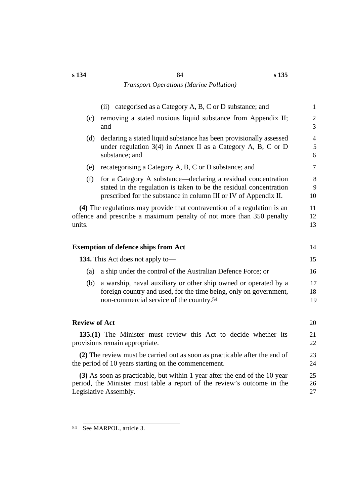|                      | (ii) categorised as a Category A, B, C or D substance; and                                                                                                                                              | $\mathbf{1}$                          |
|----------------------|---------------------------------------------------------------------------------------------------------------------------------------------------------------------------------------------------------|---------------------------------------|
| (c)                  | removing a stated noxious liquid substance from Appendix II;<br>and                                                                                                                                     | $\mathbf{2}$<br>$\overline{3}$        |
| (d)                  | declaring a stated liquid substance has been provisionally assessed<br>under regulation $3(4)$ in Annex II as a Category A, B, C or D<br>substance; and                                                 | $\overline{4}$<br>$\mathfrak{S}$<br>6 |
| (e)                  | recategorising a Category A, B, C or D substance; and                                                                                                                                                   | $\overline{7}$                        |
| (f)                  | for a Category A substance—declaring a residual concentration<br>stated in the regulation is taken to be the residual concentration<br>prescribed for the substance in column III or IV of Appendix II. | 8<br>9<br>10                          |
| units.               | (4) The regulations may provide that contravention of a regulation is an<br>offence and prescribe a maximum penalty of not more than 350 penalty                                                        | 11<br>12<br>13                        |
|                      | <b>Exemption of defence ships from Act</b>                                                                                                                                                              | 14                                    |
|                      | <b>134.</b> This Act does not apply to-                                                                                                                                                                 | 15                                    |
| (a)                  | a ship under the control of the Australian Defence Force; or                                                                                                                                            | 16                                    |
| (b)                  | a warship, naval auxiliary or other ship owned or operated by a<br>foreign country and used, for the time being, only on government,<br>non-commercial service of the country.54                        | 17<br>18<br>19                        |
| <b>Review of Act</b> |                                                                                                                                                                                                         | 20                                    |
|                      | 135.(1) The Minister must review this Act to decide whether its<br>provisions remain appropriate.                                                                                                       | 21<br>22                              |
|                      | (2) The review must be carried out as soon as practicable after the end of<br>the period of 10 years starting on the commencement.                                                                      | 23<br>24                              |
|                      | (3) As soon as practicable, but within 1 year after the end of the 10 year<br>period, the Minister must table a report of the review's outcome in the<br>Legislative Assembly.                          | 25<br>26<br>27                        |
|                      |                                                                                                                                                                                                         |                                       |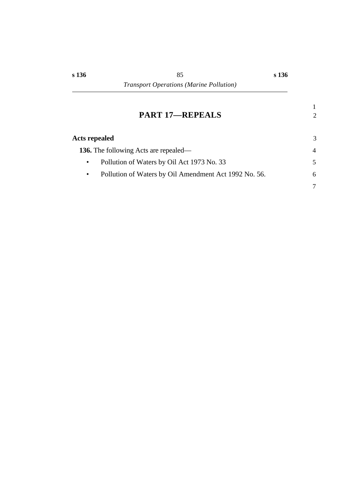## **†PART 17—REPEALS** 2

| Acts repealed                                                      | 3      |
|--------------------------------------------------------------------|--------|
| <b>136.</b> The following Acts are repealed—                       | 4      |
| Pollution of Waters by Oil Act 1973 No. 33<br>$\bullet$            | $\sim$ |
| Pollution of Waters by Oil Amendment Act 1992 No. 56.<br>$\bullet$ | 6      |
|                                                                    |        |

1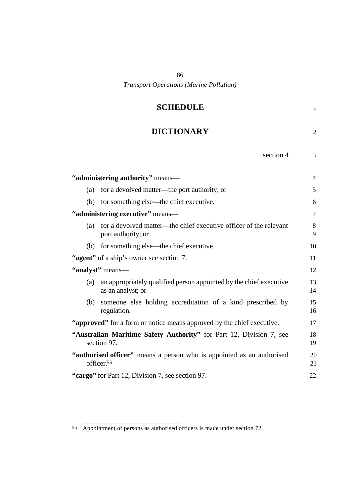| <b>SCHEDULE</b>                                                                                | $\mathbf{1}$   |
|------------------------------------------------------------------------------------------------|----------------|
| <b>DICTIONARY</b>                                                                              | 2              |
| section 4                                                                                      | 3              |
| "administering authority" means-                                                               | $\overline{4}$ |
| for a devolved matter—the port authority; or<br>(a)                                            | 5              |
| for something else—the chief executive.<br>(b)                                                 | 6              |
| "administering executive" means-                                                               | $\overline{7}$ |
| for a devolved matter—the chief executive officer of the relevant<br>(a)<br>port authority; or | 8<br>9         |
| for something else—the chief executive.<br>(b)                                                 | 10             |
| "agent" of a ship's owner see section 7.                                                       | 11             |
| "analyst" means-                                                                               | 12             |
| an appropriately qualified person appointed by the chief executive<br>(a)<br>as an analyst; or | 13<br>14       |
| someone else holding accreditation of a kind prescribed by<br>(b)<br>regulation.               | 15<br>16       |
| "approved" for a form or notice means approved by the chief executive.                         | 17             |
| "Australian Maritime Safety Authority" for Part 12, Division 7, see<br>section 97.             | 18<br>19       |
| "authorised officer" means a person who is appointed as an authorised<br>officer.55            | 20<br>21       |
| "cargo" for Part 12, Division 7, see section 97.                                               | 22             |

<sup>55</sup> Appointment of persons as authorised officers is made under section 72.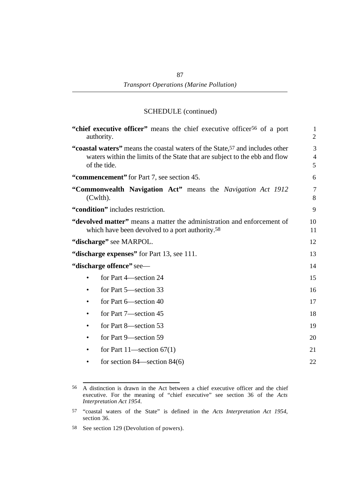| "chief executive officer" means the chief executive officer <sup>56</sup> of a port<br>authority.                                                                                      | $\mathbf{1}$<br>$\overline{2}$ |
|----------------------------------------------------------------------------------------------------------------------------------------------------------------------------------------|--------------------------------|
| "coastal waters" means the coastal waters of the State, <sup>57</sup> and includes other<br>waters within the limits of the State that are subject to the ebb and flow<br>of the tide. | 3<br>$\overline{4}$<br>5       |
| "commencement" for Part 7, see section 45.                                                                                                                                             | 6                              |
| "Commonwealth Navigation Act" means the Navigation Act 1912<br>$(Cwlth)$ .                                                                                                             | $\overline{7}$<br>8            |
| "condition" includes restriction.                                                                                                                                                      | 9                              |
| "devolved matter" means a matter the administration and enforcement of<br>which have been devolved to a port authority. <sup>58</sup>                                                  | 10<br>11                       |
| "discharge" see MARPOL.                                                                                                                                                                | 12                             |
| "discharge expenses" for Part 13, see 111.                                                                                                                                             | 13                             |
| "discharge offence" see-                                                                                                                                                               | 14                             |
| for Part 4-section 24                                                                                                                                                                  | 15                             |
| for Part 5—section 33                                                                                                                                                                  | 16                             |
| for Part 6-section 40                                                                                                                                                                  | 17                             |
| for Part 7-section 45                                                                                                                                                                  | 18                             |
| for Part 8—section 53<br>٠                                                                                                                                                             | 19                             |
| for Part 9—section 59                                                                                                                                                                  | 20                             |
| for Part $11$ —section $67(1)$<br>٠                                                                                                                                                    | 21                             |
| for section $84$ —section $84(6)$                                                                                                                                                      | 22                             |
|                                                                                                                                                                                        |                                |

<sup>56</sup> A distinction is drawn in the Act between a chief executive officer and the chief executive. For the meaning of "chief executive" see section 36 of the *Acts Interpretation Act 1954*.

<sup>57</sup> "coastal waters of the State" is defined in the *Acts Interpretation Act 1954*, section 36.

<sup>58</sup> See section 129 (Devolution of powers).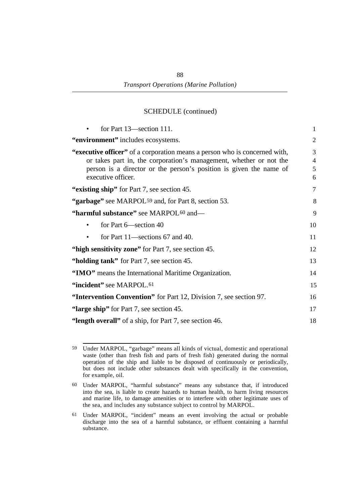| for Part 13—section 111.                                                                                                                                                                                                                     | $\mathbf{1}$                  |
|----------------------------------------------------------------------------------------------------------------------------------------------------------------------------------------------------------------------------------------------|-------------------------------|
| "environment" includes ecosystems.                                                                                                                                                                                                           | $\mathfrak{2}$                |
| "executive officer" of a corporation means a person who is concerned with,<br>or takes part in, the corporation's management, whether or not the<br>person is a director or the person's position is given the name of<br>executive officer. | 3<br>$\overline{4}$<br>5<br>6 |
| "existing ship" for Part 7, see section 45.                                                                                                                                                                                                  | 7                             |
| "garbage" see MARPOL <sup>59</sup> and, for Part 8, section 53.                                                                                                                                                                              | 8                             |
| "harmful substance" see MARPOL <sup>60</sup> and-                                                                                                                                                                                            | 9                             |
| for Part 6—section 40                                                                                                                                                                                                                        | 10                            |
| for Part 11—sections 67 and 40.                                                                                                                                                                                                              | 11                            |
| "high sensitivity zone" for Part 7, see section 45.                                                                                                                                                                                          | 12                            |
| "holding tank" for Part 7, see section 45.                                                                                                                                                                                                   | 13                            |
| "IMO" means the International Maritime Organization.                                                                                                                                                                                         | 14                            |
| "incident" see MARPOL.61                                                                                                                                                                                                                     | 15                            |
| "Intervention Convention" for Part 12, Division 7, see section 97.                                                                                                                                                                           | 16                            |
| "large ship" for Part 7, see section 45.                                                                                                                                                                                                     | 17                            |
| "length overall" of a ship, for Part 7, see section 46.                                                                                                                                                                                      | 18                            |
|                                                                                                                                                                                                                                              |                               |

<sup>59</sup> Under MARPOL, "garbage" means all kinds of victual, domestic and operational waste (other than fresh fish and parts of fresh fish) generated during the normal operation of the ship and liable to be disposed of continuously or periodically, but does not include other substances dealt with specifically in the convention, for example, oil.

<sup>60</sup> Under MARPOL, "harmful substance" means any substance that, if introduced into the sea, is liable to create hazards to human health, to harm living resources and marine life, to damage amenities or to interfere with other legitimate uses of the sea, and includes any substance subject to control by MARPOL.

<sup>61</sup> Under MARPOL, "incident" means an event involving the actual or probable discharge into the sea of a harmful substance, or effluent containing a harmful substance.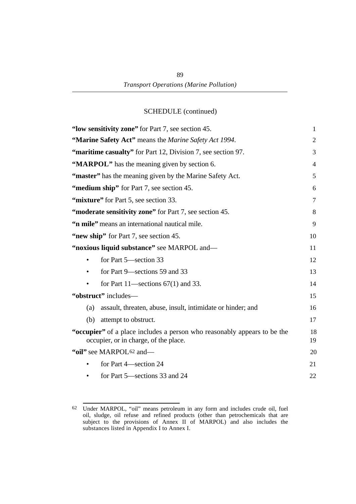| "low sensitivity zone" for Part 7, see section 45.                                                                | $\mathbf{1}$   |
|-------------------------------------------------------------------------------------------------------------------|----------------|
| "Marine Safety Act" means the Marine Safety Act 1994.                                                             | $\overline{2}$ |
| "maritime casualty" for Part 12, Division 7, see section 97.                                                      | 3              |
| "MARPOL" has the meaning given by section 6.                                                                      | $\overline{4}$ |
| "master" has the meaning given by the Marine Safety Act.                                                          | 5              |
| "medium ship" for Part 7, see section 45.                                                                         | 6              |
| "mixture" for Part 5, see section 33.                                                                             | $\overline{7}$ |
| "moderate sensitivity zone" for Part 7, see section 45.                                                           | 8              |
| "n mile" means an international nautical mile.                                                                    | 9              |
| "new ship" for Part 7, see section 45.                                                                            | 10             |
| "noxious liquid substance" see MARPOL and-                                                                        | 11             |
| for Part 5—section 33                                                                                             | 12             |
| for Part 9—sections 59 and 33<br>$\bullet$                                                                        | 13             |
| for Part 11—sections $67(1)$ and 33.                                                                              | 14             |
| "obstruct" includes-                                                                                              | 15             |
| (a)<br>assault, threaten, abuse, insult, intimidate or hinder; and                                                | 16             |
| (b)<br>attempt to obstruct.                                                                                       | 17             |
| "occupier" of a place includes a person who reasonably appears to be the<br>occupier, or in charge, of the place. | 18<br>19       |
| "oil" see MARPOL <sup>62</sup> and-                                                                               | 20             |
| for Part 4—section 24                                                                                             | 21             |
| for Part 5—sections 33 and 24                                                                                     | 22             |

<sup>62</sup> Under MARPOL, "oil" means petroleum in any form and includes crude oil, fuel oil, sludge, oil refuse and refined products (other than petrochemicals that are subject to the provisions of Annex II of MARPOL) and also includes the substances listed in Appendix I to Annex I.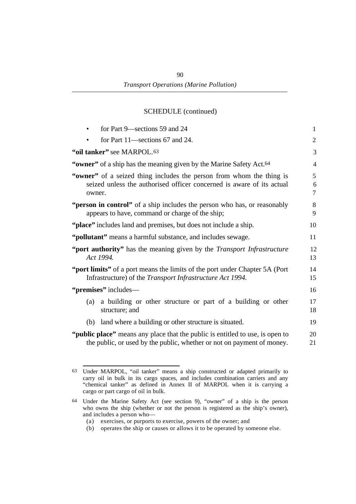| for Part 9-sections 59 and 24                                                                                                                                    | $\mathbf{1}$   |
|------------------------------------------------------------------------------------------------------------------------------------------------------------------|----------------|
| for Part 11—sections 67 and 24.                                                                                                                                  | $\overline{2}$ |
| "oil tanker" see MARPOL.63                                                                                                                                       | 3              |
| "owner" of a ship has the meaning given by the Marine Safety Act. <sup>64</sup>                                                                                  | $\overline{4}$ |
| "owner" of a seized thing includes the person from whom the thing is<br>seized unless the authorised officer concerned is aware of its actual<br>owner.          | 5<br>6<br>7    |
| "person in control" of a ship includes the person who has, or reasonably<br>appears to have, command or charge of the ship;                                      | 8<br>9         |
| "place" includes land and premises, but does not include a ship.                                                                                                 | 10             |
| "pollutant" means a harmful substance, and includes sewage.                                                                                                      | 11             |
| "port authority" has the meaning given by the <i>Transport Infrastructure</i><br>Act 1994.                                                                       | 12<br>13       |
| "port limits" of a port means the limits of the port under Chapter 5A (Port<br>Infrastructure) of the <i>Transport Infrastructure Act 1994</i> .                 | 14<br>15       |
| "premises" includes—                                                                                                                                             | 16             |
| a building or other structure or part of a building or other<br>(a)<br>structure; and                                                                            | 17<br>18       |
| land where a building or other structure is situated.<br>(b)                                                                                                     | 19             |
| " <b>public place</b> " means any place that the public is entitled to use, is open to<br>the public, or used by the public, whether or not on payment of money. | 20<br>21       |

<sup>63</sup> Under MARPOL, "oil tanker" means a ship constructed or adapted primarily to carry oil in bulk in its cargo spaces, and includes combination carriers and any "chemical tanker" as defined in Annex II of MARPOL when it is carrying a cargo or part cargo of oil in bulk.

<sup>64</sup> Under the Marine Safety Act (see section 9), "owner" of a ship is the person who owns the ship (whether or not the person is registered as the ship's owner), and includes a person who—

<sup>(</sup>a) exercises, or purports to exercise, powers of the owner; and

<sup>(</sup>b) operates the ship or causes or allows it to be operated by someone else.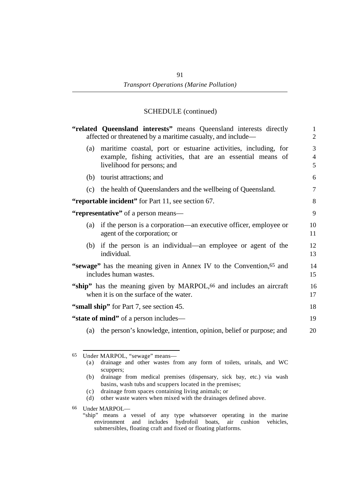| "related Queensland interests" means Queensland interests directly<br>affected or threatened by a maritime casualty, and include—                                   | $\mathbf{1}$<br>$\overline{2}$ |
|---------------------------------------------------------------------------------------------------------------------------------------------------------------------|--------------------------------|
| maritime coastal, port or estuarine activities, including, for<br>(a)<br>example, fishing activities, that are an essential means of<br>livelihood for persons; and | 3<br>$\overline{4}$<br>5       |
| tourist attractions; and<br>(b)                                                                                                                                     | 6                              |
| the health of Queenslanders and the wellbeing of Queensland.<br>(c)                                                                                                 | $\overline{7}$                 |
| "reportable incident" for Part 11, see section 67.                                                                                                                  | 8                              |
| "representative" of a person means—                                                                                                                                 | 9                              |
| if the person is a corporation—an executive officer, employee or<br>(a)<br>agent of the corporation; or                                                             | 10<br>11                       |
| if the person is an individual—an employee or agent of the<br>(b)<br>individual.                                                                                    | 12<br>13                       |
| "sewage" has the meaning given in Annex IV to the Convention, 65 and<br>includes human wastes.                                                                      | 14<br>15                       |
| "ship" has the meaning given by MARPOL, <sup>66</sup> and includes an aircraft<br>when it is on the surface of the water.                                           | 16<br>17                       |
| "small ship" for Part 7, see section 45.                                                                                                                            | 18                             |
| "state of mind" of a person includes—                                                                                                                               | 19                             |
| the person's knowledge, intention, opinion, belief or purpose; and<br>(a)                                                                                           | 20                             |
| Under MARPOL, "sewage" means-<br>65<br>drainage and other wastes from any form of toilets, urinals, and WC<br>(a)<br>scuppers;                                      |                                |
| drainage from medical premises (dispensary, sick bay, etc.) via wash<br>(b)                                                                                         |                                |

- basins, wash tubs and scuppers located in the premises;
- (c) drainage from spaces containing living animals; or
- (d) other waste waters when mixed with the drainages defined above.
- 66 Under MARPOL—
	- "ship" means a vessel of any type whatsoever operating in the marine environment and includes hydrofoil boats, air cushion vehicles, submersibles, floating craft and fixed or floating platforms.